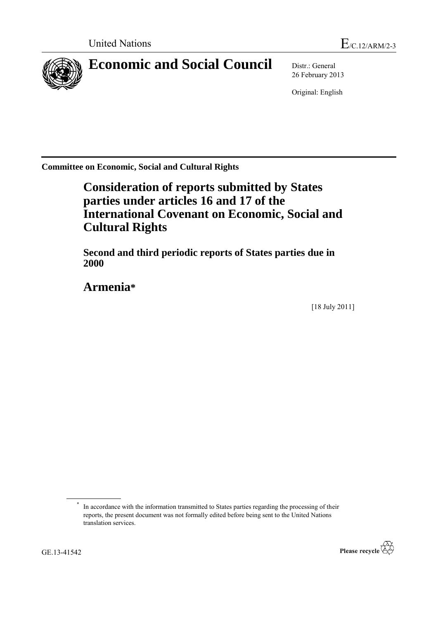

# **Economic and Social Council** Distr.: General

26 February 2013

Original: English

**Committee on Economic, Social and Cultural Rights**

# **Consideration of reports submitted by States parties under articles 16 and 17 of the International Covenant on Economic, Social and Cultural Rights**

**Second and third periodic reports of States parties due in 2000**

**Armenia\***

[18 July 2011]

<sup>\*</sup> In accordance with the information transmitted to States parties regarding the processing of their reports, the present document was not formally edited before being sent to the United Nations translation services.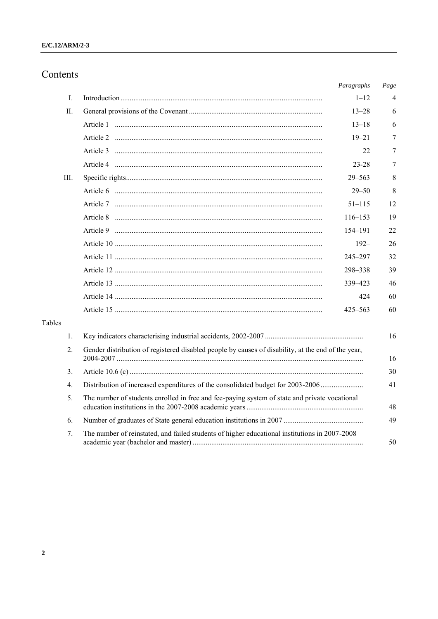## Contents

|        |                                                                                                          | Paragraphs  | Page |  |  |  |  |  |
|--------|----------------------------------------------------------------------------------------------------------|-------------|------|--|--|--|--|--|
| I.     |                                                                                                          | $1 - 12$    | 4    |  |  |  |  |  |
| П.     |                                                                                                          | $13 - 28$   | 6    |  |  |  |  |  |
|        |                                                                                                          | $13 - 18$   | 6    |  |  |  |  |  |
|        |                                                                                                          | $19 - 21$   | 7    |  |  |  |  |  |
|        |                                                                                                          | 22          | 7    |  |  |  |  |  |
|        |                                                                                                          | $23 - 28$   | 7    |  |  |  |  |  |
| III.   |                                                                                                          | $29 - 563$  | 8    |  |  |  |  |  |
|        |                                                                                                          | $29 - 50$   | 8    |  |  |  |  |  |
|        |                                                                                                          | $51 - 115$  | 12   |  |  |  |  |  |
|        |                                                                                                          | $116 - 153$ | 19   |  |  |  |  |  |
|        |                                                                                                          | 154–191     | 22   |  |  |  |  |  |
|        |                                                                                                          | $192 -$     | 26   |  |  |  |  |  |
|        |                                                                                                          | 245-297     | 32   |  |  |  |  |  |
|        |                                                                                                          | 298-338     | 39   |  |  |  |  |  |
|        |                                                                                                          | 339 - 423   | 46   |  |  |  |  |  |
|        |                                                                                                          | 424         | 60   |  |  |  |  |  |
|        |                                                                                                          | $425 - 563$ | 60   |  |  |  |  |  |
| Tables |                                                                                                          |             |      |  |  |  |  |  |
| 1.     |                                                                                                          |             | 16   |  |  |  |  |  |
| 2.     | Gender distribution of registered disabled people by causes of disability, at the end of the year,<br>16 |             |      |  |  |  |  |  |
| 3.     |                                                                                                          | 30          |      |  |  |  |  |  |
| 4.     | Distribution of increased expenditures of the consolidated budget for 2003-2006<br>41                    |             |      |  |  |  |  |  |
| 5.     | The number of students enrolled in free and fee-paying system of state and private vocational<br>48      |             |      |  |  |  |  |  |
| 6.     | 49                                                                                                       |             |      |  |  |  |  |  |
| 7.     | The number of reinstated, and failed students of higher educational institutions in 2007-2008            |             | 50   |  |  |  |  |  |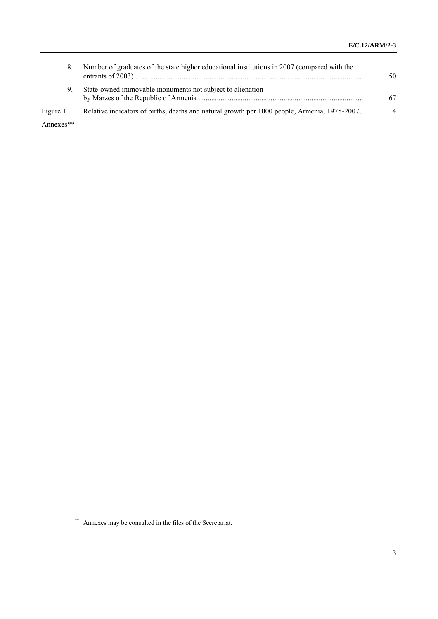| 8.        | Number of graduates of the state higher educational institutions in 2007 (compared with the  | 50                       |
|-----------|----------------------------------------------------------------------------------------------|--------------------------|
| 9.        | State-owned immovable monuments not subject to alienation                                    | 67                       |
| Figure 1. | Relative indicators of births, deaths and natural growth per 1000 people, Armenia, 1975-2007 | $\boldsymbol{\varDelta}$ |

Annexes\*\*

<sup>\*\*</sup> Annexes may be consulted in the files of the Secretariat.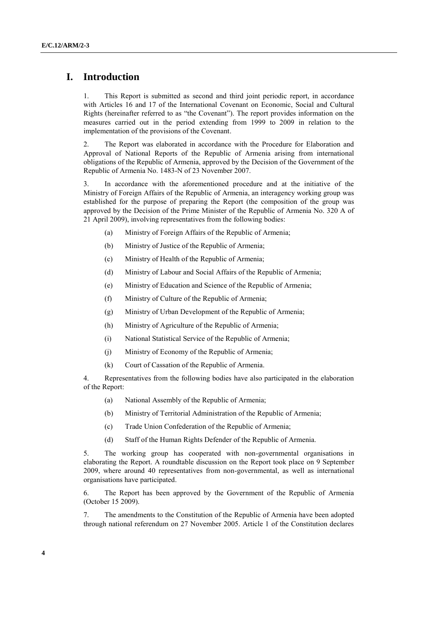### **I. Introduction**

1. This Report is submitted as second and third joint periodic report, in accordance with Articles 16 and 17 of the International Covenant on Economic, Social and Cultural Rights (hereinafter referred to as "the Covenant"). The report provides information on the measures carried out in the period extending from 1999 to 2009 in relation to the implementation of the provisions of the Covenant.

2. The Report was elaborated in accordance with the Procedure for Elaboration and Approval of National Reports of the Republic of Armenia arising from international obligations of the Republic of Armenia, approved by the Decision of the Government of the Republic of Armenia No. 1483-N of 23 November 2007.

3. In accordance with the aforementioned procedure and at the initiative of the Ministry of Foreign Affairs of the Republic of Armenia, an interagency working group was established for the purpose of preparing the Report (the composition of the group was approved by the Decision of the Prime Minister of the Republic of Armenia No. 320 A of 21 April 2009), involving representatives from the following bodies:

- (a) Ministry of Foreign Affairs of the Republic of Armenia;
- (b) Ministry of Justice of the Republic of Armenia;
- (c) Ministry of Health of the Republic of Armenia;
- (d) Ministry of Labour and Social Affairs of the Republic of Armenia;
- (e) Ministry of Education and Science of the Republic of Armenia;
- (f) Ministry of Culture of the Republic of Armenia;
- (g) Ministry of Urban Development of the Republic of Armenia;
- (h) Ministry of Agriculture of the Republic of Armenia;
- (i) National Statistical Service of the Republic of Armenia;
- (j) Ministry of Economy of the Republic of Armenia;
- (k) Court of Cassation of the Republic of Armenia.

4. Representatives from the following bodies have also participated in the elaboration of the Report:

- (a) National Assembly of the Republic of Armenia;
- (b) Ministry of Territorial Administration of the Republic of Armenia;
- (c) Trade Union Confederation of the Republic of Armenia;
- (d) Staff of the Human Rights Defender of the Republic of Armenia.

5. The working group has cooperated with non-governmental organisations in elaborating the Report. A roundtable discussion on the Report took place on 9 September 2009, where around 40 representatives from non-governmental, as well as international organisations have participated.

6. The Report has been approved by the Government of the Republic of Armenia (October 15 2009).

7. The amendments to the Constitution of the Republic of Armenia have been adopted through national referendum on 27 November 2005. Article 1 of the Constitution declares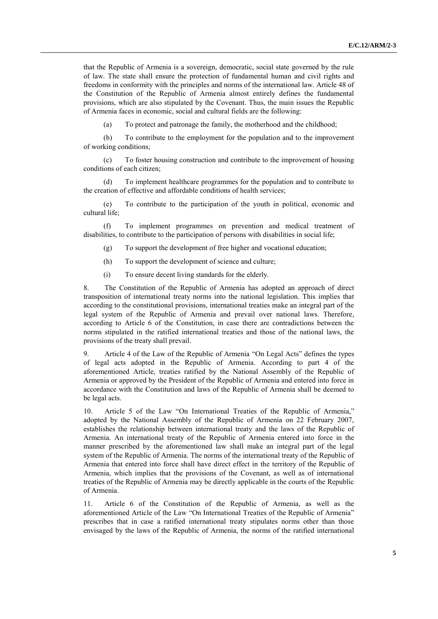that the Republic of Armenia is a sovereign, democratic, social state governed by the rule of law. The state shall ensure the protection of fundamental human and civil rights and freedoms in conformity with the principles and norms of the international law. Article 48 of the Constitution of the Republic of Armenia almost entirely defines the fundamental provisions, which are also stipulated by the Covenant. Thus, the main issues the Republic of Armenia faces in economic, social and cultural fields are the following:

(a) To protect and patronage the family, the motherhood and the childhood;

(b) To contribute to the employment for the population and to the improvement of working conditions;

(c) To foster housing construction and contribute to the improvement of housing conditions of each citizen;

(d) To implement healthcare programmes for the population and to contribute to the creation of effective and affordable conditions of health services;

(e) To contribute to the participation of the youth in political, economic and cultural life;

(f) To implement programmes on prevention and medical treatment of disabilities, to contribute to the participation of persons with disabilities in social life;

- (g) To support the development of free higher and vocational education;
- (h) To support the development of science and culture;
- (i) To ensure decent living standards for the elderly.

8. The Constitution of the Republic of Armenia has adopted an approach of direct transposition of international treaty norms into the national legislation. This implies that according to the constitutional provisions, international treaties make an integral part of the legal system of the Republic of Armenia and prevail over national laws. Therefore, according to Article 6 of the Constitution, in case there are contradictions between the norms stipulated in the ratified international treaties and those of the national laws, the provisions of the treaty shall prevail.

9. Article 4 of the Law of the Republic of Armenia "On Legal Acts" defines the types of legal acts adopted in the Republic of Armenia. According to part 4 of the aforementioned Article, treaties ratified by the National Assembly of the Republic of Armenia or approved by the President of the Republic of Armenia and entered into force in accordance with the Constitution and laws of the Republic of Armenia shall be deemed to be legal acts.

10. Article 5 of the Law "On International Treaties of the Republic of Armenia," adopted by the National Assembly of the Republic of Armenia on 22 February 2007, establishes the relationship between international treaty and the laws of the Republic of Armenia. An international treaty of the Republic of Armenia entered into force in the manner prescribed by the aforementioned law shall make an integral part of the legal system of the Republic of Armenia. The norms of the international treaty of the Republic of Armenia that entered into force shall have direct effect in the territory of the Republic of Armenia, which implies that the provisions of the Covenant, as well as of international treaties of the Republic of Armenia may be directly applicable in the courts of the Republic of Armenia.

11. Article 6 of the Constitution of the Republic of Armenia, as well as the aforementioned Article of the Law "On International Treaties of the Republic of Armenia" prescribes that in case a ratified international treaty stipulates norms other than those envisaged by the laws of the Republic of Armenia, the norms of the ratified international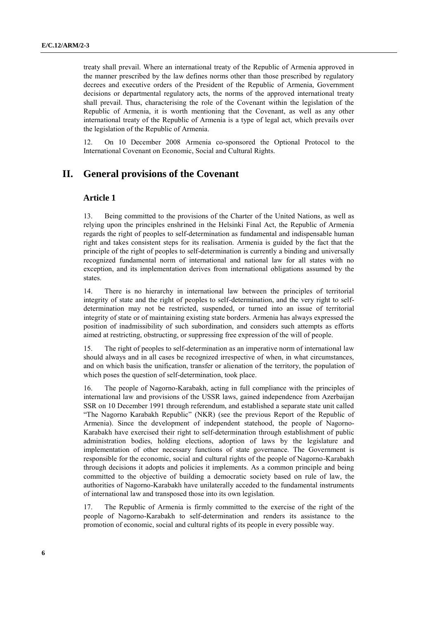treaty shall prevail. Where an international treaty of the Republic of Armenia approved in the manner prescribed by the law defines norms other than those prescribed by regulatory decrees and executive orders of the President of the Republic of Armenia, Government decisions or departmental regulatory acts, the norms of the approved international treaty shall prevail. Thus, characterising the role of the Covenant within the legislation of the Republic of Armenia, it is worth mentioning that the Covenant, as well as any other international treaty of the Republic of Armenia is a type of legal act, which prevails over the legislation of the Republic of Armenia.

12. On 10 December 2008 Armenia co-sponsored the Optional Protocol to the International Covenant on Economic, Social and Cultural Rights.

### **II. General provisions of the Covenant**

#### **Article 1**

13. Being committed to the provisions of the Charter of the United Nations, as well as relying upon the principles enshrined in the Helsinki Final Act, the Republic of Armenia regards the right of peoples to self-determination as fundamental and indispensable human right and takes consistent steps for its realisation. Armenia is guided by the fact that the principle of the right of peoples to self-determination is currently a binding and universally recognized fundamental norm of international and national law for all states with no exception, and its implementation derives from international obligations assumed by the states.

14. There is no hierarchy in international law between the principles of territorial integrity of state and the right of peoples to self-determination, and the very right to selfdetermination may not be restricted, suspended, or turned into an issue of territorial integrity of state or of maintaining existing state borders. Armenia has always expressed the position of inadmissibility of such subordination, and considers such attempts as efforts aimed at restricting, obstructing, or suppressing free expression of the will of people.

15. The right of peoples to self-determination as an imperative norm of international law should always and in all cases be recognized irrespective of when, in what circumstances, and on which basis the unification, transfer or alienation of the territory, the population of which poses the question of self-determination, took place.

16. The people of Nagorno-Karabakh, acting in full compliance with the principles of international law and provisions of the USSR laws, gained independence from Azerbaijan SSR on 10 December 1991 through referendum, and established a separate state unit called "The Nagorno Karabakh Republic" (NKR) (see the previous Report of the Republic of Armenia). Since the development of independent statehood, the people of Nagorno-Karabakh have exercised their right to self-determination through establishment of public administration bodies, holding elections, adoption of laws by the legislature and implementation of other necessary functions of state governance. The Government is responsible for the economic, social and cultural rights of the people of Nagorno-Karabakh through decisions it adopts and policies it implements. As a common principle and being committed to the objective of building a democratic society based on rule of law, the authorities of Nagorno-Karabakh have unilaterally acceded to the fundamental instruments of international law and transposed those into its own legislation.

17. The Republic of Armenia is firmly committed to the exercise of the right of the people of Nagorno-Karabakh to self-determination and renders its assistance to the promotion of economic, social and cultural rights of its people in every possible way.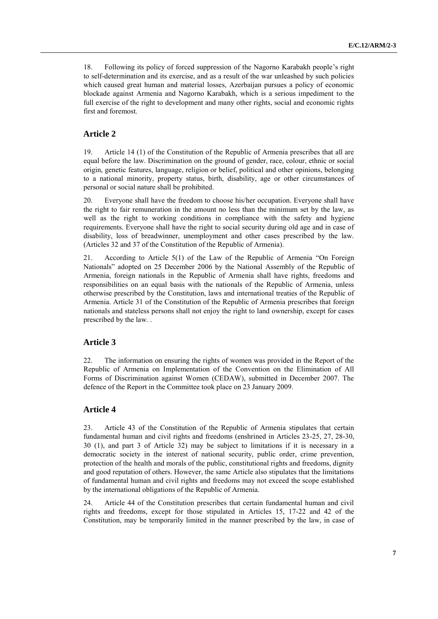18. Following its policy of forced suppression of the Nagorno Karabakh people's right to self-determination and its exercise, and as a result of the war unleashed by such policies which caused great human and material losses, Azerbaijan pursues a policy of economic blockade against Armenia and Nagorno Karabakh, which is a serious impediment to the full exercise of the right to development and many other rights, social and economic rights first and foremost.

#### **Article 2**

19. Article 14 (1) of the Constitution of the Republic of Armenia prescribes that all are equal before the law. Discrimination on the ground of gender, race, colour, ethnic or social origin, genetic features, language, religion or belief, political and other opinions, belonging to a national minority, property status, birth, disability, age or other circumstances of personal or social nature shall be prohibited.

20. Everyone shall have the freedom to choose his/her occupation. Everyone shall have the right to fair remuneration in the amount no less than the minimum set by the law, as well as the right to working conditions in compliance with the safety and hygiene requirements. Everyone shall have the right to social security during old age and in case of disability, loss of breadwinner, unemployment and other cases prescribed by the law. (Articles 32 and 37 of the Constitution of the Republic of Armenia).

21. According to Article 5(1) of the Law of the Republic of Armenia "On Foreign Nationals" adopted on 25 December 2006 by the National Assembly of the Republic of Armenia, foreign nationals in the Republic of Armenia shall have rights, freedoms and responsibilities on an equal basis with the nationals of the Republic of Armenia, unless otherwise prescribed by the Constitution, laws and international treaties of the Republic of Armenia. Article 31 of the Constitution of the Republic of Armenia prescribes that foreign nationals and stateless persons shall not enjoy the right to land ownership, except for cases prescribed by the law. .

#### **Article 3**

22. The information on ensuring the rights of women was provided in the Report of the Republic of Armenia on Implementation of the Convention on the Elimination of All Forms of Discrimination against Women (CEDAW), submitted in December 2007. The defence of the Report in the Committee took place on 23 January 2009.

#### **Article 4**

23. Article 43 of the Constitution of the Republic of Armenia stipulates that certain fundamental human and civil rights and freedoms (enshrined in Articles 23-25, 27, 28-30, 30 (1), and part 3 of Article 32) may be subject to limitations if it is necessary in a democratic society in the interest of national security, public order, crime prevention, protection of the health and morals of the public, constitutional rights and freedoms, dignity and good reputation of others. However, the same Article also stipulates that the limitations of fundamental human and civil rights and freedoms may not exceed the scope established by the international obligations of the Republic of Armenia.

24. Article 44 of the Constitution prescribes that certain fundamental human and civil rights and freedoms, except for those stipulated in Articles 15, 17-22 and 42 of the Constitution, may be temporarily limited in the manner prescribed by the law, in case of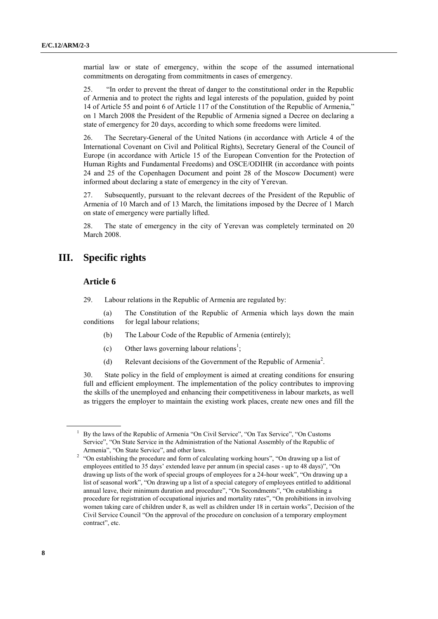martial law or state of emergency, within the scope of the assumed international commitments on derogating from commitments in cases of emergency.

25. "In order to prevent the threat of danger to the constitutional order in the Republic of Armenia and to protect the rights and legal interests of the population, guided by point 14 of Article 55 and point 6 of Article 117 of the Constitution of the Republic of Armenia," on 1 March 2008 the President of the Republic of Armenia signed a Decree on declaring a state of emergency for 20 days, according to which some freedoms were limited.

26. The Secretary-General of the United Nations (in accordance with Article 4 of the International Covenant on Civil and Political Rights), Secretary General of the Council of Europe (in accordance with Article 15 of the European Convention for the Protection of Human Rights and Fundamental Freedoms) and OSCE/ODIHR (in accordance with points 24 and 25 of the Copenhagen Document and point 28 of the Moscow Document) were informed about declaring a state of emergency in the city of Yerevan.

27. Subsequently, pursuant to the relevant decrees of the President of the Republic of Armenia of 10 March and of 13 March, the limitations imposed by the Decree of 1 March on state of emergency were partially lifted.

28. The state of emergency in the city of Yerevan was completely terminated on 20 March 2008.

#### **III. Specific rights**

#### **Article 6**

29. Labour relations in the Republic of Armenia are regulated by:

(a) The Constitution of the Republic of Armenia which lays down the main conditions for legal labour relations;

- (b) The Labour Code of the Republic of Armenia (entirely);
- (c) Other laws governing labour relations<sup>1</sup>;
- (d) Relevant decisions of the Government of the Republic of Armenia<sup>2</sup>.

30. State policy in the field of employment is aimed at creating conditions for ensuring full and efficient employment. The implementation of the policy contributes to improving the skills of the unemployed and enhancing their competitiveness in labour markets, as well as triggers the employer to maintain the existing work places, create new ones and fill the

<sup>&</sup>lt;sup>1</sup> By the laws of the Republic of Armenia "On Civil Service", "On Tax Service", "On Customs Service", "On State Service in the Administration of the National Assembly of the Republic of Armenia", "On State Service", and other laws.

<sup>&</sup>lt;sup>2</sup> "On establishing the procedure and form of calculating working hours", "On drawing up a list of employees entitled to 35 days' extended leave per annum (in special cases - up to 48 days)", "On drawing up lists of the work of special groups of employees for a 24-hour week", "On drawing up a list of seasonal work", "On drawing up a list of a special category of employees entitled to additional annual leave, their minimum duration and procedure", "On Secondments", "On establishing a procedure for registration of occupational injuries and mortality rates", "On prohibitions in involving women taking care of children under 8, as well as children under 18 in certain works", Decision of the Civil Service Council "On the approval of the procedure on conclusion of a temporary employment contract", etc.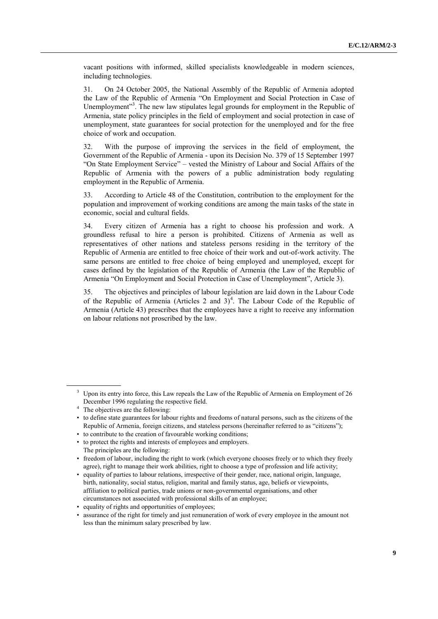vacant positions with informed, skilled specialists knowledgeable in modern sciences, including technologies.

31. On 24 October 2005, the National Assembly of the Republic of Armenia adopted the Law of the Republic of Armenia "On Employment and Social Protection in Case of Unemployment"<sup>3</sup>. The new law stipulates legal grounds for employment in the Republic of Armenia, state policy principles in the field of employment and social protection in case of unemployment, state guarantees for social protection for the unemployed and for the free choice of work and occupation.

32. With the purpose of improving the services in the field of employment, the Government of the Republic of Armenia - upon its Decision No. 379 of 15 September 1997 "On State Employment Service" – vested the Ministry of Labour and Social Affairs of the Republic of Armenia with the powers of a public administration body regulating employment in the Republic of Armenia.

33. According to Article 48 of the Constitution, contribution to the employment for the population and improvement of working conditions are among the main tasks of the state in economic, social and cultural fields.

34. Every citizen of Armenia has a right to choose his profession and work. А groundless refusal to hire a person is prohibited. Citizens of Armenia as well as representatives of other nations and stateless persons residing in the territory of the Republic of Armenia are entitled to free choice of their work and out-of-work activity. The same persons are entitled to free choice of being employed and unemployed, except for cases defined by the legislation of the Republic of Armenia (the Law of the Republic of Armenia "On Employment and Social Protection in Case of Unemployment", Article 3).

35. The objectives and principles of labour legislation are laid down in the Labour Code of the Republic of Armenia (Articles 2 and  $3)^4$ . The Labour Code of the Republic of Armenia (Article 43) prescribes that the employees have a right to receive any information on labour relations not proscribed by the law.

<sup>&</sup>lt;sup>3</sup> Upon its entry into force, this Law repeals the Law of the Republic of Armenia on Employment of 26 December 1996 regulating the respective field.

<sup>&</sup>lt;sup>4</sup> The objectives are the following:

<sup>•</sup> to define state guarantees for labour rights and freedoms of natural persons, such as the citizens of the Republic of Armenia, foreign citizens, and stateless persons (hereinafter referred to as "citizens");

<sup>•</sup> to contribute to the creation of favourable working conditions;

<sup>•</sup> to protect the rights and interests of employees and employers. The principles are the following:

<sup>•</sup> freedom of labour, including the right to work (which everyone chooses freely or to which they freely agree), right to manage their work abilities, right to choose a type of profession and life activity;

<sup>•</sup> equality of parties to labour relations, irrespective of their gender, race, national origin, language, birth, nationality, social status, religion, marital and family status, age, beliefs or viewpoints, affiliation to political parties, trade unions or non-governmental organisations, and other circumstances not associated with professional skills of an employee;

<sup>•</sup> equality of rights and opportunities of employees;

<sup>•</sup> assurance of the right for timely and just remuneration of work of every employee in the amount not less than the minimum salary prescribed by law.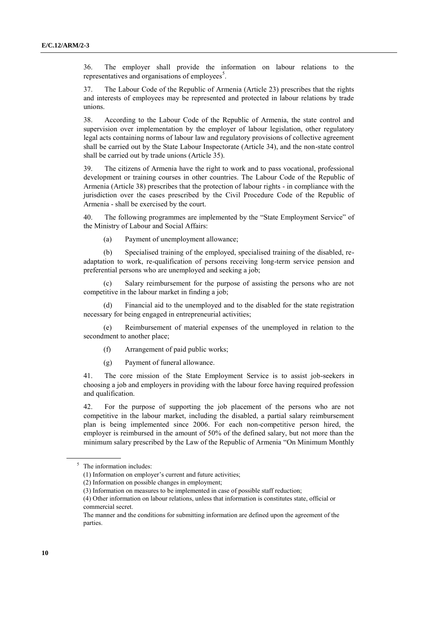36. The employer shall provide the information on labour relations to the representatives and organisations of employees<sup>5</sup>.

37. The Labour Code of the Republic of Armenia (Article 23) prescribes that the rights and interests of employees may be represented and protected in labour relations by trade unions.

38. According to the Labour Code of the Republic of Armenia, the state control and supervision over implementation by the employer of labour legislation, other regulatory legal acts containing norms of labour law and regulatory provisions of collective agreement shall be carried out by the State Labour Inspectorate (Article 34), and the non-state control shall be carried out by trade unions (Article 35).

39. The citizens of Armenia have the right to work and to pass vocational, professional development or training courses in other countries. The Labour Code of the Republic of Armenia (Article 38) prescribes that the protection of labour rights - in compliance with the jurisdiction over the cases prescribed by the Civil Procedure Code of the Republic of Armenia - shall be exercised by the court.

40. The following programmes are implemented by the "State Employment Service" of the Ministry of Labour and Social Affairs:

(a) Payment of unemployment allowance;

(b) Specialised training of the employed, specialised training of the disabled, readaptation to work, re-qualification of persons receiving long-term service pension and preferential persons who are unemployed and seeking a job;

(c) Salary reimbursement for the purpose of assisting the persons who are not competitive in the labour market in finding a job;

(d) Financial aid to the unemployed and to the disabled for the state registration necessary for being engaged in entrepreneurial activities;

(e) Reimbursement of material expenses of the unemployed in relation to the secondment to another place;

(f) Arrangement of paid public works;

(g) Payment of funeral allowance.

41. The core mission of the State Employment Service is to assist job-seekers in choosing a job and employers in providing with the labour force having required profession and qualification.

42. For the purpose of supporting the job placement of the persons who are not competitive in the labour market, including the disabled, a partial salary reimbursement plan is being implemented since 2006. For each non-competitive person hired, the employer is reimbursed in the amount of 50% of the defined salary, but not more than the minimum salary prescribed by the Law of the Republic of Armenia "On Minimum Monthly

<sup>5</sup> The information includes:

<sup>(1)</sup> Information on employer's current and future activities;

<sup>(2)</sup> Information on possible changes in employment;

<sup>(3)</sup> Information on measures to be implemented in case of possible staff reduction;

<sup>(4)</sup> Other information on labour relations, unless that information is constitutes state, official or commercial secret.

The manner and the conditions for submitting information are defined upon the agreement of the parties.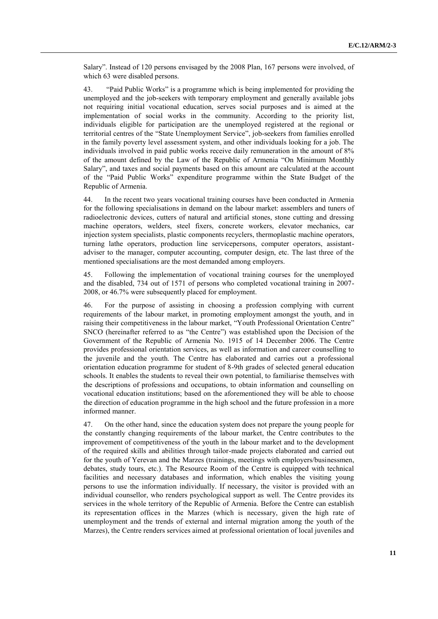Salary". Instead of 120 persons envisaged by the 2008 Plan, 167 persons were involved, of which 63 were disabled persons.

43. "Paid Public Works" is a programme which is being implemented for providing the unemployed and the job-seekers with temporary employment and generally available jobs not requiring initial vocational education, serves social purposes and is aimed at the implementation of social works in the community. According to the priority list, individuals eligible for participation are the unemployed registered at the regional or territorial centres of the "State Unemployment Service", job-seekers from families enrolled in the family poverty level assessment system, and other individuals looking for a job. The individuals involved in paid public works receive daily remuneration in the amount of 8% of the amount defined by the Law of the Republic of Armenia "On Minimum Monthly Salary", and taxes and social payments based on this amount are calculated at the account of the "Paid Public Works" expenditure programme within the State Budget of the Republic of Armenia.

44. In the recent two years vocational training courses have been conducted in Armenia for the following specialisations in demand on the labour market: assemblers and tuners of radioelectronic devices, cutters of natural and artificial stones, stone cutting and dressing machine operators, welders, steel fixers, concrete workers, elevator mechanics, car injection system specialists, plastic components recyclers, thermoplastic machine operators, turning lathe operators, production line servicepersons, computer operators, assistantadviser to the manager, computer accounting, computer design, etc. The last three of the mentioned specialisations are the most demanded among employers.

45. Following the implementation of vocational training courses for the unemployed and the disabled, 734 out of 1571 of persons who completed vocational training in 2007- 2008, or 46.7% were subsequently placed for employment.

46. For the purpose of assisting in choosing a profession complying with current requirements of the labour market, in promoting employment amongst the youth, and in raising their competitiveness in the labour market, "Youth Professional Orientation Centre" SNCO (hereinafter referred to as "the Centre") was established upon the Decision of the Government of the Republic of Armenia No. 1915 of 14 December 2006. The Centre provides professional orientation services, as well as information and career counselling to the juvenile and the youth. The Centre has elaborated and carries out a professional orientation education programme for student of 8-9th grades of selected general education schools. It enables the students to reveal their own potential, to familiarise themselves with the descriptions of professions and occupations, to obtain information and counselling on vocational education institutions; based on the aforementioned they will be able to choose the direction of education programme in the high school and the future profession in a more informed manner.

47. On the other hand, since the education system does not prepare the young people for the constantly changing requirements of the labour market, the Centre contributes to the improvement of competitiveness of the youth in the labour market and to the development of the required skills and abilities through tailor-made projects elaborated and carried out for the youth of Yerevan and the Marzes (trainings, meetings with employers/businessmen, debates, study tours, etc.). The Resource Room of the Centre is equipped with technical facilities and necessary databases and information, which enables the visiting young persons to use the information individually. If necessary, the visitor is provided with an individual counsellor, who renders psychological support as well. The Centre provides its services in the whole territory of the Republic of Armenia. Before the Centre can establish its representation offices in the Marzes (which is necessary, given the high rate of unemployment and the trends of external and internal migration among the youth of the Marzes), the Centre renders services aimed at professional orientation of local juveniles and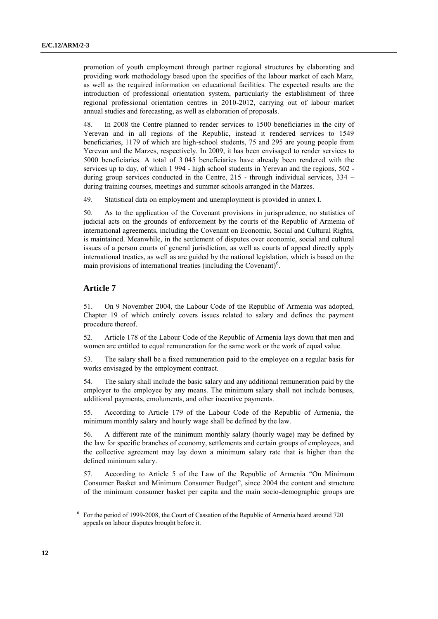promotion of youth employment through partner regional structures by elaborating and providing work methodology based upon the specifics of the labour market of each Marz, as well as the required information on educational facilities. The expected results are the introduction of professional orientation system, particularly the establishment of three regional professional orientation centres in 2010-2012, carrying out of labour market annual studies and forecasting, as well as elaboration of proposals.

48. In 2008 the Centre planned to render services to 1500 beneficiaries in the city of Yerevan and in all regions of the Republic, instead it rendered services to 1549 beneficiaries, 1179 of which are high-school students, 75 and 295 are young people from Yerevan and the Marzes, respectively. In 2009, it has been envisaged to render services to 5000 beneficiaries. A total of 3 045 beneficiaries have already been rendered with the services up to day, of which 1 994 - high school students in Yerevan and the regions, 502 during group services conducted in the Centre, 215 - through individual services, 334 – during training courses, meetings and summer schools arranged in the Marzes.

49. Statistical data on employment and unemployment is provided in annex I.

50. As to the application of the Covenant provisions in jurisprudence, no statistics of judicial acts on the grounds of enforcement by the courts of the Republic of Armenia of international agreements, including the Covenant on Economic, Social and Cultural Rights, is maintained. Meanwhile, in the settlement of disputes over economic, social and cultural issues of a person courts of general jurisdiction, as well as courts of appeal directly apply international treaties, as well as are guided by the national legislation, which is based on the main provisions of international treaties (including the Covenant) $6$ .

#### **Article 7**

51. On 9 November 2004, the Labour Code of the Republic of Armenia was adopted, Chapter 19 of which entirely covers issues related to salary and defines the payment procedure thereof.

52. Article 178 of the Labour Code of the Republic of Armenia lays down that men and women are entitled to equal remuneration for the same work or the work of equal value.

53. The salary shall be a fixed remuneration paid to the employee on a regular basis for works envisaged by the employment contract.

54. The salary shall include the basic salary and any additional remuneration paid by the employer to the employee by any means. The minimum salary shall not include bonuses, additional payments, emoluments, and other incentive payments.

55. According to Article 179 of the Labour Code of the Republic of Armenia, the minimum monthly salary and hourly wage shall be defined by the law.

56. A different rate of the minimum monthly salary (hourly wage) may be defined by the law for specific branches of economy, settlements and certain groups of employees, and the collective agreement may lay down a minimum salary rate that is higher than the defined minimum salary.

57. According to Article 5 of the Law of the Republic of Armenia "On Minimum Consumer Basket and Minimum Consumer Budget", since 2004 the content and structure of the minimum consumer basket per capita and the main socio-demographic groups are

<sup>&</sup>lt;sup>6</sup> For the period of 1999-2008, the Court of Cassation of the Republic of Armenia heard around 720 appeals on labour disputes brought before it.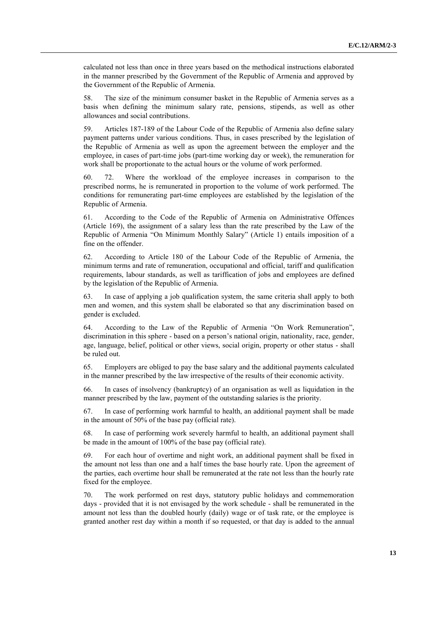calculated not less than once in three years based on the methodical instructions elaborated in the manner prescribed by the Government of the Republic of Armenia and approved by the Government of the Republic of Armenia.

58. The size of the minimum consumer basket in the Republic of Armenia serves as a basis when defining the minimum salary rate, pensions, stipends, as well as other allowances and social contributions.

59. Articles 187-189 of the Labour Code of the Republic of Armenia also define salary payment patterns under various conditions. Thus, in cases prescribed by the legislation of the Republic of Armenia as well as upon the agreement between the employer and the employee, in cases of part-time jobs (part-time working day or week), the remuneration for work shall be proportionate to the actual hours or the volume of work performed.

60. 72. Where the workload of the employee increases in comparison to the prescribed norms, he is remunerated in proportion to the volume of work performed. The conditions for remunerating part-time employees are established by the legislation of the Republic of Armenia.

61. According to the Code of the Republic of Armenia on Administrative Offences (Article 169), the assignment of a salary less than the rate prescribed by the Law of the Republic of Armenia "On Minimum Monthly Salary" (Article 1) entails imposition of a fine on the offender.

62. According to Article 180 of the Labour Code of the Republic of Armenia, the minimum terms and rate of remuneration, occupational and official, tariff and qualification requirements, labour standards, as well as tariffication of jobs and employees are defined by the legislation of the Republic of Armenia.

63. In case of applying a job qualification system, the same criteria shall apply to both men and women, and this system shall be elaborated so that any discrimination based on gender is excluded.

64. According to the Law of the Republic of Armenia "On Work Remuneration", discrimination in this sphere - based on a person's national origin, nationality, race, gender, age, language, belief, political or other views, social origin, property or other status - shall be ruled out.

65. Employers are obliged to pay the base salary and the additional payments calculated in the manner prescribed by the law irrespective of the results of their economic activity.

66. In cases of insolvency (bankruptcy) of an organisation as well as liquidation in the manner prescribed by the law, payment of the outstanding salaries is the priority.

67. In case of performing work harmful to health, an additional payment shall be made in the amount of 50% of the base pay (official rate).

68. In case of performing work severely harmful to health, an additional payment shall be made in the amount of 100% of the base pay (official rate).

69. For each hour of overtime and night work, an additional payment shall be fixed in the amount not less than one and a half times the base hourly rate. Upon the agreement of the parties, each overtime hour shall be remunerated at the rate not less than the hourly rate fixed for the employee.

70. The work performed on rest days, statutory public holidays and commemoration days - provided that it is not envisaged by the work schedule - shall be remunerated in the amount not less than the doubled hourly (daily) wage or of task rate, or the employee is granted another rest day within a month if so requested, or that day is added to the annual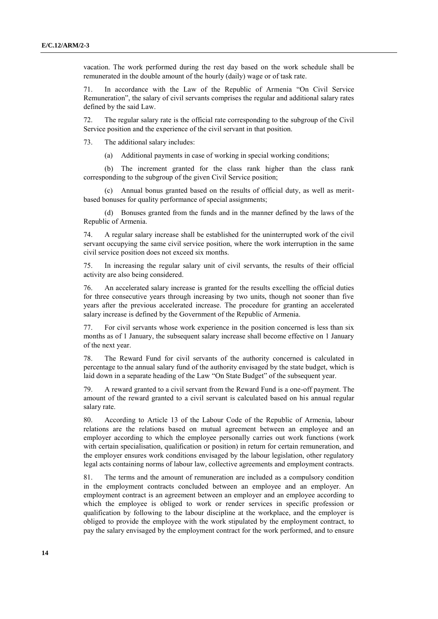vacation. The work performed during the rest day based on the work schedule shall be remunerated in the double amount of the hourly (daily) wage or of task rate.

71. In accordance with the Law of the Republic of Armenia "On Civil Service Remuneration", the salary of civil servants comprises the regular and additional salary rates defined by the said Law.

72. The regular salary rate is the official rate corresponding to the subgroup of the Civil Service position and the experience of the civil servant in that position.

73. The additional salary includes:

(a) Additional payments in case of working in special working conditions;

(b) The increment granted for the class rank higher than the class rank corresponding to the subgroup of the given Civil Service position;

(c) Annual bonus granted based on the results of official duty, as well as meritbased bonuses for quality performance of special assignments;

(d) Bonuses granted from the funds and in the manner defined by the laws of the Republic of Armenia.

74. A regular salary increase shall be established for the uninterrupted work of the civil servant occupying the same civil service position, where the work interruption in the same civil service position does not exceed six months.

75. In increasing the regular salary unit of civil servants, the results of their official activity are also being considered.

76. An accelerated salary increase is granted for the results excelling the official duties for three consecutive years through increasing by two units, though not sooner than five years after the previous accelerated increase. The procedure for granting an accelerated salary increase is defined by the Government of the Republic of Armenia.

77. For civil servants whose work experience in the position concerned is less than six months as of 1 January, the subsequent salary increase shall become effective on 1 January of the next year.

78. The Reward Fund for civil servants of the authority concerned is calculated in percentage to the annual salary fund of the authority envisaged by the state budget, which is laid down in a separate heading of the Law "On State Budget" of the subsequent year.

79. A reward granted to a civil servant from the Reward Fund is a one-off payment. The amount of the reward granted to a civil servant is calculated based on his annual regular salary rate.

80. According to Article 13 of the Labour Code of the Republic of Armenia, labour relations are the relations based on mutual agreement between an employee and an employer according to which the employee personally carries out work functions (work with certain specialisation, qualification or position) in return for certain remuneration, and the employer ensures work conditions envisaged by the labour legislation, other regulatory legal acts containing norms of labour law, collective agreements and employment contracts.

81. The terms and the amount of remuneration are included as a compulsory condition in the employment contracts concluded between an employee and an employer. An employment contract is an agreement between an employer and an employee according to which the employee is obliged to work or render services in specific profession or qualification by following to the labour discipline at the workplace, and the employer is obliged to provide the employee with the work stipulated by the employment contract, to pay the salary envisaged by the employment contract for the work performed, and to ensure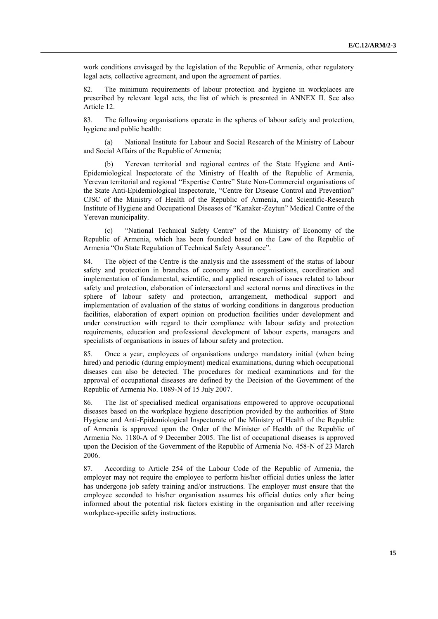work conditions envisaged by the legislation of the Republic of Armenia, other regulatory legal acts, collective agreement, and upon the agreement of parties.

82. The minimum requirements of labour protection and hygiene in workplaces are prescribed by relevant legal acts, the list of which is presented in ANNEX II. See also Article 12.

83. The following organisations operate in the spheres of labour safety and protection, hygiene and public health:

(a) National Institute for Labour and Social Research of the Ministry of Labour and Social Affairs of the Republic of Armenia;

Yerevan territorial and regional centres of the State Hygiene and Anti-Epidemiological Inspectorate of the Ministry of Health of the Republic of Armenia, Yerevan territorial and regional "Expertise Centre" State Non-Commercial organisations of the State Anti-Epidemiological Inspectorate, "Centre for Disease Control and Prevention" CJSC of the Ministry of Health of the Republic of Armenia, and Scientific-Research Institute of Hygiene and Occupational Diseases of "Kanaker-Zeytun" Medical Centre of the Yerevan municipality.

(c) "National Technical Safety Centre" of the Ministry of Economy of the Republic of Armenia, which has been founded based on the Law of the Republic of Armenia "On State Regulation of Technical Safety Assurance".

84. The object of the Centre is the analysis and the assessment of the status of labour safety and protection in branches of economy and in organisations, coordination and implementation of fundamental, scientific, and applied research of issues related to labour safety and protection, elaboration of intersectoral and sectoral norms and directives in the sphere of labour safety and protection, arrangement, methodical support and implementation of evaluation of the status of working conditions in dangerous production facilities, elaboration of expert opinion on production facilities under development and under construction with regard to their compliance with labour safety and protection requirements, education and professional development of labour experts, managers and specialists of organisations in issues of labour safety and protection.

85. Once a year, employees of organisations undergo mandatory initial (when being hired) and periodic (during employment) medical examinations, during which occupational diseases can also be detected. The procedures for medical examinations and for the approval of occupational diseases are defined by the Decision of the Government of the Republic of Armenia No. 1089-N of 15 July 2007.

86. The list of specialised medical organisations empowered to approve occupational diseases based on the workplace hygiene description provided by the authorities of State Hygiene and Anti-Epidemiological Inspectorate of the Ministry of Health of the Republic of Armenia is approved upon the Order of the Minister of Health of the Republic of Armenia No. 1180-A of 9 December 2005. The list of occupational diseases is approved upon the Decision of the Government of the Republic of Armenia No. 458-N of 23 March 2006.

87. According to Article 254 of the Labour Code of the Republic of Armenia, the employer may not require the employee to perform his/her official duties unless the latter has undergone job safety training and/or instructions. The employer must ensure that the employee seconded to his/her organisation assumes his official duties only after being informed about the potential risk factors existing in the organisation and after receiving workplace-specific safety instructions.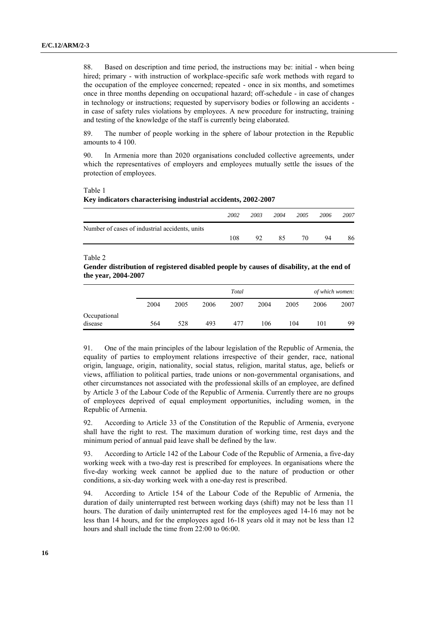88. Based on description and time period, the instructions may be: initial - when being hired; primary - with instruction of workplace-specific safe work methods with regard to the occupation of the employee concerned; repeated - once in six months, and sometimes once in three months depending on occupational hazard; off-schedule - in case of changes in technology or instructions; requested by supervisory bodies or following an accidents in case of safety rules violations by employees. A new procedure for instructing, training and testing of the knowledge of the staff is currently being elaborated.

89. The number of people working in the sphere of labour protection in the Republic amounts to 4 100.

90. In Armenia more than 2020 organisations concluded collective agreements, under which the representatives of employers and employees mutually settle the issues of the protection of employees.

Table 1

#### **Key indicators characterising industrial accidents, 2002-2007**

|                                                | 2002 | 2003 | 2004 | 2005 | 2006 | 2007 |
|------------------------------------------------|------|------|------|------|------|------|
| Number of cases of industrial accidents, units |      |      |      |      |      |      |
|                                                | 108  | 92   | 85   | 70.  | 94   | 86   |

Table 2

#### **Gender distribution of registered disabled people by causes of disability, at the end of the year, 2004-2007**

|              |      | Total |      |      |      |      |      | of which women: |  |
|--------------|------|-------|------|------|------|------|------|-----------------|--|
|              | 2004 | 2005  | 2006 | 2007 | 2004 | 2005 | 2006 | 2007            |  |
| Occupational |      |       |      |      |      |      |      |                 |  |
| disease      | 564  | 528   | 493  | 477  | 106  | 104  | 101  | 99              |  |

91. One of the main principles of the labour legislation of the Republic of Armenia, the equality of parties to employment relations irrespective of their gender, race, national origin, language, origin, nationality, social status, religion, marital status, age, beliefs or views, affiliation to political parties, trade unions or non-governmental organisations, and other circumstances not associated with the professional skills of an employee, are defined by Article 3 of the Labour Code of the Republic of Armenia. Currently there are no groups of employees deprived of equal employment opportunities, including women, in the Republic of Armenia.

92. According to Article 33 of the Constitution of the Republic of Armenia, everyone shall have the right to rest. The maximum duration of working time, rest days and the minimum period of annual paid leave shall be defined by the law.

93. According to Article 142 of the Labour Code of the Republic of Armenia, a five-day working week with a two-day rest is prescribed for employees. In organisations where the five-day working week cannot be applied due to the nature of production or other conditions, a six-day working week with a one-day rest is prescribed.

94. According to Article 154 of the Labour Code of the Republic of Armenia, the duration of daily uninterrupted rest between working days (shift) may not be less than 11 hours. The duration of daily uninterrupted rest for the employees aged 14-16 may not be less than 14 hours, and for the employees aged 16-18 years old it may not be less than 12 hours and shall include the time from 22:00 to 06:00.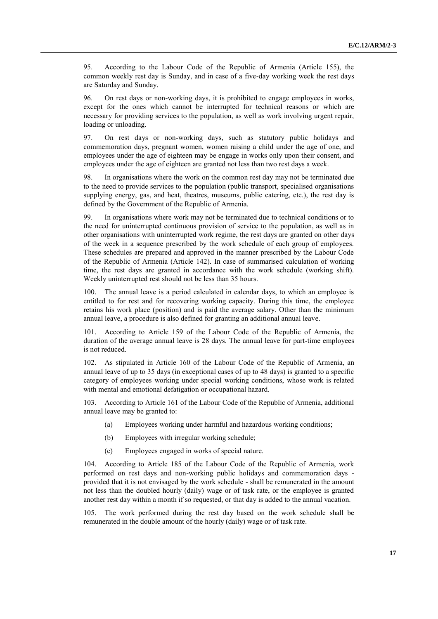95. According to the Labour Code of the Republic of Armenia (Article 155), the common weekly rest day is Sunday, and in case of a five-day working week the rest days are Saturday and Sunday.

96. On rest days or non-working days, it is prohibited to engage employees in works, except for the ones which cannot be interrupted for technical reasons or which are necessary for providing services to the population, as well as work involving urgent repair, loading or unloading.

97. On rest days or non-working days, such as statutory public holidays and commemoration days, pregnant women, women raising a child under the age of one, and employees under the age of eighteen may be engage in works only upon their consent, and employees under the age of eighteen are granted not less than two rest days a week.

98. In organisations where the work on the common rest day may not be terminated due to the need to provide services to the population (public transport, specialised organisations supplying energy, gas, and heat, theatres, museums, public catering, etc.), the rest day is defined by the Government of the Republic of Armenia.

99. In organisations where work may not be terminated due to technical conditions or to the need for uninterrupted continuous provision of service to the population, as well as in other organisations with uninterrupted work regime, the rest days are granted on other days of the week in a sequence prescribed by the work schedule of each group of employees. These schedules are prepared and approved in the manner prescribed by the Labour Code of the Republic of Armenia (Article 142). In case of summarised calculation of working time, the rest days are granted in accordance with the work schedule (working shift). Weekly uninterrupted rest should not be less than 35 hours.

100. The annual leave is a period calculated in calendar days, to which an employee is entitled to for rest and for recovering working capacity. During this time, the employee retains his work place (position) and is paid the average salary. Other than the minimum annual leave, a procedure is also defined for granting an additional annual leave.

101. According to Article 159 of the Labour Code of the Republic of Armenia, the duration of the average annual leave is 28 days. The annual leave for part-time employees is not reduced.

102. As stipulated in Article 160 of the Labour Code of the Republic of Armenia, an annual leave of up to 35 days (in exceptional cases of up to 48 days) is granted to a specific category of employees working under special working conditions, whose work is related with mental and emotional defatigation or occupational hazard.

103. According to Article 161 of the Labour Code of the Republic of Armenia, additional annual leave may be granted to:

- (a) Employees working under harmful and hazardous working conditions;
- (b) Employees with irregular working schedule;
- (c) Employees engaged in works of special nature.

104. According to Article 185 of the Labour Code of the Republic of Armenia, work performed on rest days and non-working public holidays and commemoration days provided that it is not envisaged by the work schedule - shall be remunerated in the amount not less than the doubled hourly (daily) wage or of task rate, or the employee is granted another rest day within a month if so requested, or that day is added to the annual vacation.

105. The work performed during the rest day based on the work schedule shall be remunerated in the double amount of the hourly (daily) wage or of task rate.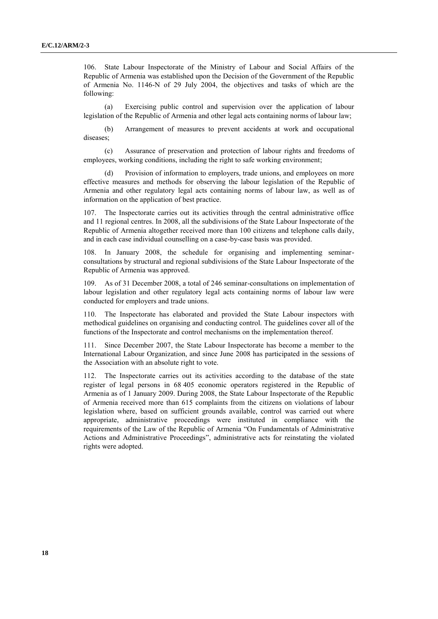106. State Labour Inspectorate of the Ministry of Labour and Social Affairs of the Republic of Armenia was established upon the Decision of the Government of the Republic of Armenia No. 1146-N of 29 July 2004, the objectives and tasks of which are the following:

(a) Exercising public control and supervision over the application of labour legislation of the Republic of Armenia and other legal acts containing norms of labour law;

(b) Arrangement of measures to prevent accidents at work and occupational diseases;

(c) Assurance of preservation and protection of labour rights and freedoms of employees, working conditions, including the right to safe working environment;

(d) Provision of information to employers, trade unions, and employees on more effective measures and methods for observing the labour legislation of the Republic of Armenia and other regulatory legal acts containing norms of labour law, as well as of information on the application of best practice.

107. The Inspectorate carries out its activities through the central administrative office and 11 regional centres. In 2008, all the subdivisions of the State Labour Inspectorate of the Republic of Armenia altogether received more than 100 citizens and telephone calls daily, and in each case individual counselling on a case-by-case basis was provided.

108. In January 2008, the schedule for organising and implementing seminarconsultations by structural and regional subdivisions of the State Labour Inspectorate of the Republic of Armenia was approved.

109. As of 31 December 2008, a total of 246 seminar-consultations on implementation of labour legislation and other regulatory legal acts containing norms of labour law were conducted for employers and trade unions.

110. The Inspectorate has elaborated and provided the State Labour inspectors with methodical guidelines on organising and conducting control. The guidelines cover all of the functions of the Inspectorate and control mechanisms on the implementation thereof.

111. Since December 2007, the State Labour Inspectorate has become a member to the International Labour Organization, and since June 2008 has participated in the sessions of the Association with an absolute right to vote.

112. The Inspectorate carries out its activities according to the database of the state register of legal persons in 68 405 economic operators registered in the Republic of Armenia as of 1 January 2009. During 2008, the State Labour Inspectorate of the Republic of Armenia received more than 615 complaints from the citizens on violations of labour legislation where, based on sufficient grounds available, control was carried out where appropriate, administrative proceedings were instituted in compliance with the requirements of the Law of the Republic of Armenia "On Fundamentals of Administrative Actions and Administrative Proceedings", administrative acts for reinstating the violated rights were adopted.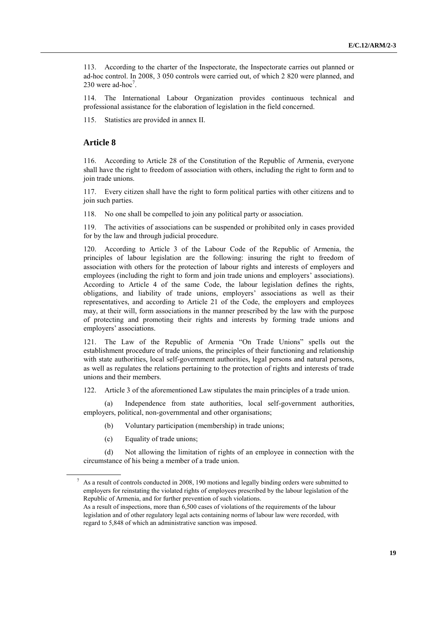113. According to the charter of the Inspectorate, the Inspectorate carries out planned or ad-hoc control. In 2008, 3 050 controls were carried out, of which 2 820 were planned, and 230 were ad-hoc<sup>7</sup>.

114. The International Labour Organization provides continuous technical and professional assistance for the elaboration of legislation in the field concerned.

115. Statistics are provided in annex II.

#### **Article 8**

116. According to Article 28 of the Constitution of the Republic of Armenia, everyone shall have the right to freedom of association with others, including the right to form and to join trade unions.

117. Every citizen shall have the right to form political parties with other citizens and to join such parties.

118. No one shall be compelled to join any political party or association.

119. The activities of associations can be suspended or prohibited only in cases provided for by the law and through judicial procedure.

120. According to Article 3 of the Labour Code of the Republic of Armenia, the principles of labour legislation are the following: insuring the right to freedom of association with others for the protection of labour rights and interests of employers and employees (including the right to form and join trade unions and employers' associations). According to Article 4 of the same Code, the labour legislation defines the rights, obligations, and liability of trade unions, employers' associations as well as their representatives, and according to Article 21 of the Code, the employers and employees may, at their will, form associations in the manner prescribed by the law with the purpose of protecting and promoting their rights and interests by forming trade unions and employers' associations.

121. The Law of the Republic of Armenia "On Trade Unions" spells out the establishment procedure of trade unions, the principles of their functioning and relationship with state authorities, local self-government authorities, legal persons and natural persons, as well as regulates the relations pertaining to the protection of rights and interests of trade unions and their members.

122. Article 3 of the aforementioned Law stipulates the main principles of a trade union.

(a) Independence from state authorities, local self-government authorities, employers, political, non-governmental and other organisations;

- (b) Voluntary participation (membership) in trade unions;
- (c) Equality of trade unions;

(d) Not allowing the limitation of rights of an employee in connection with the circumstance of his being a member of a trade union.

<sup>7</sup> As a result of controls conducted in 2008, 190 motions and legally binding orders were submitted to employers for reinstating the violated rights of employees prescribed by the labour legislation of the Republic of Armenia, and for further prevention of such violations.

As a result of inspections, more than 6,500 cases of violations of the requirements of the labour legislation and of other regulatory legal acts containing norms of labour law were recorded, with regard to 5,848 of which an administrative sanction was imposed.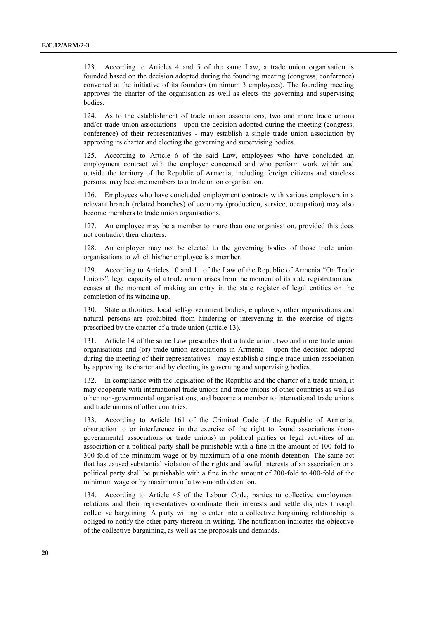123. According to Articles 4 and 5 of the same Law, a trade union organisation is founded based on the decision adopted during the founding meeting (congress, conference) convened at the initiative of its founders (minimum 3 employees). The founding meeting approves the charter of the organisation as well as elects the governing and supervising bodies.

124. As to the establishment of trade union associations, two and more trade unions and/or trade union associations - upon the decision adopted during the meeting (congress, conference) of their representatives - may establish a single trade union association by approving its charter and electing the governing and supervising bodies.

125. According to Article 6 of the said Law, employees who have concluded an employment contract with the employer concerned and who perform work within and outside the territory of the Republic of Armenia, including foreign citizens and stateless persons, may become members to a trade union organisation.

126. Employees who have concluded employment contracts with various employers in a relevant branch (related branches) of economy (production, service, occupation) may also become members to trade union organisations.

127. An employee may be a member to more than one organisation, provided this does not contradict their charters.

128. An employer may not be elected to the governing bodies of those trade union organisations to which his/her employee is a member.

129. According to Articles 10 and 11 of the Law of the Republic of Armenia "On Trade Unions", legal capacity of a trade union arises from the moment of its state registration and ceases at the moment of making an entry in the state register of legal entities on the completion of its winding up.

130. State authorities, local self-government bodies, employers, other organisations and natural persons are prohibited from hindering or intervening in the exercise of rights prescribed by the charter of a trade union (article 13).

Article 14 of the same Law prescribes that a trade union, two and more trade union organisations and (or) trade union associations in Armenia – upon the decision adopted during the meeting of their representatives - may establish a single trade union association by approving its charter and by electing its governing and supervising bodies.

132. In compliance with the legislation of the Republic and the charter of a trade union, it may cooperate with international trade unions and trade unions of other countries as well as other non-governmental organisations, and become a member to international trade unions and trade unions of other countries.

133. According to Article 161 of the Criminal Code of the Republic of Armenia, obstruction to or interference in the exercise of the right to found associations (nongovernmental associations or trade unions) or political parties or legal activities of an association or a political party shall be punishable with a fine in the amount of 100-fold to 300-fold of the minimum wage or by maximum of a one-month detention. The same act that has caused substantial violation of the rights and lawful interests of an association or a political party shall be punishable with a fine in the amount of 200-fold to 400-fold of the minimum wage or by maximum of a two-month detention.

134. According to Article 45 of the Labour Code, parties to collective employment relations and their representatives coordinate their interests and settle disputes through collective bargaining. A party willing to enter into a collective bargaining relationship is obliged to notify the other party thereon in writing. The notification indicates the objective of the collective bargaining, as well as the proposals and demands.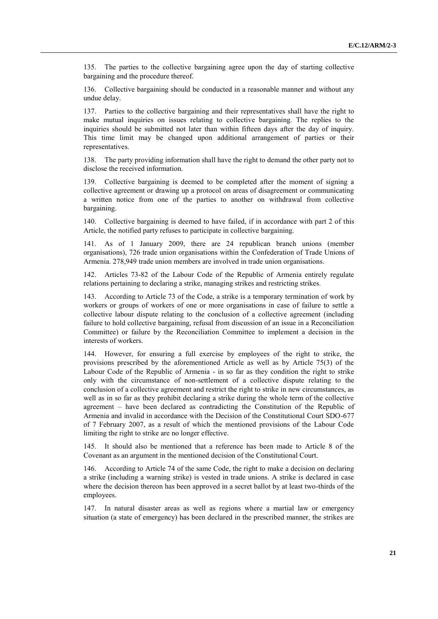135. The parties to the collective bargaining agree upon the day of starting collective bargaining and the procedure thereof.

136. Collective bargaining should be conducted in a reasonable manner and without any undue delay.

137. Parties to the collective bargaining and their representatives shall have the right to make mutual inquiries on issues relating to collective bargaining. The replies to the inquiries should be submitted not later than within fifteen days after the day of inquiry. This time limit may be changed upon additional arrangement of parties or their representatives.

138. The party providing information shall have the right to demand the other party not to disclose the received information.

139. Collective bargaining is deemed to be completed after the moment of signing a collective agreement or drawing up a protocol on areas of disagreement or communicating a written notice from one of the parties to another on withdrawal from collective bargaining.

140. Collective bargaining is deemed to have failed, if in accordance with part 2 of this Article, the notified party refuses to participate in collective bargaining.

As of 1 January 2009, there are 24 republican branch unions (member organisations), 726 trade union organisations within the Confederation of Trade Unions of Armenia. 278,949 trade union members are involved in trade union organisations.

Articles 73-82 of the Labour Code of the Republic of Armenia entirely regulate relations pertaining to declaring a strike, managing strikes and restricting strikes.

143. According to Article 73 of the Code, a strike is a temporary termination of work by workers or groups of workers of one or more organisations in case of failure to settle a collective labour dispute relating to the conclusion of a collective agreement (including failure to hold collective bargaining, refusal from discussion of an issue in a Reconciliation Committee) or failure by the Reconciliation Committee to implement a decision in the interests of workers.

144. However, for ensuring a full exercise by employees of the right to strike, the provisions prescribed by the aforementioned Article as well as by Article 75(3) of the Labour Code of the Republic of Armenia - in so far as they condition the right to strike only with the circumstance of non-settlement of a collective dispute relating to the conclusion of a collective agreement and restrict the right to strike in new circumstances, as well as in so far as they prohibit declaring a strike during the whole term of the collective agreement – have been declared as contradicting the Constitution of the Republic of Armenia and invalid in accordance with the Decision of the Constitutional Court SDO-677 of 7 February 2007, as a result of which the mentioned provisions of the Labour Code limiting the right to strike are no longer effective.

145. It should also be mentioned that a reference has been made to Article 8 of the Covenant as an argument in the mentioned decision of the Constitutional Court.

146. According to Article 74 of the same Code, the right to make a decision on declaring a strike (including a warning strike) is vested in trade unions. A strike is declared in case where the decision thereon has been approved in a secret ballot by at least two-thirds of the employees.

147. In natural disaster areas as well as regions where a martial law or emergency situation (a state of emergency) has been declared in the prescribed manner, the strikes are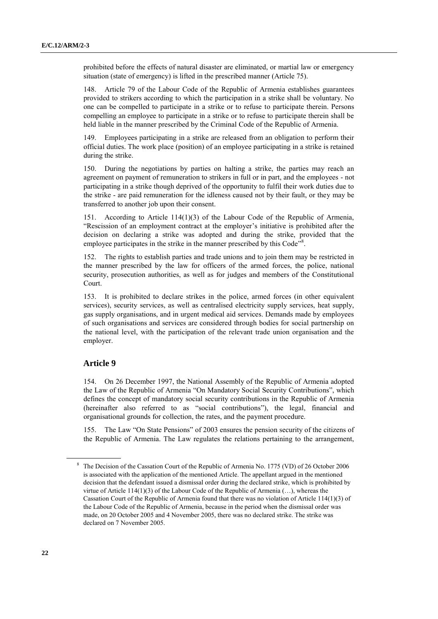prohibited before the effects of natural disaster are eliminated, or martial law or emergency situation (state of emergency) is lifted in the prescribed manner (Article 75).

148. Article 79 of the Labour Code of the Republic of Armenia establishes guarantees provided to strikers according to which the participation in a strike shall be voluntary. No one can be compelled to participate in a strike or to refuse to participate therein. Persons compelling an employee to participate in a strike or to refuse to participate therein shall be held liable in the manner prescribed by the Criminal Code of the Republic of Armenia.

149. Employees participating in a strike are released from an obligation to perform their official duties. The work place (position) of an employee participating in a strike is retained during the strike.

150. During the negotiations by parties on halting a strike, the parties may reach an agreement on payment of remuneration to strikers in full or in part, and the employees - not participating in a strike though deprived of the opportunity to fulfil their work duties due to the strike - are paid remuneration for the idleness caused not by their fault, or they may be transferred to another job upon their consent.

151. According to Article 114(1)(3) of the Labour Code of the Republic of Armenia, "Rescission of an employment contract at the employer's initiative is prohibited after the decision on declaring a strike was adopted and during the strike, provided that the employee participates in the strike in the manner prescribed by this Code<sup>78</sup>.

152. The rights to establish parties and trade unions and to join them may be restricted in the manner prescribed by the law for officers of the armed forces, the police, national security, prosecution authorities, as well as for judges and members of the Constitutional Court.

153. It is prohibited to declare strikes in the police, armed forces (in other equivalent services), security services, as well as centralised electricity supply services, heat supply, gas supply organisations, and in urgent medical aid services. Demands made by employees of such organisations and services are considered through bodies for social partnership on the national level, with the participation of the relevant trade union organisation and the employer.

#### **Article 9**

154. On 26 December 1997, the National Assembly of the Republic of Armenia adopted the Law of the Republic of Armenia "On Mandatory Social Security Contributions", which defines the concept of mandatory social security contributions in the Republic of Armenia (hereinafter also referred to as "social contributions"), the legal, financial and organisational grounds for collection, the rates, and the payment procedure.

155. The Law "On State Pensions" of 2003 ensures the pension security of the citizens of the Republic of Armenia. The Law regulates the relations pertaining to the arrangement,

<sup>8</sup> The Decision of the Cassation Court of the Republic of Armenia No. 1775 (VD) of 26 October 2006 is associated with the application of the mentioned Article. The appellant argued in the mentioned decision that the defendant issued a dismissal order during the declared strike, which is prohibited by virtue of Article 114(1)(3) of the Labour Code of the Republic of Armenia (…), whereas the Cassation Court of the Republic of Armenia found that there was no violation of Article 114(1)(3) of the Labour Code of the Republic of Armenia, because in the period when the dismissal order was made, on 20 October 2005 and 4 November 2005, there was no declared strike. The strike was declared on 7 November 2005.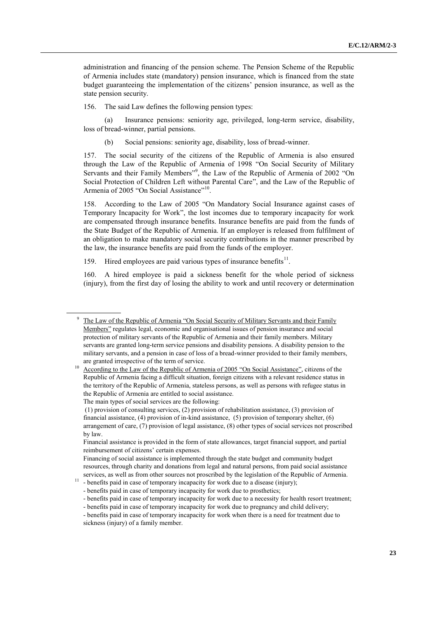administration and financing of the pension scheme. The Pension Scheme of the Republic of Armenia includes state (mandatory) pension insurance, which is financed from the state budget guaranteeing the implementation of the citizens' pension insurance, as well as the state pension security.

156. The said Law defines the following pension types:

(a) Insurance pensions: seniority age, privileged, long-term service, disability, loss of bread-winner, partial pensions.

(b) Social pensions: seniority age, disability, loss of bread-winner.

157. The social security of the citizens of the Republic of Armenia is also ensured through the Law of the Republic of Armenia of 1998 "On Social Security of Military Servants and their Family Members"<sup>9</sup>, the Law of the Republic of Armenia of 2002 "On Social Protection of Children Left without Parental Care", and the Law of the Republic of Armenia of 2005 "On Social Assistance"<sup>10</sup>.

158. According to the Law of 2005 "On Mandatory Social Insurance against cases of Temporary Incapacity for Work", the lost incomes due to temporary incapacity for work are compensated through insurance benefits. Insurance benefits are paid from the funds of the State Budget of the Republic of Armenia. If an employer is released from fulfilment of an obligation to make mandatory social security contributions in the manner prescribed by the law, the insurance benefits are paid from the funds of the employer.

159. Hired employees are paid various types of insurance benefits $11$ .

160. A hired employee is paid a sickness benefit for the whole period of sickness (injury), from the first day of losing the ability to work and until recovery or determination

The Law of the Republic of Armenia "On Social Security of Military Servants and their Family Members" regulates legal, economic and organisational issues of pension insurance and social protection of military servants of the Republic of Armenia and their family members. Military servants are granted long-term service pensions and disability pensions. A disability pension to the military servants, and a pension in case of loss of a bread-winner provided to their family members, are granted irrespective of the term of service.

<sup>&</sup>lt;sup>10</sup> According to the Law of the Republic of Armenia of 2005 "On Social Assistance", citizens of the Republic of Armenia facing a difficult situation, foreign citizens with a relevant residence status in the territory of the Republic of Armenia, stateless persons, as well as persons with refugee status in the Republic of Armenia are entitled to social assistance.

The main types of social services are the following:

<sup>(1)</sup> provision of consulting services, (2) provision of rehabilitation assistance, (3) provision of financial assistance, (4) provision of in-kind assistance, (5) provision of temporary shelter, (6) arrangement of care, (7) provision of legal assistance, (8) other types of social services not proscribed by law.

Financial assistance is provided in the form of state allowances, target financial support, and partial reimbursement of citizens' certain expenses.

Financing of social assistance is implemented through the state budget and community budget resources, through charity and donations from legal and natural persons, from paid social assistance services, as well as from other sources not proscribed by the legislation of the Republic of Armenia.

 $11$  - benefits paid in case of temporary incapacity for work due to a disease (injury);

<sup>-</sup> benefits paid in case of temporary incapacity for work due to prosthetics;

<sup>-</sup> benefits paid in case of temporary incapacity for work due to a necessity for health resort treatment;

<sup>-</sup> benefits paid in case of temporary incapacity for work due to pregnancy and child delivery;

<sup>-</sup> benefits paid in case of temporary incapacity for work when there is a need for treatment due to sickness (injury) of a family member.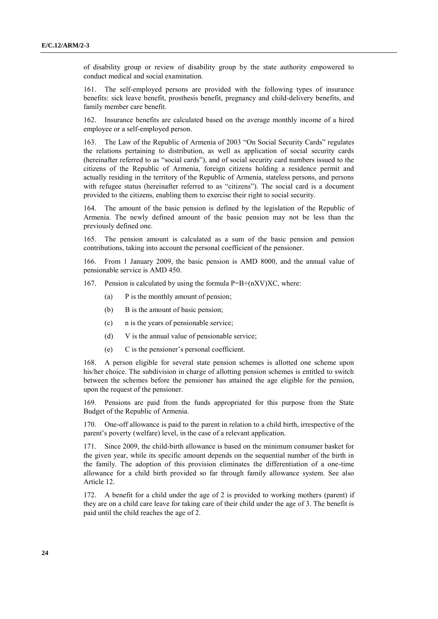of disability group or review of disability group by the state authority empowered to conduct medical and social examination.

161. The self-employed persons are provided with the following types of insurance benefits: sick leave benefit, prosthesis benefit, pregnancy and child-delivery benefits, and family member care benefit.

162. Insurance benefits are calculated based on the average monthly income of a hired employee or a self-employed person.

163. The Law of the Republic of Armenia of 2003 "On Social Security Cards" regulates the relations pertaining to distribution, as well as application of social security cards (hereinafter referred to as "social cards"), and of social security card numbers issued to the citizens of the Republic of Armenia, foreign citizens holding a residence permit and actually residing in the territory of the Republic of Armenia, stateless persons, and persons with refugee status (hereinafter referred to as "citizens"). The social card is a document provided to the citizens, enabling them to exercise their right to social security.

164. The amount of the basic pension is defined by the legislation of the Republic of Armenia. The newly defined amount of the basic pension may not be less than the previously defined one.

165. The pension amount is calculated as a sum of the basic pension and pension contributions, taking into account the personal coefficient of the pensioner.

166. From 1 January 2009, the basic pension is AMD 8000, and the annual value of pensionable service is AMD 450.

167. Pension is calculated by using the formula  $P=B+(nXV)XC$ , where:

- (a) P is the monthly amount of pension;
- (b) B is the amount of basic pension;
- (c) n is the years of pensionable service;
- (d) V is the annual value of pensionable service;
- (e) C is the pensioner's personal coefficient.

168. A person eligible for several state pension schemes is allotted one scheme upon his/her choice. The subdivision in charge of allotting pension schemes is entitled to switch between the schemes before the pensioner has attained the age eligible for the pension, upon the request of the pensioner.

169. Pensions are paid from the funds appropriated for this purpose from the State Budget of the Republic of Armenia.

170. One-off allowance is paid to the parent in relation to a child birth, irrespective of the parent's poverty (welfare) level, in the case of a relevant application.

171. Since 2009, the child-birth allowance is based on the minimum consumer basket for the given year, while its specific amount depends on the sequential number of the birth in the family. The adoption of this provision eliminates the differentiation of a one-time allowance for a child birth provided so far through family allowance system. See also Article 12.

172. A benefit for a child under the age of 2 is provided to working mothers (parent) if they are on a child care leave for taking care of their child under the age of 3. The benefit is paid until the child reaches the age of 2.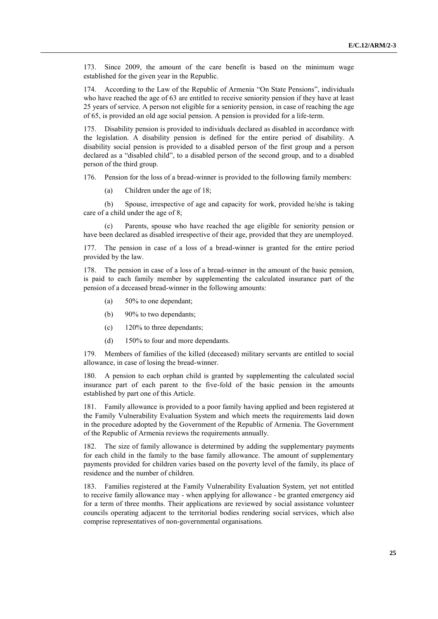173. Since 2009, the amount of the care benefit is based on the minimum wage established for the given year in the Republic.

174. According to the Law of the Republic of Armenia "On State Pensions", individuals who have reached the age of 63 are entitled to receive seniority pension if they have at least 25 years of service. A person not eligible for a seniority pension, in case of reaching the age of 65, is provided an old age social pension. A pension is provided for a life-term.

175. Disability pension is provided to individuals declared as disabled in accordance with the legislation. A disability pension is defined for the entire period of disability. A disability social pension is provided to a disabled person of the first group and a person declared as a "disabled child", to a disabled person of the second group, and to a disabled person of the third group.

176. Pension for the loss of a bread-winner is provided to the following family members:

(a) Children under the age of 18;

(b) Spouse, irrespective of age and capacity for work, provided he/she is taking care of a child under the age of 8;

(c) Parents, spouse who have reached the age eligible for seniority pension or have been declared as disabled irrespective of their age, provided that they are unemployed.

177. The pension in case of a loss of a bread-winner is granted for the entire period provided by the law.

178. The pension in case of a loss of a bread-winner in the amount of the basic pension, is paid to each family member by supplementing the calculated insurance part of the pension of a deceased bread-winner in the following amounts:

- (a) 50% to one dependant;
- (b) 90% to two dependants;
- (c) 120% to three dependants;
- (d) 150% to four and more dependants.

179. Members of families of the killed (deceased) military servants are entitled to social allowance, in case of losing the bread-winner.

180. A pension to each orphan child is granted by supplementing the calculated social insurance part of each parent to the five-fold of the basic pension in the amounts established by part one of this Article.

181. Family allowance is provided to a poor family having applied and been registered at the Family Vulnerability Evaluation System and which meets the requirements laid down in the procedure adopted by the Government of the Republic of Armenia. The Government of the Republic of Armenia reviews the requirements annually.

182. The size of family allowance is determined by adding the supplementary payments for each child in the family to the base family allowance. The amount of supplementary payments provided for children varies based on the poverty level of the family, its place of residence and the number of children.

183. Families registered at the Family Vulnerability Evaluation System, yet not entitled to receive family allowance may - when applying for allowance - be granted emergency aid for a term of three months. Their applications are reviewed by social assistance volunteer councils operating adjacent to the territorial bodies rendering social services, which also comprise representatives of non-governmental organisations.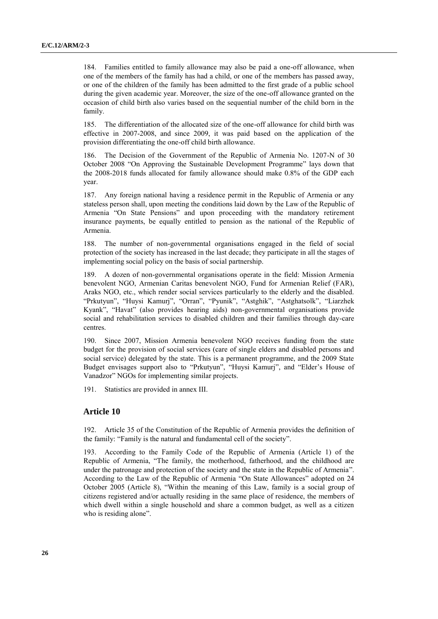184. Families entitled to family allowance may also be paid a one-off allowance, when one of the members of the family has had a child, or one of the members has passed away, or one of the children of the family has been admitted to the first grade of a public school during the given academic year. Moreover, the size of the one-off allowance granted on the occasion of child birth also varies based on the sequential number of the child born in the family.

185. The differentiation of the allocated size of the one-off allowance for child birth was effective in 2007-2008, and since 2009, it was paid based on the application of the provision differentiating the one-off child birth allowance.

186. The Decision of the Government of the Republic of Armenia No. 1207-N of 30 October 2008 "On Approving the Sustainable Development Programme" lays down that the 2008-2018 funds allocated for family allowance should make 0.8% of the GDP each year.

187. Any foreign national having a residence permit in the Republic of Armenia or any stateless person shall, upon meeting the conditions laid down by the Law of the Republic of Armenia "On State Pensions" and upon proceeding with the mandatory retirement insurance payments, be equally entitled to pension as the national of the Republic of Armenia.

188. The number of non-governmental organisations engaged in the field of social protection of the society has increased in the last decade; they participate in all the stages of implementing social policy on the basis of social partnership.

189. A dozen of non-governmental organisations operate in the field: Mission Armenia benevolent NGO, Armenian Caritas benevolent NGO, Fund for Armenian Relief (FAR), Araks NGO, etc., which render social services particularly to the elderly and the disabled. "Prkutyun", "Huysi Kamurj", "Orran", "Pyunik", "Astghik", "Astghatsolk", "Liarzhek Kyank", "Havat" (also provides hearing aids) non-governmental organisations provide social and rehabilitation services to disabled children and their families through day-care centres.

190. Since 2007, Mission Armenia benevolent NGO receives funding from the state budget for the provision of social services (care of single elders and disabled persons and social service) delegated by the state. This is a permanent programme, and the 2009 State Budget envisages support also to "Prkutyun", "Huysi Kamurj", and "Elder's House of Vanadzor" NGOs for implementing similar projects.

191. Statistics are provided in annex III.

#### **Article 10**

192. Article 35 of the Constitution of the Republic of Armenia provides the definition of the family: "Family is the natural and fundamental cell of the society".

193. According to the Family Code of the Republic of Armenia (Article 1) of the Republic of Armenia, "The family, the motherhood, fatherhood, and the childhood are under the patronage and protection of the society and the state in the Republic of Armenia". According to the Law of the Republic of Armenia "On State Allowances" adopted on 24 October 2005 (Article 8), "Within the meaning of this Law, family is a social group of citizens registered and/or actually residing in the same place of residence, the members of which dwell within a single household and share a common budget, as well as a citizen who is residing alone".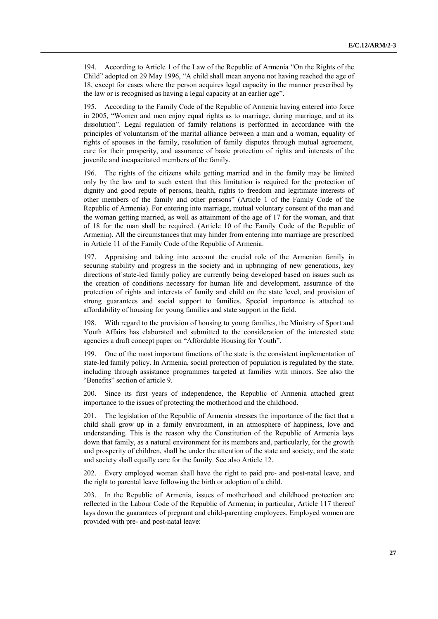194. According to Article 1 of the Law of the Republic of Armenia "On the Rights of the Child" adopted on 29 May 1996, "A child shall mean anyone not having reached the age of 18, except for cases where the person acquires legal capacity in the manner prescribed by the law or is recognised as having a legal capacity at an earlier age".

195. According to the Family Code of the Republic of Armenia having entered into force in 2005, "Women and men enjoy equal rights as to marriage, during marriage, and at its dissolution". Legal regulation of family relations is performed in accordance with the principles of voluntarism of the marital alliance between a man and a woman, equality of rights of spouses in the family, resolution of family disputes through mutual agreement, care for their prosperity, and assurance of basic protection of rights and interests of the juvenile and incapacitated members of the family.

196. The rights of the citizens while getting married and in the family may be limited only by the law and to such extent that this limitation is required for the protection of dignity and good repute of persons, health, rights to freedom and legitimate interests of other members of the family and other persons" (Article 1 of the Family Code of the Republic of Armenia). For entering into marriage, mutual voluntary consent of the man and the woman getting married, as well as attainment of the age of 17 for the woman, and that of 18 for the man shall be required. (Article 10 of the Family Code of the Republic of Armenia). All the circumstances that may hinder from entering into marriage are prescribed in Article 11 of the Family Code of the Republic of Armenia.

197. Appraising and taking into account the crucial role of the Armenian family in securing stability and progress in the society and in upbringing of new generations, key directions of state-led family policy are currently being developed based on issues such as the creation of conditions necessary for human life and development, assurance of the protection of rights and interests of family and child on the state level, and provision of strong guarantees and social support to families. Special importance is attached to affordability of housing for young families and state support in the field.

198. With regard to the provision of housing to young families, the Ministry of Sport and Youth Affairs has elaborated and submitted to the consideration of the interested state agencies a draft concept paper on "Affordable Housing for Youth".

199. One of the most important functions of the state is the consistent implementation of state-led family policy. In Armenia, social protection of population is regulated by the state, including through assistance programmes targeted at families with minors. See also the "Benefits" section of article 9.

200. Since its first years of independence, the Republic of Armenia attached great importance to the issues of protecting the motherhood and the childhood.

201. The legislation of the Republic of Armenia stresses the importance of the fact that a child shall grow up in a family environment, in an atmosphere of happiness, love and understanding. This is the reason why the Constitution of the Republic of Armenia lays down that family, as a natural environment for its members and, particularly, for the growth and prosperity of children, shall be under the attention of the state and society, and the state and society shall equally care for the family. See also Article 12.

202. Every employed woman shall have the right to paid pre- and post-natal leave, and the right to parental leave following the birth or adoption of a child.

203. In the Republic of Armenia, issues of motherhood and childhood protection are reflected in the Labour Code of the Republic of Armenia; in particular, Article 117 thereof lays down the guarantees of pregnant and child-parenting employees. Employed women are provided with pre- and post-natal leave: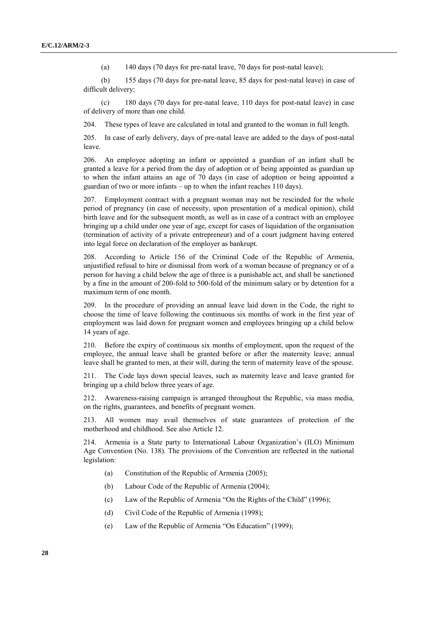(a) 140 days (70 days for pre-natal leave, 70 days for post-natal leave);

(b) 155 days (70 days for pre-natal leave, 85 days for post-natal leave) in case of difficult delivery;

(c) 180 days (70 days for pre-natal leave, 110 days for post-natal leave) in case of delivery of more than one child.

204. These types of leave are calculated in total and granted to the woman in full length.

205. In case of early delivery, days of pre-natal leave are added to the days of post-natal leave.

206. An employee adopting an infant or appointed a guardian of an infant shall be granted a leave for a period from the day of adoption or of being appointed as guardian up to when the infant attains an age of 70 days (in case of adoption or being appointed a guardian of two or more infants – up to when the infant reaches 110 days).

207. Employment contract with a pregnant woman may not be rescinded for the whole period of pregnancy (in case of necessity, upon presentation of a medical opinion), child birth leave and for the subsequent month, as well as in case of a contract with an employee bringing up a child under one year of age, except for cases of liquidation of the organisation (termination of activity of a private entrepreneur) and of a court judgment having entered into legal force on declaration of the employer as bankrupt.

208. According to Article 156 of the Criminal Code of the Republic of Armenia, unjustified refusal to hire or dismissal from work of a woman because of pregnancy or of a person for having a child below the age of three is a punishable act, and shall be sanctioned by a fine in the amount of 200-fold to 500-fold of the minimum salary or by detention for a maximum term of one month.

209. In the procedure of providing an annual leave laid down in the Code, the right to choose the time of leave following the continuous six months of work in the first year of employment was laid down for pregnant women and employees bringing up a child below 14 years of age.

210. Before the expiry of continuous six months of employment, upon the request of the employee, the annual leave shall be granted before or after the maternity leave; annual leave shall be granted to men, at their will, during the term of maternity leave of the spouse.

211. The Code lays down special leaves, such as maternity leave and leave granted for bringing up a child below three years of age.

212. Awareness-raising campaign is arranged throughout the Republic, via mass media, on the rights, guarantees, and benefits of pregnant women.

213. All women may avail themselves of state guarantees of protection of the motherhood and childhood. See also Article 12.

214. Armenia is a State party to International Labour Organization's (ILO) Minimum Age Convention (No. 138). The provisions of the Convention are reflected in the national legislation:

- (a) Constitution of the Republic of Armenia (2005);
- (b) Labour Code of the Republic of Armenia (2004);
- (c) Law of the Republic of Armenia "On the Rights of the Child" (1996);
- (d) Civil Code of the Republic of Armenia (1998);
- (e) Law of the Republic of Armenia "On Education" (1999);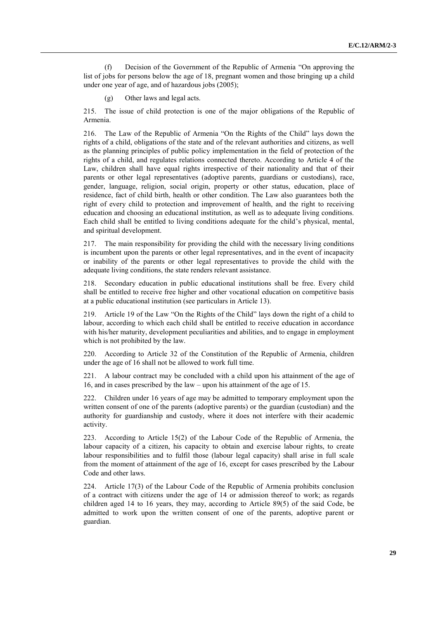(f) Decision of the Government of the Republic of Armenia "On approving the list of jobs for persons below the age of 18, pregnant women and those bringing up a child under one year of age, and of hazardous jobs (2005);

(g) Other laws and legal acts.

215. The issue of child protection is one of the major obligations of the Republic of Armenia.

216. The Law of the Republic of Armenia "On the Rights of the Child" lays down the rights of a child, obligations of the state and of the relevant authorities and citizens, as well as the planning principles of public policy implementation in the field of protection of the rights of a child, and regulates relations connected thereto. According to Article 4 of the Law, children shall have equal rights irrespective of their nationality and that of their parents or other legal representatives (adoptive parents, guardians or custodians), race, gender, language, religion, social origin, property or other status, education, place of residence, fact of child birth, health or other condition. The Law also guarantees both the right of every child to protection and improvement of health, and the right to receiving education and choosing an educational institution, as well as to adequate living conditions. Each child shall be entitled to living conditions adequate for the child's physical, mental, and spiritual development.

217. The main responsibility for providing the child with the necessary living conditions is incumbent upon the parents or other legal representatives, and in the event of incapacity or inability of the parents or other legal representatives to provide the child with the adequate living conditions, the state renders relevant assistance.

218. Secondary education in public educational institutions shall be free. Every child shall be entitled to receive free higher and other vocational education on competitive basis at a public educational institution (see particulars in Article 13).

219. Article 19 of the Law "On the Rights of the Child" lays down the right of a child to labour, according to which each child shall be entitled to receive education in accordance with his/her maturity, development peculiarities and abilities, and to engage in employment which is not prohibited by the law.

220. According to Article 32 of the Constitution of the Republic of Armenia, children under the age of 16 shall not be allowed to work full time.

221. A labour contract may be concluded with a child upon his attainment of the age of 16, and in cases prescribed by the law – upon his attainment of the age of 15.

222. Children under 16 years of age may be admitted to temporary employment upon the written consent of one of the parents (adoptive parents) or the guardian (custodian) and the authority for guardianship and custody, where it does not interfere with their academic activity.

223. According to Article 15(2) of the Labour Code of the Republic of Armenia, the labour capacity of a citizen, his capacity to obtain and exercise labour rights, to create labour responsibilities and to fulfil those (labour legal capacity) shall arise in full scale from the moment of attainment of the age of 16, except for cases prescribed by the Labour Code and other laws.

224. Article 17(3) of the Labour Code of the Republic of Armenia prohibits conclusion of a contract with citizens under the age of 14 or admission thereof to work; as regards children aged 14 to 16 years, they may, according to Article 89(5) of the said Code, be admitted to work upon the written consent of one of the parents, adoptive parent or guardian.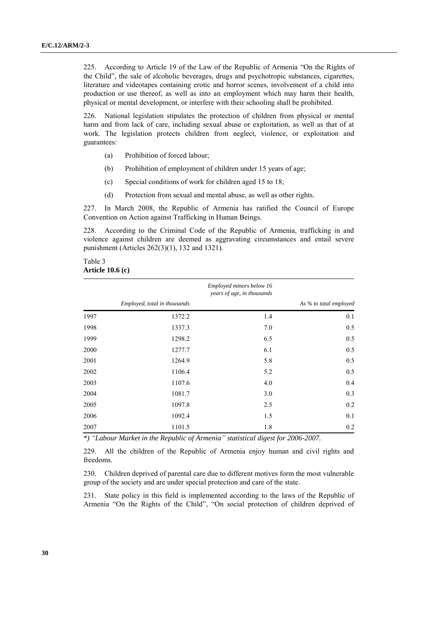225. According to Article 19 of the Law of the Republic of Armenia "On the Rights of the Child", the sale of alcoholic beverages, drugs and psychotropic substances, cigarettes, literature and videotapes containing erotic and horror scenes, involvement of a child into production or use thereof, as well as into an employment which may harm their health, physical or mental development, or interfere with their schooling shall be prohibited.

226. National legislation stipulates the protection of children from physical or mental harm and from lack of care, including sexual abuse or exploitation, as well as that of at work. The legislation protects children from neglect, violence, or exploitation and guarantees:

- (a) Prohibition of forced labour;
- (b) Prohibition of employment of children under 15 years of age;
- (c) Special conditions of work for children aged 15 to 18;
- (d) Protection from sexual and mental abuse, as well as other rights.

227. In March 2008, the Republic of Armenia has ratified the Council of Europe Convention on Action against Trafficking in Human Beings.

228. According to the Criminal Code of the Republic of Armenia, trafficking in and violence against children are deemed as aggravating circumstances and entail severe punishment (Articles 262(3)(1), 132 and 1321).

#### Table 3 **Article 10.6 (c)**

|      |                              | Employed minors below 16<br>years of age, in thousands |                        |
|------|------------------------------|--------------------------------------------------------|------------------------|
|      | Employed, total in thousands |                                                        | As % to total employed |
| 1997 | 1372.2                       | 1.4                                                    | 0.1                    |
| 1998 | 1337.3                       | 7.0                                                    | 0.5                    |
| 1999 | 1298.2                       | 6.5                                                    | 0.5                    |
| 2000 | 1277.7                       | 6.1                                                    | 0.5                    |
| 2001 | 1264.9                       | 5.8                                                    | 0.5                    |
| 2002 | 1106.4                       | 5.2                                                    | 0.5                    |
| 2003 | 1107.6                       | 4.0                                                    | 0.4                    |
| 2004 | 1081.7                       | 3.0                                                    | 0.3                    |
| 2005 | 1097.8                       | 2.5                                                    | 0.2                    |
| 2006 | 1092.4                       | 1.5                                                    | 0.1                    |
| 2007 | 1101.5                       | 1.8                                                    | 0.2                    |

*\*) "Labour Market in the Republic of Armenia" statistical digest for 2006-2007.*

229. All the children of the Republic of Armenia enjoy human and civil rights and freedoms.

230. Children deprived of parental care due to different motives form the most vulnerable group of the society and are under special protection and care of the state.

231. State policy in this field is implemented according to the laws of the Republic of Armenia "On the Rights of the Child", "On social protection of children deprived of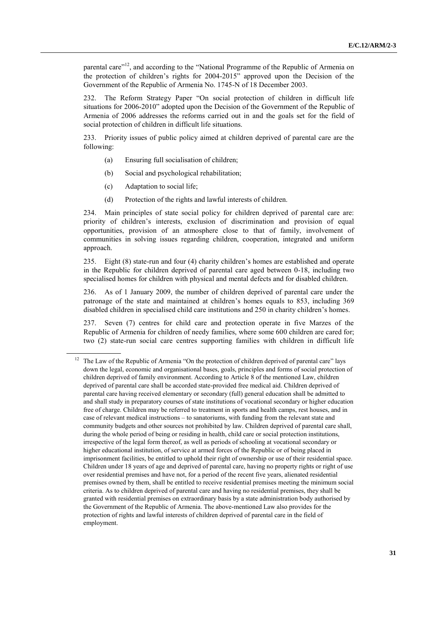parental care"<sup>12</sup>, and according to the "National Programme of the Republic of Armenia on the protection of children's rights for 2004-2015" approved upon the Decision of the Government of the Republic of Armenia No. 1745-N of 18 December 2003.

232. The Reform Strategy Paper "On social protection of children in difficult life situations for 2006-2010" adopted upon the Decision of the Government of the Republic of Armenia of 2006 addresses the reforms carried out in and the goals set for the field of social protection of children in difficult life situations.

233. Priority issues of public policy aimed at children deprived of parental care are the following:

- (a) Ensuring full socialisation of children;
- (b) Social and psychological rehabilitation;
- (c) Adaptation to social life;
- (d) Protection of the rights and lawful interests of children.

234. Main principles of state social policy for children deprived of parental care are: priority of children's interests, exclusion of discrimination and provision of equal opportunities, provision of an atmosphere close to that of family, involvement of communities in solving issues regarding children, cooperation, integrated and uniform approach.

235. Eight (8) state-run and four (4) charity children's homes are established and operate in the Republic for children deprived of parental care aged between 0-18, including two specialised homes for children with physical and mental defects and for disabled children.

236. As of 1 January 2009, the number of children deprived of parental care under the patronage of the state and maintained at children's homes equals to 853, including 369 disabled children in specialised child care institutions and 250 in charity children's homes.

237. Seven (7) centres for child care and protection operate in five Marzes of the Republic of Armenia for children of needy families, where some 600 children are cared for; two (2) state-run social care centres supporting families with children in difficult life

<sup>&</sup>lt;sup>12</sup> The Law of the Republic of Armenia "On the protection of children deprived of parental care" lays down the legal, economic and organisational bases, goals, principles and forms of social protection of children deprived of family environment. According to Article 8 of the mentioned Law, children deprived of parental care shall be accorded state-provided free medical aid. Children deprived of parental care having received elementary or secondary (full) general education shall be admitted to and shall study in preparatory courses of state institutions of vocational secondary or higher education free of charge. Children may be referred to treatment in sports and health camps, rest houses, and in case of relevant medical instructions – to sanatoriums, with funding from the relevant state and community budgets and other sources not prohibited by law. Children deprived of parental care shall, during the whole period of being or residing in health, child care or social protection institutions, irrespective of the legal form thereof, as well as periods of schooling at vocational secondary or higher educational institution, of service at armed forces of the Republic or of being placed in imprisonment facilities, be entitled to uphold their right of ownership or use of their residential space. Children under 18 years of age and deprived of parental care, having no property rights or right of use over residential premises and have not, for a period of the recent five years, alienated residential premises owned by them, shall be entitled to receive residential premises meeting the minimum social criteria. As to children deprived of parental care and having no residential premises, they shall be granted with residential premises on extraordinary basis by a state administration body authorised by the Government of the Republic of Armenia. The above-mentioned Law also provides for the protection of rights and lawful interests of children deprived of parental care in the field of employment.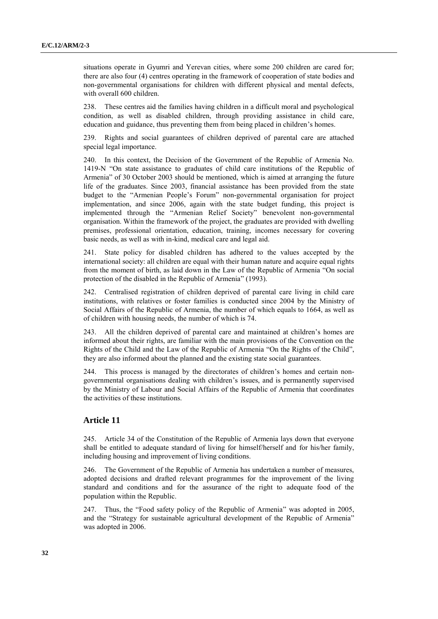situations operate in Gyumri and Yerevan cities, where some 200 children are cared for; there are also four (4) centres operating in the framework of cooperation of state bodies and non-governmental organisations for children with different physical and mental defects, with overall 600 children.

238. These centres aid the families having children in a difficult moral and psychological condition, as well as disabled children, through providing assistance in child care, education and guidance, thus preventing them from being placed in children's homes.

239. Rights and social guarantees of children deprived of parental care are attached special legal importance.

240. In this context, the Decision of the Government of the Republic of Armenia No. 1419-N "On state assistance to graduates of child care institutions of the Republic of Armenia" of 30 October 2003 should be mentioned, which is aimed at arranging the future life of the graduates. Since 2003, financial assistance has been provided from the state budget to the "Armenian People's Forum" non-governmental organisation for project implementation, and since 2006, again with the state budget funding, this project is implemented through the "Armenian Relief Society" benevolent non-governmental organisation. Within the framework of the project, the graduates are provided with dwelling premises, professional orientation, education, training, incomes necessary for covering basic needs, as well as with in-kind, medical care and legal aid.

241. State policy for disabled children has adhered to the values accepted by the international society: all children are equal with their human nature and acquire equal rights from the moment of birth, as laid down in the Law of the Republic of Armenia "On social protection of the disabled in the Republic of Armenia" (1993).

242. Centralised registration of children deprived of parental care living in child care institutions, with relatives or foster families is conducted since 2004 by the Ministry of Social Affairs of the Republic of Armenia, the number of which equals to 1664, as well as of children with housing needs, the number of which is 74.

243. All the children deprived of parental care and maintained at children's homes are informed about their rights, are familiar with the main provisions of the Convention on the Rights of the Child and the Law of the Republic of Armenia "On the Rights of the Child", they are also informed about the planned and the existing state social guarantees.

244. This process is managed by the directorates of children's homes and certain nongovernmental organisations dealing with children's issues, and is permanently supervised by the Ministry of Labour and Social Affairs of the Republic of Armenia that coordinates the activities of these institutions.

#### **Article 11**

245. Article 34 of the Constitution of the Republic of Armenia lays down that everyone shall be entitled to adequate standard of living for himself/herself and for his/her family, including housing and improvement of living conditions.

246. The Government of the Republic of Armenia has undertaken a number of measures, adopted decisions and drafted relevant programmes for the improvement of the living standard and conditions and for the assurance of the right to adequate food of the population within the Republic.

247. Thus, the "Food safety policy of the Republic of Armenia" was adopted in 2005, and the "Strategy for sustainable agricultural development of the Republic of Armenia" was adopted in 2006.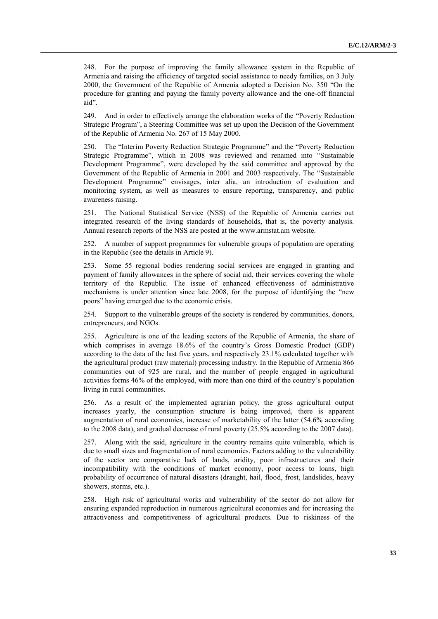248. For the purpose of improving the family allowance system in the Republic of Armenia and raising the efficiency of targeted social assistance to needy families, on 3 July 2000, the Government of the Republic of Armenia adopted a Decision No. 350 "On the procedure for granting and paying the family poverty allowance and the one-off financial aid".

249. And in order to effectively arrange the elaboration works of the "Poverty Reduction Strategic Program", a Steering Committee was set up upon the Decision of the Government of the Republic of Armenia No. 267 of 15 May 2000.

250. The "Interim Poverty Reduction Strategic Programme" and the "Poverty Reduction Strategic Programme", which in 2008 was reviewed and renamed into "Sustainable Development Programme", were developed by the said committee and approved by the Government of the Republic of Armenia in 2001 and 2003 respectively. The "Sustainable Development Programme" envisages, inter alia, an introduction of evaluation and monitoring system, as well as measures to ensure reporting, transparency, and public awareness raising.

251. The National Statistical Service (NSS) of the Republic of Armenia carries out integrated research of the living standards of households, that is, the poverty analysis. Annual research reports of the NSS are posted at the [www.armstat.am](http://www.armstat.am/) website.

252. A number of support programmes for vulnerable groups of population are operating in the Republic (see the details in Article 9).

253. Some 55 regional bodies rendering social services are engaged in granting and payment of family allowances in the sphere of social aid, their services covering the whole territory of the Republic. The issue of enhanced effectiveness of administrative mechanisms is under attention since late 2008, for the purpose of identifying the "new poors" having emerged due to the economic crisis.

254. Support to the vulnerable groups of the society is rendered by communities, donors, entrepreneurs, and NGOs.

255. Agriculture is one of the leading sectors of the Republic of Armenia, the share of which comprises in average 18.6% of the country's Gross Domestic Product (GDP) according to the data of the last five years, and respectively 23.1% calculated together with the agricultural product (raw material) processing industry. In the Republic of Armenia 866 communities out of 925 are rural, and the number of people engaged in agricultural activities forms 46% of the employed, with more than one third of the country's population living in rural communities.

256. As a result of the implemented agrarian policy, the gross agricultural output increases yearly, the consumption structure is being improved, there is apparent augmentation of rural economies, increase of marketability of the latter (54.6% according to the 2008 data), and gradual decrease of rural poverty (25.5% according to the 2007 data).

257. Along with the said, agriculture in the country remains quite vulnerable, which is due to small sizes and fragmentation of rural economies. Factors adding to the vulnerability of the sector are comparative lack of lands, aridity, poor infrastructures and their incompatibility with the conditions of market economy, poor access to loans, high probability of occurrence of natural disasters (draught, hail, flood, frost, landslides, heavy showers, storms, etc.).

258. High risk of agricultural works and vulnerability of the sector do not allow for ensuring expanded reproduction in numerous agricultural economies and for increasing the attractiveness and competitiveness of agricultural products. Due to riskiness of the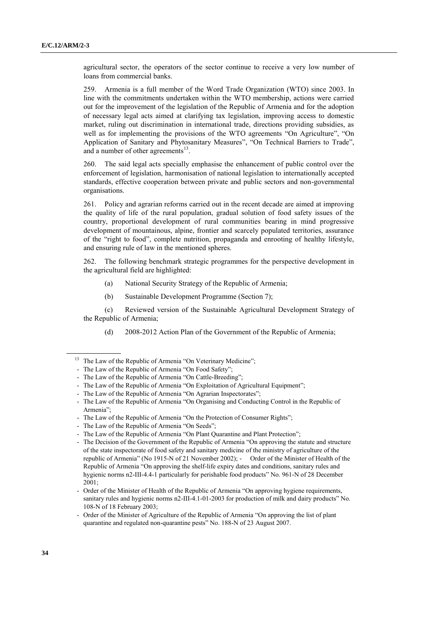agricultural sector, the operators of the sector continue to receive a very low number of loans from commercial banks.

259. Armenia is a full member of the Word Trade Organization (WTO) since 2003. In line with the commitments undertaken within the WTO membership, actions were carried out for the improvement of the legislation of the Republic of Armenia and for the adoption of necessary legal acts aimed at clarifying tax legislation, improving access to domestic market, ruling out discrimination in international trade, directions providing subsidies, as well as for implementing the provisions of the WTO agreements "On Agriculture", "On Application of Sanitary and Phytosanitary Measures", "On Technical Barriers to Trade", and a number of other agreements<sup>13</sup>.

260. The said legal acts specially emphasise the enhancement of public control over the enforcement of legislation, harmonisation of national legislation to internationally accepted standards, effective cooperation between private and public sectors and non-governmental organisations.

261. Policy and agrarian reforms carried out in the recent decade are aimed at improving the quality of life of the rural population, gradual solution of food safety issues of the country, proportional development of rural communities bearing in mind progressive development of mountainous, alpine, frontier and scarcely populated territories, assurance of the "right to food", complete nutrition, propaganda and enrooting of healthy lifestyle, and ensuring rule of law in the mentioned spheres.

262. The following benchmark strategic programmes for the perspective development in the agricultural field are highlighted:

- (a) National Security Strategy of the Republic of Armenia;
- (b) Sustainable Development Programme (Section 7);

(c) Reviewed version of the Sustainable Agricultural Development Strategy of the Republic of Armenia;

(d) 2008-2012 Action Plan of the Government of the Republic of Armenia;

- Order of the Minister of Agriculture of the Republic of Armenia "On approving the list of plant quarantine and regulated non-quarantine pests" No. 188-N of 23 August 2007.

 $13$  The Law of the Republic of Armenia "On Veterinary Medicine";

<sup>-</sup> The Law of the Republic of Armenia "On Food Safety";

<sup>-</sup> The Law of the Republic of Armenia "On Cattle-Breeding";

<sup>-</sup> The Law of the Republic of Armenia "On Exploitation of Agricultural Equipment";

<sup>-</sup> The Law of the Republic of Armenia "On Agrarian Inspectorates";

<sup>-</sup> The Law of the Republic of Armenia "On Organising and Conducting Control in the Republic of Armenia";

<sup>-</sup> The Law of the Republic of Armenia "On the Protection of Consumer Rights";

<sup>-</sup> The Law of the Republic of Armenia "On Seeds";

<sup>-</sup> The Law of the Republic of Armenia "On Plant Quarantine and Plant Protection";

<sup>-</sup> The Decision of the Government of the Republic of Armenia "On approving the statute and structure of the state inspectorate of food safety and sanitary medicine of the ministry of agriculture of the republic of Armenia" (No 1915-N of 21 November 2002); - Order of the Minister of Health of the Republic of Armenia "On approving the shelf-life expiry dates and conditions, sanitary rules and hygienic norms n2-III-4.4-1 particularly for perishable food products" No. 961-N of 28 December 2001;

<sup>-</sup> Order of the Minister of Health of the Republic of Armenia "On approving hygiene requirements, sanitary rules and hygienic norms n2-III-4.1-01-2003 for production of milk and dairy products" No. 108-N of 18 February 2003;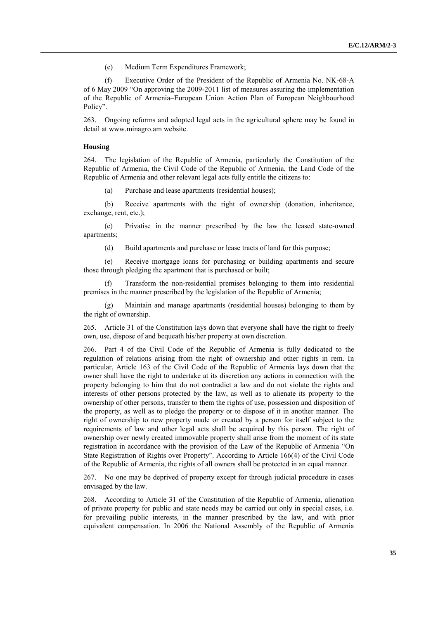(e) Medium Term Expenditures Framework;

(f) Executive Order of the President of the Republic of Armenia No. NK-68-A of 6 May 2009 "On approving the 2009-2011 list of measures assuring the implementation of the Republic of Armenia–European Union Action Plan of European Neighbourhood Policy".

263. Ongoing reforms and adopted legal acts in the agricultural sphere may be found in detail at [www.minagro.am](http://www.minagro.am/) website.

#### **Housing**

264. The legislation of the Republic of Armenia, particularly the Constitution of the Republic of Armenia, the Civil Code of the Republic of Armenia, the Land Code of the Republic of Armenia and other relevant legal acts fully entitle the citizens to:

(a) Purchase and lease apartments (residential houses);

(b) Receive apartments with the right of ownership (donation, inheritance, exchange, rent, etc.);

(c) Privatise in the manner prescribed by the law the leased state-owned apartments;

(d) Build apartments and purchase or lease tracts of land for this purpose;

(e) Receive mortgage loans for purchasing or building apartments and secure those through pledging the apartment that is purchased or built;

(f) Transform the non-residential premises belonging to them into residential premises in the manner prescribed by the legislation of the Republic of Armenia;

(g) Maintain and manage apartments (residential houses) belonging to them by the right of ownership.

265. Article 31 of the Constitution lays down that everyone shall have the right to freely own, use, dispose of and bequeath his/her property at own discretion.

266. Part 4 of the Civil Code of the Republic of Armenia is fully dedicated to the regulation of relations arising from the right of ownership and other rights in rem. In particular, Article 163 of the Civil Code of the Republic of Armenia lays down that the owner shall have the right to undertake at its discretion any actions in connection with the property belonging to him that do not contradict a law and do not violate the rights and interests of other persons protected by the law, as well as to alienate its property to the ownership of other persons, transfer to them the rights of use, possession and disposition of the property, as well as to pledge the property or to dispose of it in another manner. The right of ownership to new property made or created by a person for itself subject to the requirements of law and other legal acts shall be acquired by this person. The right of ownership over newly created immovable property shall arise from the moment of its state registration in accordance with the provision of the Law of the Republic of Armenia "On State Registration of Rights over Property". According to Article 166(4) of the Civil Code of the Republic of Armenia, the rights of all owners shall be protected in an equal manner.

267. No one may be deprived of property except for through judicial procedure in cases envisaged by the law.

268. According to Article 31 of the Constitution of the Republic of Armenia, alienation of private property for public and state needs may be carried out only in special cases, i.e. for prevailing public interests, in the manner prescribed by the law, and with prior equivalent compensation. In 2006 the National Assembly of the Republic of Armenia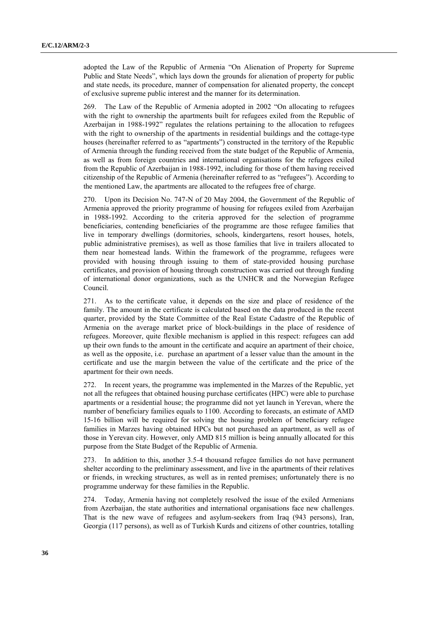adopted the Law of the Republic of Armenia "On Alienation of Property for Supreme Public and State Needs", which lays down the grounds for alienation of property for public and state needs, its procedure, manner of compensation for alienated property, the concept of exclusive supreme public interest and the manner for its determination.

269. The Law of the Republic of Armenia adopted in 2002 "On allocating to refugees with the right to ownership the apartments built for refugees exiled from the Republic of Azerbaijan in 1988-1992" regulates the relations pertaining to the allocation to refugees with the right to ownership of the apartments in residential buildings and the cottage-type houses (hereinafter referred to as "apartments") constructed in the territory of the Republic of Armenia through the funding received from the state budget of the Republic of Armenia, as well as from foreign countries and international organisations for the refugees exiled from the Republic of Azerbaijan in 1988-1992, including for those of them having received citizenship of the Republic of Armenia (hereinafter referred to as "refugees"). According to the mentioned Law, the apartments are allocated to the refugees free of charge.

270. Upon its Decision No. 747-N of 20 May 2004, the Government of the Republic of Armenia approved the priority programme of housing for refugees exiled from Azerbaijan in 1988-1992. According to the criteria approved for the selection of programme beneficiaries, contending beneficiaries of the programme are those refugee families that live in temporary dwellings (dormitories, schools, kindergartens, resort houses, hotels, public administrative premises), as well as those families that live in trailers allocated to them near homestead lands. Within the framework of the programme, refugees were provided with housing through issuing to them of state-provided housing purchase certificates, and provision of housing through construction was carried out through funding of international donor organizations, such as the UNHCR and the Norwegian Refugee Council.

271. As to the certificate value, it depends on the size and place of residence of the family. The amount in the certificate is calculated based on the data produced in the recent quarter, provided by the State Committee of the Real Estate Cadastre of the Republic of Armenia on the average market price of block-buildings in the place of residence of refugees. Moreover, quite flexible mechanism is applied in this respect: refugees can add up their own funds to the amount in the certificate and acquire an apartment of their choice, as well as the opposite, i.e. purchase an apartment of a lesser value than the amount in the certificate and use the margin between the value of the certificate and the price of the apartment for their own needs.

272. In recent years, the programme was implemented in the Marzes of the Republic, yet not all the refugees that obtained housing purchase certificates (HPC) were able to purchase apartments or a residential house; the programme did not yet launch in Yerevan, where the number of beneficiary families equals to 1100. According to forecasts, an estimate of AMD 15-16 billion will be required for solving the housing problem of beneficiary refugee families in Marzes having obtained HPCs but not purchased an apartment, as well as of those in Yerevan city. However, only AMD 815 million is being annually allocated for this purpose from the State Budget of the Republic of Armenia.

273. In addition to this, another 3.5-4 thousand refugee families do not have permanent shelter according to the preliminary assessment, and live in the apartments of their relatives or friends, in wrecking structures, as well as in rented premises; unfortunately there is no programme underway for these families in the Republic.

274. Today, Armenia having not completely resolved the issue of the exiled Armenians from Azerbaijan, the state authorities and international organisations face new challenges. That is the new wave of refugees and asylum-seekers from Iraq (943 persons), Iran, Georgia (117 persons), as well as of Turkish Kurds and citizens of other countries, totalling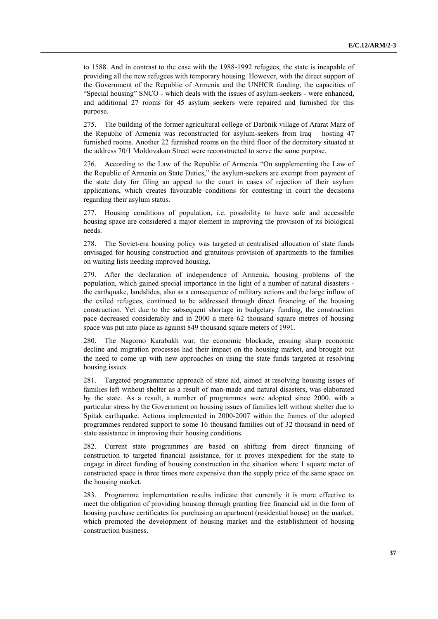to 1588. And in contrast to the case with the 1988-1992 refugees, the state is incapable of providing all the new refugees with temporary housing. However, with the direct support of the Government of the Republic of Armenia and the UNHCR funding, the capacities of "Special housing" SNCO - which deals with the issues of asylum-seekers - were enhanced, and additional 27 rooms for 45 asylum seekers were repaired and furnished for this purpose.

275. The building of the former agricultural college of Darbnik village of Ararat Marz of the Republic of Armenia was reconstructed for asylum-seekers from Iraq – hosting 47 furnished rooms. Another 22 furnished rooms on the third floor of the dormitory situated at the address 70/1 Moldovakan Street were reconstructed to serve the same purpose.

276. According to the Law of the Republic of Armenia "On supplementing the Law of the Republic of Armenia on State Duties," the asylum-seekers are exempt from payment of the state duty for filing an appeal to the court in cases of rejection of their asylum applications, which creates favourable conditions for contesting in court the decisions regarding their asylum status.

277. Housing conditions of population, i.e. possibility to have safe and accessible housing space are considered a major element in improving the provision of its biological needs.

278. The Soviet-era housing policy was targeted at centralised allocation of state funds envisaged for housing construction and gratuitous provision of apartments to the families on waiting lists needing improved housing.

279. After the declaration of independence of Armenia, housing problems of the population, which gained special importance in the light of a number of natural disasters the earthquake, landslides, also as a consequence of military actions and the large inflow of the exiled refugees, continued to be addressed through direct financing of the housing construction. Yet due to the subsequent shortage in budgetary funding, the construction pace decreased considerably and in 2000 a mere 62 thousand square metres of housing space was put into place as against 849 thousand square meters of 1991.

280. The Nagorno Karabakh war, the economic blockade, ensuing sharp economic decline and migration processes had their impact on the housing market, and brought out the need to come up with new approaches on using the state funds targeted at resolving housing issues.

281. Targeted programmatic approach of state aid, aimed at resolving housing issues of families left without shelter as a result of man-made and natural disasters, was elaborated by the state. As a result, a number of programmes were adopted since 2000, with a particular stress by the Government on housing issues of families left without shelter due to Spitak earthquake. Actions implemented in 2000-2007 within the frames of the adopted programmes rendered support to some 16 thousand families out of 32 thousand in need of state assistance in improving their housing conditions.

282. Current state programmes are based on shifting from direct financing of construction to targeted financial assistance, for it proves inexpedient for the state to engage in direct funding of housing construction in the situation where 1 square meter of constructed space is three times more expensive than the supply price of the same space on the housing market.

283. Programme implementation results indicate that currently it is more effective to meet the obligation of providing housing through granting free financial aid in the form of housing purchase certificates for purchasing an apartment (residential house) on the market, which promoted the development of housing market and the establishment of housing construction business.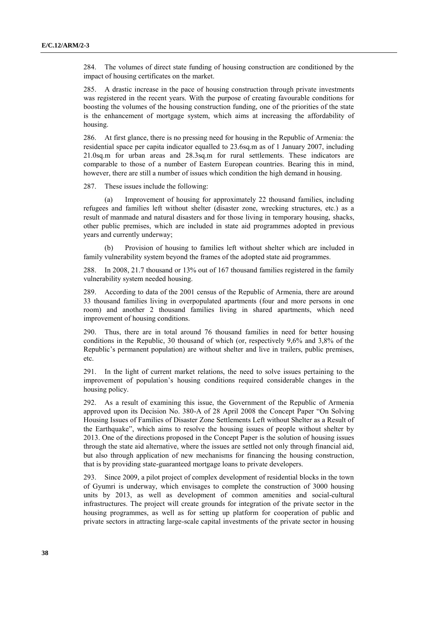284. The volumes of direct state funding of housing construction are conditioned by the impact of housing certificates on the market.

285. A drastic increase in the pace of housing construction through private investments was registered in the recent years. With the purpose of creating favourable conditions for boosting the volumes of the housing construction funding, one of the priorities of the state is the enhancement of mortgage system, which aims at increasing the affordability of housing.

286. At first glance, there is no pressing need for housing in the Republic of Armenia: the residential space per capita indicator equalled to 23.6sq.m as of 1 January 2007, including 21.0sq.m for urban areas and 28.3sq.m for rural settlements. These indicators are comparable to those of a number of Eastern European countries. Bearing this in mind, however, there are still a number of issues which condition the high demand in housing.

287. These issues include the following:

(a) Improvement of housing for approximately 22 thousand families, including refugees and families left without shelter (disaster zone, wrecking structures, etc.) as a result of manmade and natural disasters and for those living in temporary housing, shacks, other public premises, which are included in state aid programmes adopted in previous years and currently underway;

(b) Provision of housing to families left without shelter which are included in family vulnerability system beyond the frames of the adopted state aid programmes.

288. In 2008, 21.7 thousand or 13% out of 167 thousand families registered in the family vulnerability system needed housing.

289. According to data of the 2001 census of the Republic of Armenia, there are around 33 thousand families living in overpopulated apartments (four and more persons in one room) and another 2 thousand families living in shared apartments, which need improvement of housing conditions.

290. Thus, there are in total around 76 thousand families in need for better housing conditions in the Republic, 30 thousand of which (or, respectively 9,6% and 3,8% of the Republic's permanent population) are without shelter and live in trailers, public premises, etc.

291. In the light of current market relations, the need to solve issues pertaining to the improvement of population's housing conditions required considerable changes in the housing policy.

292. As a result of examining this issue, the Government of the Republic of Armenia approved upon its Decision No. 380-A of 28 April 2008 the Concept Paper "On Solving Housing Issues of Families of Disaster Zone Settlements Left without Shelter as a Result of the Earthquake", which aims to resolve the housing issues of people without shelter by 2013. One of the directions proposed in the Concept Paper is the solution of housing issues through the state aid alternative, where the issues are settled not only through financial aid, but also through application of new mechanisms for financing the housing construction, that is by providing state-guaranteed mortgage loans to private developers.

293. Since 2009, a pilot project of complex development of residential blocks in the town of Gyumri is underway, which envisages to complete the construction of 3000 housing units by 2013, as well as development of common amenities and social-cultural infrastructures. The project will create grounds for integration of the private sector in the housing programmes, as well as for setting up platform for cooperation of public and private sectors in attracting large-scale capital investments of the private sector in housing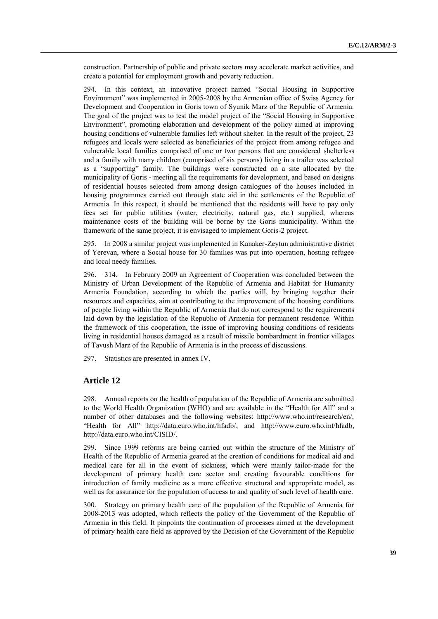construction. Partnership of public and private sectors may accelerate market activities, and create a potential for employment growth and poverty reduction.

294. In this context, an innovative project named "Social Housing in Supportive Environment" was implemented in 2005-2008 by the Armenian office of Swiss Agency for Development and Cooperation in Goris town of Syunik Marz of the Republic of Armenia. The goal of the project was to test the model project of the "Social Housing in Supportive Environment", promoting elaboration and development of the policy aimed at improving housing conditions of vulnerable families left without shelter. In the result of the project, 23 refugees and locals were selected as beneficiaries of the project from among refugee and vulnerable local families comprised of one or two persons that are considered shelterless and a family with many children (comprised of six persons) living in a trailer was selected as a "supporting" family. The buildings were constructed on a site allocated by the municipality of Goris - meeting all the requirements for development, and based on designs of residential houses selected from among design catalogues of the houses included in housing programmes carried out through state aid in the settlements of the Republic of Armenia. In this respect, it should be mentioned that the residents will have to pay only fees set for public utilities (water, electricity, natural gas, etc.) supplied, whereas maintenance costs of the building will be borne by the Goris municipality. Within the framework of the same project, it is envisaged to implement Goris-2 project.

295. In 2008 a similar project was implemented in Kanaker-Zeytun administrative district of Yerevan, where a Social house for 30 families was put into operation, hosting refugee and local needy families.

296. 314. In February 2009 an Agreement of Cooperation was concluded between the Ministry of Urban Development of the Republic of Armenia and Habitat for Humanity Armenia Foundation, according to which the parties will, by bringing together their resources and capacities, aim at contributing to the improvement of the housing conditions of people living within the Republic of Armenia that do not correspond to the requirements laid down by the legislation of the Republic of Armenia for permanent residence. Within the framework of this cooperation, the issue of improving housing conditions of residents living in residential houses damaged as a result of missile bombardment in frontier villages of Tavush Marz of the Republic of Armenia is in the process of discussions.

297. Statistics are presented in annex IV.

### **Article 12**

298. Annual reports on the health of population of the Republic of Armenia are submitted to the World Health Organization (WHO) and are available in the "Health for All" and a number of other databases and the following websites: http://www.who.int/research/en/, "Health for All" [http://data.euro.who.int/hfadb/,](http://data.euro.who.int/hfadb/) and [http://www.euro.who.int/hfadb,](http://www.euro.who.int/hfadb)  [http://data.euro.who.int/CISID/.](http://data.euro.who.int/CISID/)

299. Since 1999 reforms are being carried out within the structure of the Ministry of Health of the Republic of Armenia geared at the creation of conditions for medical aid and medical care for all in the event of sickness, which were mainly tailor-made for the development of primary health care sector and creating favourable conditions for introduction of family medicine as a more effective structural and appropriate model, as well as for assurance for the population of access to and quality of such level of health care.

Strategy on primary health care of the population of the Republic of Armenia for 2008-2013 was adopted, which reflects the policy of the Government of the Republic of Armenia in this field. It pinpoints the continuation of processes aimed at the development of primary health care field as approved by the Decision of the Government of the Republic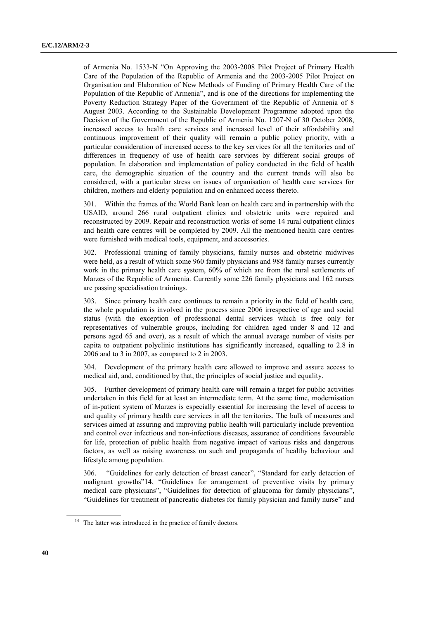of Armenia No. 1533-N "On Approving the 2003-2008 Pilot Project of Primary Health Care of the Population of the Republic of Armenia and the 2003-2005 Pilot Project on Organisation and Elaboration of New Methods of Funding of Primary Health Care of the Population of the Republic of Armenia", and is one of the directions for implementing the Poverty Reduction Strategy Paper of the Government of the Republic of Armenia of 8 August 2003. According to the Sustainable Development Programme adopted upon the Decision of the Government of the Republic of Armenia No. 1207-N of 30 October 2008, increased access to health care services and increased level of their affordability and continuous improvement of their quality will remain a public policy priority, with a particular consideration of increased access to the key services for all the territories and of differences in frequency of use of health care services by different social groups of population. In elaboration and implementation of policy conducted in the field of health care, the demographic situation of the country and the current trends will also be considered, with a particular stress on issues of organisation of health care services for children, mothers and elderly population and on enhanced access thereto.

301. Within the frames of the World Bank loan on health care and in partnership with the USAID, around 266 rural outpatient clinics and obstetric units were repaired and reconstructed by 2009. Repair and reconstruction works of some 14 rural outpatient clinics and health care centres will be completed by 2009. All the mentioned health care centres were furnished with medical tools, equipment, and accessories.

302. Professional training of family physicians, family nurses and obstetric midwives were held, as a result of which some 960 family physicians and 988 family nurses currently work in the primary health care system, 60% of which are from the rural settlements of Marzes of the Republic of Armenia. Currently some 226 family physicians and 162 nurses are passing specialisation trainings.

303. Since primary health care continues to remain a priority in the field of health care, the whole population is involved in the process since 2006 irrespective of age and social status (with the exception of professional dental services which is free only for representatives of vulnerable groups, including for children aged under 8 and 12 and persons aged 65 and over), as a result of which the annual average number of visits per capita to outpatient polyclinic institutions has significantly increased, equalling to 2.8 in 2006 and to 3 in 2007, as compared to 2 in 2003.

304. Development of the primary health care allowed to improve and assure access to medical aid, and, conditioned by that, the principles of social justice and equality.

305. Further development of primary health care will remain a target for public activities undertaken in this field for at least an intermediate term. At the same time, modernisation of in-patient system of Marzes is especially essential for increasing the level of access to and quality of primary health care services in all the territories. The bulk of measures and services aimed at assuring and improving public health will particularly include prevention and control over infectious and non-infectious diseases, assurance of conditions favourable for life, protection of public health from negative impact of various risks and dangerous factors, as well as raising awareness on such and propaganda of healthy behaviour and lifestyle among population.

306. "Guidelines for early detection of breast cancer", "Standard for early detection of malignant growths"14, "Guidelines for arrangement of preventive visits by primary medical care physicians", "Guidelines for detection of glaucoma for family physicians", "Guidelines for treatment of pancreatic diabetes for family physician and family nurse" and

 $14$  The latter was introduced in the practice of family doctors.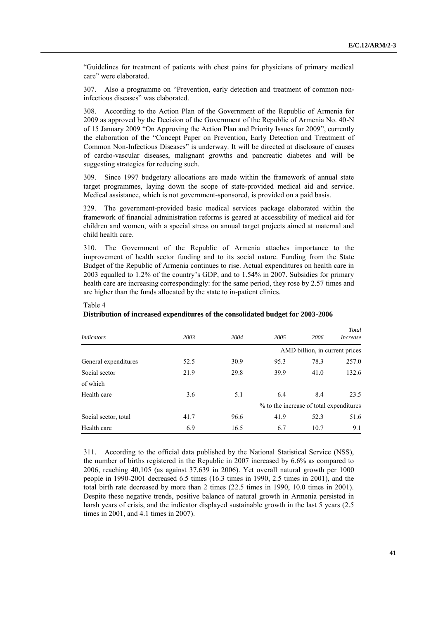"Guidelines for treatment of patients with chest pains for physicians of primary medical care" were elaborated.

307. Also a programme on "Prevention, early detection and treatment of common noninfectious diseases" was elaborated.

308. According to the Action Plan of the Government of the Republic of Armenia for 2009 as approved by the Decision of the Government of the Republic of Armenia No. 40-N of 15 January 2009 "On Approving the Action Plan and Priority Issues for 2009", currently the elaboration of the "Concept Paper on Prevention, Early Detection and Treatment of Common Non-Infectious Diseases" is underway. It will be directed at disclosure of causes of cardio-vascular diseases, malignant growths and pancreatic diabetes and will be suggesting strategies for reducing such.

309. Since 1997 budgetary allocations are made within the framework of annual state target programmes, laying down the scope of state-provided medical aid and service. Medical assistance, which is not government-sponsored, is provided on a paid basis.

329. The government-provided basic medical services package elaborated within the framework of financial administration reforms is geared at accessibility of medical aid for children and women, with a special stress on annual target projects aimed at maternal and child health care.

310. The Government of the Republic of Armenia attaches importance to the improvement of health sector funding and to its social nature. Funding from the State Budget of the Republic of Armenia continues to rise. Actual expenditures on health care in 2003 equalled to 1.2% of the country's GDP, and to 1.54% in 2007. Subsidies for primary health care are increasing correspondingly: for the same period, they rose by 2.57 times and are higher than the funds allocated by the state to in-patient clinics.

| <i>Indicators</i>    | 2003 | 2004 | 2005                                    | 2006                           | Total<br><i>Increase</i> |
|----------------------|------|------|-----------------------------------------|--------------------------------|--------------------------|
|                      |      |      |                                         | AMD billion, in current prices |                          |
| General expenditures | 52.5 | 30.9 | 95.3                                    | 78.3                           | 257.0                    |
| Social sector        | 21.9 | 29.8 | 39.9                                    | 41.0                           | 132.6                    |
| of which             |      |      |                                         |                                |                          |
| Health care          | 3.6  | 5.1  | 6.4                                     | 8.4                            | 23.5                     |
|                      |      |      | % to the increase of total expenditures |                                |                          |
| Social sector, total | 41.7 | 96.6 | 41.9                                    | 52.3                           | 51.6                     |
| Health care          | 6.9  | 16.5 | 6.7                                     | 10.7                           | 9.1                      |

# **Distribution of increased expenditures of the consolidated budget for 2003-2006**

Table 4

311. According to the official data published by the National Statistical Service (NSS), the number of births registered in the Republic in 2007 increased by 6.6% as compared to 2006, reaching 40,105 (as against 37,639 in 2006). Yet overall natural growth per 1000 people in 1990-2001 decreased 6.5 times (16.3 times in 1990, 2.5 times in 2001), and the total birth rate decreased by more than 2 times (22.5 times in 1990, 10.0 times in 2001). Despite these negative trends, positive balance of natural growth in Armenia persisted in harsh years of crisis, and the indicator displayed sustainable growth in the last 5 years (2.5) times in 2001, and 4.1 times in 2007).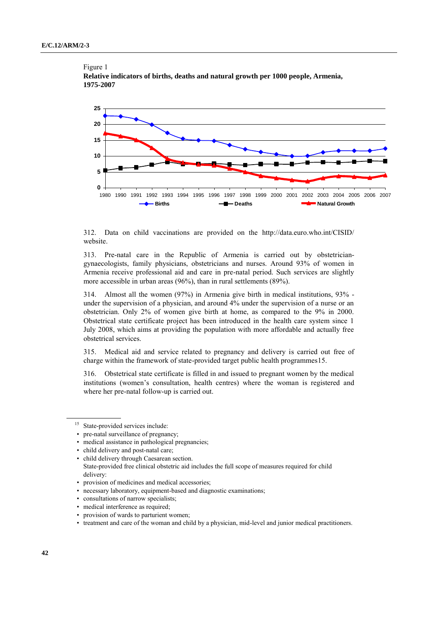#### Figure 1





312. Data on child vaccinations are provided on the <http://data.euro.who.int/CISID/> website.

313. Pre-natal care in the Republic of Armenia is carried out by obstetriciangynaecologists, family physicians, obstetricians and nurses. Around 93% of women in Armenia receive professional aid and care in pre-natal period. Such services are slightly more accessible in urban areas (96%), than in rural settlements (89%).

314. Almost all the women (97%) in Armenia give birth in medical institutions, 93% under the supervision of a physician, and around 4% under the supervision of a nurse or an obstetrician. Only 2% of women give birth at home, as compared to the 9% in 2000. Obstetrical state certificate project has been introduced in the health care system since 1 July 2008, which aims at providing the population with more affordable and actually free obstetrical services.

315. Medical aid and service related to pregnancy and delivery is carried out free of charge within the framework of state-provided target public health programmes15.

316. Obstetrical state certificate is filled in and issued to pregnant women by the medical institutions (women's consultation, health centres) where the woman is registered and where her pre-natal follow-up is carried out.

<sup>&</sup>lt;sup>15</sup> State-provided services include:

<sup>•</sup> pre-natal surveillance of pregnancy;

<sup>•</sup> medical assistance in pathological pregnancies;

<sup>•</sup> child delivery and post-natal care;

<sup>•</sup> child delivery through Caesarean section. State-provided free clinical obstetric aid includes the full scope of measures required for child delivery:

<sup>•</sup> provision of medicines and medical accessories;

<sup>•</sup> necessary laboratory, equipment-based and diagnostic examinations;

<sup>•</sup> consultations of narrow specialists;

<sup>•</sup> medical interference as required;

<sup>•</sup> provision of wards to parturient women;

<sup>•</sup> treatment and care of the woman and child by a physician, mid-level and junior medical practitioners.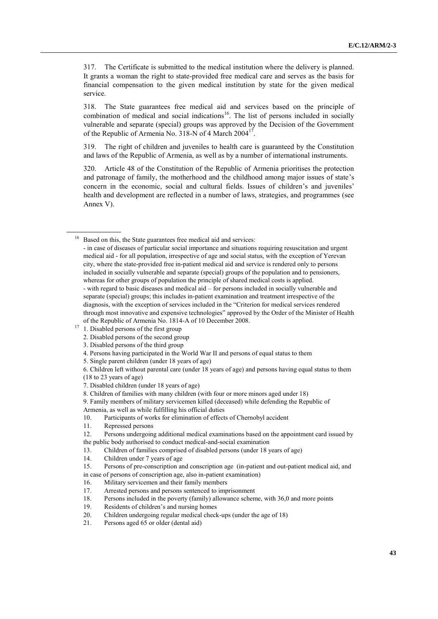317. The Certificate is submitted to the medical institution where the delivery is planned. It grants a woman the right to state-provided free medical care and serves as the basis for financial compensation to the given medical institution by state for the given medical service.

318. The State guarantees free medical aid and services based on the principle of combination of medical and social indications<sup>16</sup>. The list of persons included in socially vulnerable and separate (special) groups was approved by the Decision of the Government of the Republic of Armenia No. 318-N of 4 March  $2004<sup>17</sup>$ .

319. The right of children and juveniles to health care is guaranteed by the Constitution and laws of the Republic of Armenia, as well as by a number of international instruments.

320. Article 48 of the Constitution of the Republic of Armenia prioritises the protection and patronage of family, the motherhood and the childhood among major issues of state's concern in the economic, social and cultural fields. Issues of children's and juveniles' health and development are reflected in a number of laws, strategies, and programmes (see Annex V).

4. Persons having participated in the World War II and persons of equal status to them

- 18. Persons included in the poverty (family) allowance scheme, with 36,0 and more points
- 19. Residents of children's and nursing homes
- 20. Children undergoing regular medical check-ups (under the age of 18)
- 21. Persons aged 65 or older (dental aid)

<sup>&</sup>lt;sup>16</sup> Based on this, the State guarantees free medical aid and services:

<sup>-</sup> in case of diseases of particular social importance and situations requiring resuscitation and urgent medical aid - for all population, irrespective of age and social status, with the exception of Yerevan city, where the state-provided free in-patient medical aid and service is rendered only to persons included in socially vulnerable and separate (special) groups of the population and to pensioners, whereas for other groups of population the principle of shared medical costs is applied. - with regard to basic diseases and medical aid – for persons included in socially vulnerable and separate (special) groups; this includes in-patient examination and treatment irrespective of the

diagnosis, with the exception of services included in the "Criterion for medical services rendered through most innovative and expensive technologies" approved by the Order of the Minister of Health of the Republic of Armenia No. 1814-A of 10 December 2008.

 $17 \t 1.$  Disabled persons of the first group

<sup>2.</sup> Disabled persons of the second group

<sup>3.</sup> Disabled persons of the third group

<sup>5.</sup> Single parent children (under 18 years of age)

<sup>6.</sup> Children left without parental care (under 18 years of age) and persons having equal status to them

<sup>(18</sup> to 23 years of age)

<sup>7.</sup> Disabled children (under 18 years of age)

<sup>8.</sup> Children of families with many children (with four or more minors aged under 18)

<sup>9.</sup> Family members of military servicemen killed (deceased) while defending the Republic of Armenia, as well as while fulfilling his official duties

<sup>10.</sup> Participants of works for elimination of effects of Chernobyl accident

<sup>11.</sup> Repressed persons

<sup>12.</sup> Persons undergoing additional medical examinations based on the appointment card issued by the public body authorised to conduct medical-and-social examination

<sup>13.</sup> Children of families comprised of disabled persons (under 18 years of age)

<sup>14.</sup> Children under 7 years of age

<sup>15.</sup> Persons of pre-conscription and conscription age (in-patient and out-patient medical aid, and

in case of persons of conscription age, also in-patient examination)

<sup>16.</sup> Military servicemen and their family members

<sup>17.</sup> Arrested persons and persons sentenced to imprisonment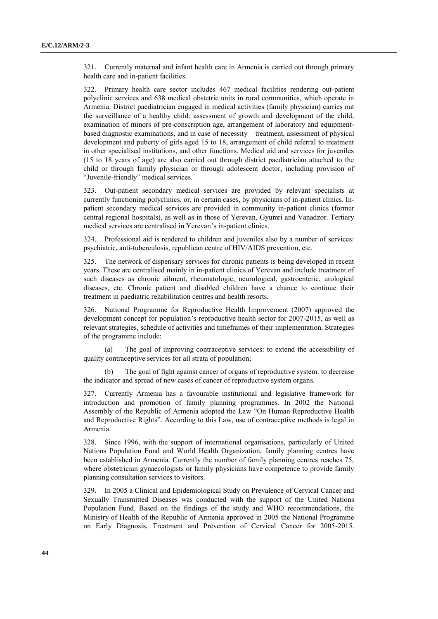321. Currently maternal and infant health care in Armenia is carried out through primary health care and in-patient facilities.

322. Primary health care sector includes 467 medical facilities rendering out-patient polyclinic services and 638 medical obstetric units in rural communities, which operate in Armenia. District paediatrician engaged in medical activities (family physician) carries out the surveillance of a healthy child: assessment of growth and development of the child, examination of minors of pre-conscription age, arrangement of laboratory and equipmentbased diagnostic examinations, and in case of necessity – treatment, assessment of physical development and puberty of girls aged 15 to 18, arrangement of child referral to treatment in other specialised institutions, and other functions. Medical aid and services for juveniles (15 to 18 years of age) are also carried out through district paediatrician attached to the child or through family physician or through adolescent doctor, including provision of "Juvenile-friendly" medical services.

323. Out-patient secondary medical services are provided by relevant specialists at currently functioning polyclinics, or, in certain cases, by physicians of in-patient clinics. Inpatient secondary medical services are provided in community in-patient clinics (former central regional hospitals), as well as in those of Yerevan, Gyumri and Vanadzor. Tertiary medical services are centralised in Yerevan's in-patient clinics.

324. Professional aid is rendered to children and juveniles also by a number of services: psychiatric, anti-tuberculosis, republican centre of HIV/AIDS prevention, etc.

325. The network of dispensary services for chronic patients is being developed in recent years. These are centralised mainly in in-patient clinics of Yerevan and include treatment of such diseases as chronic ailment, rheumatologic, neurological, gastroenteric, urological diseases, etc. Chronic patient and disabled children have a chance to continue their treatment in paediatric rehabilitation centres and health resorts.

326. National Programme for Reproductive Health Improvement (2007) approved the development concept for population's reproductive health sector for 2007-2015, as well as relevant strategies, schedule of activities and timeframes of their implementation. Strategies of the programme include:

(a) The goal of improving contraceptive services: to extend the accessibility of quality contraceptive services for all strata of population;

(b) The goal of fight against cancer of organs of reproductive system: to decrease the indicator and spread of new cases of cancer of reproductive system organs.

327. Currently Armenia has a favourable institutional and legislative framework for introduction and promotion of family planning programmes. In 2002 the National Assembly of the Republic of Armenia adopted the Law "On Human Reproductive Health and Reproductive Rights". According to this Law, use of contraceptive methods is legal in Armenia.

328. Since 1996, with the support of international organisations, particularly of United Nations Population Fund and World Health Organization, family planning centres have been established in Armenia. Currently the number of family planning centres reaches 75, where obstetrician gynaecologists or family physicians have competence to provide family planning consultation services to visitors.

329. In 2005 a Clinical and Epidemiological Study on Prevalence of Cervical Cancer and Sexually Transmitted Diseases was conducted with the support of the United Nations Population Fund. Based on the findings of the study and WHO recommendations, the Ministry of Health of the Republic of Armenia approved in 2005 the National Programme on Early Diagnosis, Treatment and Prevention of Cervical Cancer for 2005-2015.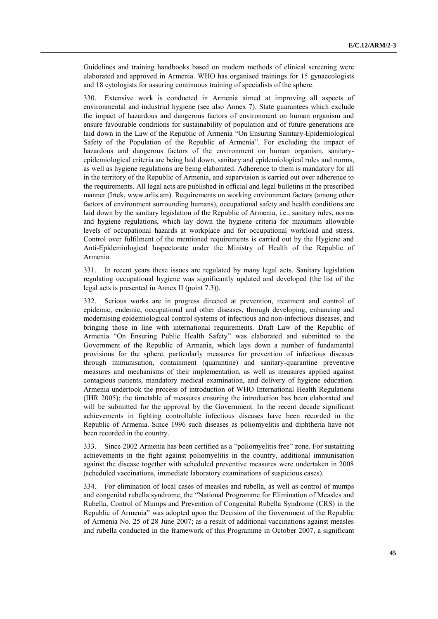Guidelines and training handbooks based on modern methods of clinical screening were elaborated and approved in Armenia. WHO has organised trainings for 15 gynaecologists and 18 cytologists for assuring continuous training of specialists of the sphere.

330. Extensive work is conducted in Armenia aimed at improving all aspects of environmental and industrial hygiene (see also Annex 7). State guarantees which exclude the impact of hazardous and dangerous factors of environment on human organism and ensure favourable conditions for sustainability of population and of future generations are laid down in the Law of the Republic of Armenia "On Ensuring Sanitary-Epidemiological Safety of the Population of the Republic of Armenia". For excluding the impact of hazardous and dangerous factors of the environment on human organism, sanitaryepidemiological criteria are being laid down, sanitary and epidemiological rules and norms, as well as hygiene regulations are being elaborated. Adherence to them is mandatory for all in the territory of the Republic of Armenia, and supervision is carried out over adherence to the requirements. All legal acts are published in official and legal bulletins in the prescribed manner (Irtek, [www.arlis.am\)](http://www.arlis.am/). Requirements on working environment factors (among other factors of environment surrounding humans), occupational safety and health conditions are laid down by the sanitary legislation of the Republic of Armenia, i.e., sanitary rules, norms and hygiene regulations, which lay down the hygiene criteria for maximum allowable levels of occupational hazards at workplace and for occupational workload and stress. Control over fulfilment of the mentioned requirements is carried out by the Hygiene and Anti-Epidemiological Inspectorate under the Ministry of Health of the Republic of Armenia.

331. In recent years these issues are regulated by many legal acts. Sanitary legislation regulating occupational hygiene was significantly updated and developed (the list of the legal acts is presented in Annex II (point 7.3)).

332. Serious works are in progress directed at prevention, treatment and control of epidemic, endemic, occupational and other diseases, through developing, enhancing and modernising epidemiological control systems of infectious and non-infectious diseases, and bringing those in line with international requirements. Draft Law of the Republic of Armenia "On Ensuring Public Health Safety" was elaborated and submitted to the Government of the Republic of Armenia, which lays down a number of fundamental provisions for the sphere, particularly measures for prevention of infectious diseases through immunisation, containment (quarantine) and sanitary-quarantine preventive measures and mechanisms of their implementation, as well as measures applied against contagious patients, mandatory medical examination, and delivery of hygiene education. Armenia undertook the process of introduction of WHO International Health Regulations (IHR 2005); the timetable of measures ensuring the introduction has been elaborated and will be submitted for the approval by the Government. In the recent decade significant achievements in fighting controllable infectious diseases have been recorded in the Republic of Armenia. Since 1996 such diseases as poliomyelitis and diphtheria have not been recorded in the country.

333. Since 2002 Armenia has been certified as a "poliomyelitis free" zone. For sustaining achievements in the fight against poliomyelitis in the country, additional immunisation against the disease together with scheduled preventive measures were undertaken in 2008 (scheduled vaccinations, immediate laboratory examinations of suspicious cases).

334. For elimination of local cases of measles and rubella, as well as control of mumps and congenital rubella syndrome, the "National Programme for Elimination of Measles and Rubella, Control of Mumps and Prevention of Congenital Rubella Syndrome (CRS) in the Republic of Armenia" was adopted upon the Decision of the Government of the Republic of Armenia No. 25 of 28 June 2007; as a result of additional vaccinations against measles and rubella conducted in the framework of this Programme in October 2007, a significant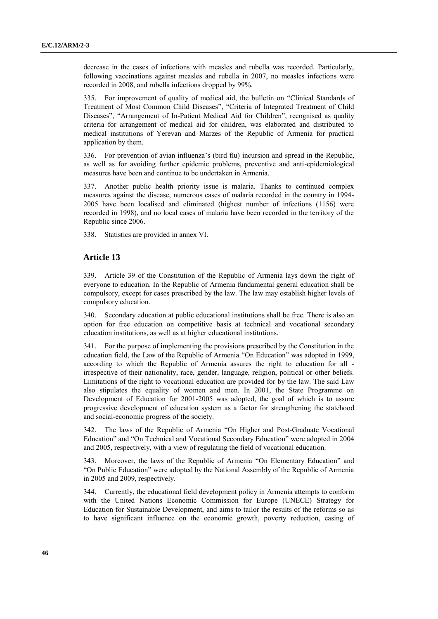decrease in the cases of infections with measles and rubella was recorded. Particularly, following vaccinations against measles and rubella in 2007, no measles infections were recorded in 2008, and rubella infections dropped by 99%.

335. For improvement of quality of medical aid, the bulletin on "Clinical Standards of Treatment of Most Common Child Diseases", "Criteria of Integrated Treatment of Child Diseases", "Arrangement of In-Patient Medical Aid for Children", recognised as quality criteria for arrangement of medical aid for children, was elaborated and distributed to medical institutions of Yerevan and Marzes of the Republic of Armenia for practical application by them.

336. For prevention of avian influenza's (bird flu) incursion and spread in the Republic, as well as for avoiding further epidemic problems, preventive and anti-epidemiological measures have been and continue to be undertaken in Armenia.

337. Another public health priority issue is malaria. Thanks to continued complex measures against the disease, numerous cases of malaria recorded in the country in 1994- 2005 have been localised and eliminated (highest number of infections (1156) were recorded in 1998), and no local cases of malaria have been recorded in the territory of the Republic since 2006.

338. Statistics are provided in annex VI.

# **Article 13**

339. Article 39 of the Constitution of the Republic of Armenia lays down the right of everyone to education. In the Republic of Armenia fundamental general education shall be compulsory, except for cases prescribed by the law. The law may establish higher levels of compulsory education.

340. Secondary education at public educational institutions shall be free. There is also an option for free education on competitive basis at technical and vocational secondary education institutions, as well as at higher educational institutions.

341. For the purpose of implementing the provisions prescribed by the Constitution in the education field, the Law of the Republic of Armenia "On Education" was adopted in 1999, according to which the Republic of Armenia assures the right to education for all irrespective of their nationality, race, gender, language, religion, political or other beliefs. Limitations of the right to vocational education are provided for by the law. The said Law also stipulates the equality of women and men. In 2001, the State Programme on Development of Education for 2001-2005 was adopted, the goal of which is to assure progressive development of education system as a factor for strengthening the statehood and social-economic progress of the society.

342. The laws of the Republic of Armenia "On Higher and Post-Graduate Vocational Education" and "On Technical and Vocational Secondary Education" were adopted in 2004 and 2005, respectively, with a view of regulating the field of vocational education.

343. Moreover, the laws of the Republic of Armenia "On Elementary Education" and "On Public Education" were adopted by the National Assembly of the Republic of Armenia in 2005 and 2009, respectively.

344. Currently, the educational field development policy in Armenia attempts to conform with the United Nations Economic Commission for Europe (UNECE) Strategy for Education for Sustainable Development, and aims to tailor the results of the reforms so as to have significant influence on the economic growth, poverty reduction, easing of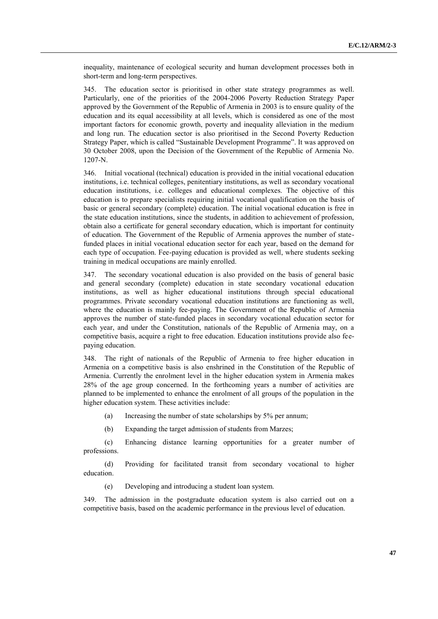inequality, maintenance of ecological security and human development processes both in short-term and long-term perspectives.

345. The education sector is prioritised in other state strategy programmes as well. Particularly, one of the priorities of the 2004-2006 Poverty Reduction Strategy Paper approved by the Government of the Republic of Armenia in 2003 is to ensure quality of the education and its equal accessibility at all levels, which is considered as one of the most important factors for economic growth, poverty and inequality alleviation in the medium and long run. The education sector is also prioritised in the Second Poverty Reduction Strategy Paper, which is called "Sustainable Development Programme". It was approved on 30 October 2008, upon the Decision of the Government of the Republic of Armenia No. 1207-N.

346. Initial vocational (technical) education is provided in the initial vocational education institutions, i.e. technical colleges, penitentiary institutions, as well as secondary vocational education institutions, i.e. colleges and educational complexes. The objective of this education is to prepare specialists requiring initial vocational qualification on the basis of basic or general secondary (complete) education. The initial vocational education is free in the state education institutions, since the students, in addition to achievement of profession, obtain also a certificate for general secondary education, which is important for continuity of education. The Government of the Republic of Armenia approves the number of statefunded places in initial vocational education sector for each year, based on the demand for each type of occupation. Fee-paying education is provided as well, where students seeking training in medical occupations are mainly enrolled.

347. The secondary vocational education is also provided on the basis of general basic and general secondary (complete) education in state secondary vocational education institutions, as well as higher educational institutions through special educational programmes. Private secondary vocational education institutions are functioning as well, where the education is mainly fee-paying. The Government of the Republic of Armenia approves the number of state-funded places in secondary vocational education sector for each year, and under the Constitution, nationals of the Republic of Armenia may, on a competitive basis, acquire a right to free education. Education institutions provide also feepaying education.

348. The right of nationals of the Republic of Armenia to free higher education in Armenia on a competitive basis is also enshrined in the Constitution of the Republic of Armenia. Currently the enrolment level in the higher education system in Armenia makes 28% of the age group concerned. In the forthcoming years a number of activities are planned to be implemented to enhance the enrolment of all groups of the population in the higher education system. These activities include:

(a) Increasing the number of state scholarships by 5% per annum;

(b) Expanding the target admission of students from Marzes;

(c) Enhancing distance learning opportunities for a greater number of professions.

(d) Providing for facilitated transit from secondary vocational to higher education.

(e) Developing and introducing a student loan system.

349. The admission in the postgraduate education system is also carried out on a competitive basis, based on the academic performance in the previous level of education.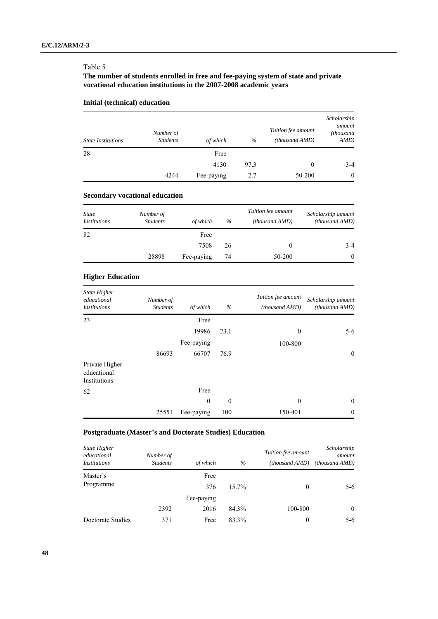### Table 5

# **The number of students enrolled in free and fee-paying system of state and private vocational education institutions in the 2007-2008 academic years**

# **Initial (technical) education**

| <b>State Institutions</b> | Number of<br><b>Students</b> | of which   | $\%$ | Tuition fee amount<br>(thousand AMD) | Scholarship<br>amount<br>(thousand<br>AMD) |
|---------------------------|------------------------------|------------|------|--------------------------------------|--------------------------------------------|
| 28                        |                              | Free       |      |                                      |                                            |
|                           |                              | 4130       | 97.3 | $\theta$                             | $3-4$                                      |
|                           | 4244                         | Fee-paying | 2.7  | 50-200                               | $\overline{0}$                             |

### **Secondary vocational education**

| <b>State</b><br><i>Institutions</i> | Number of<br><b>Students</b> | of which   | $\%$ | Tuition fee amount<br>(thousand AMD) | Scholarship amount<br>(thousand AMD) |
|-------------------------------------|------------------------------|------------|------|--------------------------------------|--------------------------------------|
| 82                                  |                              | Free       |      |                                      |                                      |
|                                     |                              | 7508       | 26   |                                      | $3-4$                                |
|                                     | 28898                        | Fee-paying | 74   | 50-200                               | $\theta$                             |

# **Higher Education**

| <b>State Higher</b><br>educational<br><i>Institutions</i> | Number of<br><b>Students</b> | of which   | $\%$     | Tuition fee amount<br>(thousand AMD) | Scholarship amount<br>(thousand AMD) |
|-----------------------------------------------------------|------------------------------|------------|----------|--------------------------------------|--------------------------------------|
| 23                                                        |                              | Free       |          |                                      |                                      |
|                                                           |                              | 19986      | 23.1     | $\theta$                             | $5 - 6$                              |
|                                                           |                              | Fee-paying |          | 100-800                              |                                      |
|                                                           | 86693                        | 66707      | 76.9     |                                      | $\boldsymbol{0}$                     |
| Private Higher<br>educational<br>Institutions             |                              |            |          |                                      |                                      |
| 62                                                        |                              | Free       |          |                                      |                                      |
|                                                           |                              | $\theta$   | $\theta$ | $\theta$                             | $\mathbf{0}$                         |
|                                                           | 25551                        | Fee-paying | 100      | 150-401                              | $\theta$                             |

# **Postgraduate (Master's and Doctorate Studies) Education**

| State Higher<br>educational<br><i>Institutions</i> | Number of<br><b>Students</b> | of which    | $\%$     | Tuition fee amount<br>(thousand AMD) | Scholarship<br>amount<br>(thousand AMD) |
|----------------------------------------------------|------------------------------|-------------|----------|--------------------------------------|-----------------------------------------|
| Master's<br>Programme                              |                              | Free<br>376 | $15.7\%$ | $\theta$                             | $5-6$                                   |
|                                                    |                              | Fee-paying  |          |                                      |                                         |
|                                                    | 2392                         | 2016        | 84.3%    | 100-800                              | $\theta$                                |
| Doctorate Studies                                  | 371                          | Free        | 83.3%    | 0                                    | $5-6$                                   |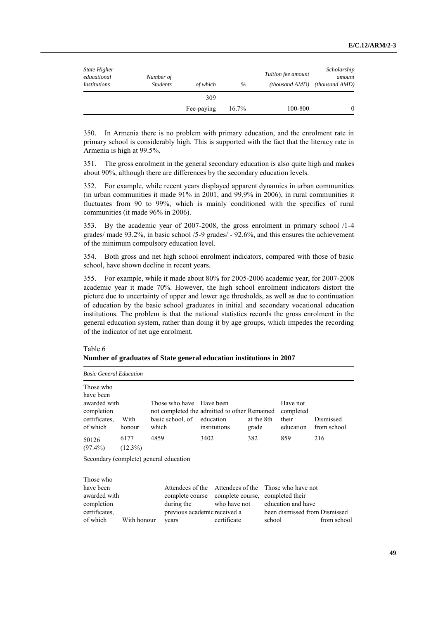| State Higher<br>educational<br><i>Institutions</i> | Number of<br><b>Students</b> | of which   | $\%$  | Tuition fee amount<br>(thousand AMD) | Scholarship<br>amount<br>(thousand AMD) |
|----------------------------------------------------|------------------------------|------------|-------|--------------------------------------|-----------------------------------------|
|                                                    |                              | 309        |       |                                      |                                         |
|                                                    |                              | Fee-paying | 16.7% | 100-800                              | $\theta$                                |

350. In Armenia there is no problem with primary education, and the enrolment rate in primary school is considerably high. This is supported with the fact that the literacy rate in Armenia is high at 99.5%.

351. The gross enrolment in the general secondary education is also quite high and makes about 90%, although there are differences by the secondary education levels.

352. For example, while recent years displayed apparent dynamics in urban communities (in urban communities it made 91% in 2001, and 99.9% in 2006), in rural communities it fluctuates from 90 to 99%, which is mainly conditioned with the specifics of rural communities (it made 96% in 2006).

353. By the academic year of 2007-2008, the gross enrolment in primary school /1-4 grades/ made 93.2%, in basic school /5-9 grades/ - 92.6%, and this ensures the achievement of the minimum compulsory education level.

354. Both gross and net high school enrolment indicators, compared with those of basic school, have shown decline in recent years.

355. For example, while it made about 80% for 2005-2006 academic year, for 2007-2008 academic year it made 70%. However, the high school enrolment indicators distort the picture due to uncertainty of upper and lower age thresholds, as well as due to continuation of education by the basic school graduates in initial and secondary vocational education institutions. The problem is that the national statistics records the gross enrolment in the general education system, rather than doing it by age groups, which impedes the recording of the indicator of net age enrolment.

#### Table 6

|  | Number of graduates of State general education institutions in 2007 |  |  |
|--|---------------------------------------------------------------------|--|--|
|  |                                                                     |  |  |

years

*Basic General Education*

of which With honour

| Those who<br>have been<br>awarded with<br>completion<br>certificates.<br>of which | With<br>honour     | Those who have Have been<br>not completed the admitted to other Remained<br>basic school, of<br>which | education | institutions                     | at the 8th<br>grade | Have not<br>completed<br>their<br>education                 | Dismissed<br>from school      |
|-----------------------------------------------------------------------------------|--------------------|-------------------------------------------------------------------------------------------------------|-----------|----------------------------------|---------------------|-------------------------------------------------------------|-------------------------------|
| 50126<br>$(97.4\%)$                                                               | 6177<br>$(12.3\%)$ | 4859                                                                                                  | 3402      |                                  | 382                 | 859                                                         | 216                           |
|                                                                                   |                    | Secondary (complete) general education                                                                |           |                                  |                     |                                                             |                               |
| Those who<br>have been<br>awarded with<br>completion<br>certificates.             |                    | Attendees of the<br>complete course complete course,<br>during the<br>previous academic received a    |           | Attendees of the<br>who have not |                     | Those who have not<br>completed their<br>education and have | been dismissed from Dismissed |

certificate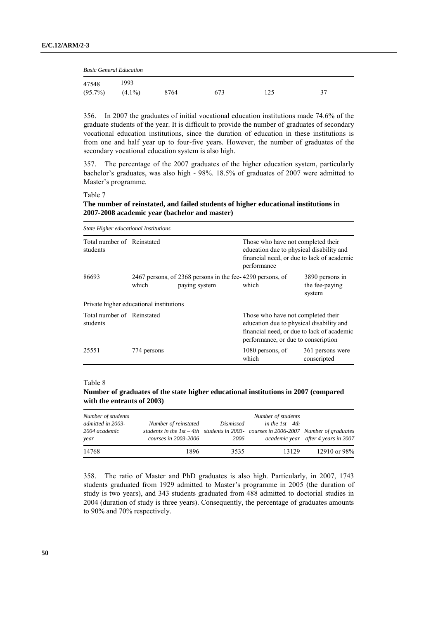| <b>Basic General Education</b> |                    |      |     |    |    |  |  |  |
|--------------------------------|--------------------|------|-----|----|----|--|--|--|
| 47548<br>$(95.7\%)$            | 1993.<br>$(4.1\%)$ | 8764 | 673 | 25 | 37 |  |  |  |

356. In 2007 the graduates of initial vocational education institutions made 74.6% of the graduate students of the year. It is difficult to provide the number of graduates of secondary vocational education institutions, since the duration of education in these institutions is from one and half year up to four-five years. However, the number of graduates of the secondary vocational education system is also high.

357. The percentage of the 2007 graduates of the higher education system, particularly bachelor's graduates, was also high - 98%. 18.5% of graduates of 2007 were admitted to Master's programme.

Table 7

**The number of reinstated, and failed students of higher educational institutions in 2007-2008 academic year (bachelor and master)**

| State Higher educational Institutions   |             |                                                                            |                                                                                                                                                                     |                                             |  |  |  |  |
|-----------------------------------------|-------------|----------------------------------------------------------------------------|---------------------------------------------------------------------------------------------------------------------------------------------------------------------|---------------------------------------------|--|--|--|--|
| Total number of Reinstated<br>students  |             |                                                                            | Those who have not completed their<br>education due to physical disability and<br>financial need, or due to lack of academic<br>performance                         |                                             |  |  |  |  |
| 86693                                   | which       | 2467 persons, of 2368 persons in the fee-4290 persons, of<br>paying system | which                                                                                                                                                               | 3890 persons in<br>the fee-paying<br>system |  |  |  |  |
| Private higher educational institutions |             |                                                                            |                                                                                                                                                                     |                                             |  |  |  |  |
| Total number of Reinstated<br>students  |             |                                                                            | Those who have not completed their<br>education due to physical disability and<br>financial need, or due to lack of academic<br>performance, or due to conscription |                                             |  |  |  |  |
| 25551                                   | 774 persons |                                                                            | 1080 persons, of<br>which                                                                                                                                           | 361 persons were<br>conscripted             |  |  |  |  |

#### Table 8

**Number of graduates of the state higher educational institutions in 2007 (compared with the entrants of 2003)**

| Number of students<br>admitted in 2003-<br>2004 academic<br>year | Number of reinstated<br>students in the $1st-4th$ students in 2003-courses in 2006-2007 Number of graduates<br>courses in 2003-2006 | Dismissed<br>2006 | Number of students<br>in the $1st-4th$ | academic year after 4 years in 2007 |
|------------------------------------------------------------------|-------------------------------------------------------------------------------------------------------------------------------------|-------------------|----------------------------------------|-------------------------------------|
| 14768                                                            | 1896                                                                                                                                | 3535              | 13129                                  | 12910 or 98%                        |

358. The ratio of Master and PhD graduates is also high. Particularly, in 2007, 1743 students graduated from 1929 admitted to Master's programme in 2005 (the duration of study is two years), and 343 students graduated from 488 admitted to doctorial studies in 2004 (duration of study is three years). Consequently, the percentage of graduates amounts to 90% and 70% respectively.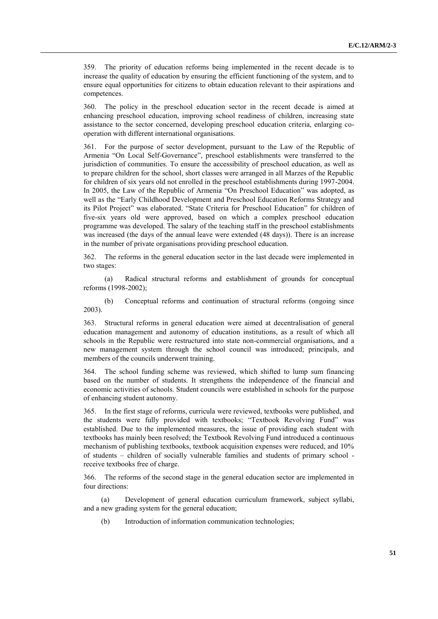359. The priority of education reforms being implemented in the recent decade is to increase the quality of education by ensuring the efficient functioning of the system, and to ensure equal opportunities for citizens to obtain education relevant to their aspirations and competences.

360. The policy in the preschool education sector in the recent decade is aimed at enhancing preschool education, improving school readiness of children, increasing state assistance to the sector concerned, developing preschool education criteria, enlarging cooperation with different international organisations.

361. For the purpose of sector development, pursuant to the Law of the Republic of Armenia "On Local Self-Governance", preschool establishments were transferred to the jurisdiction of communities. To ensure the accessibility of preschool education, as well as to prepare children for the school, short classes were arranged in all Marzes of the Republic for children of six years old not enrolled in the preschool establishments during 1997-2004. In 2005, the Law of the Republic of Armenia "On Preschool Education" was adopted, as well as the "Early Childhood Development and Preschool Education Reforms Strategy and its Pilot Project" was elaborated. "State Criteria for Preschool Education" for children of five-six years old were approved, based on which a complex preschool education programme was developed. The salary of the teaching staff in the preschool establishments was increased (the days of the annual leave were extended (48 days)). There is an increase in the number of private organisations providing preschool education.

362. The reforms in the general education sector in the last decade were implemented in two stages:

(a) Radical structural reforms and establishment of grounds for conceptual reforms (1998-2002);

(b) Conceptual reforms and continuation of structural reforms (ongoing since 2003).

363. Structural reforms in general education were aimed at decentralisation of general education management and autonomy of education institutions, as a result of which all schools in the Republic were restructured into state non-commercial organisations, and a new management system through the school council was introduced; principals, and members of the councils underwent training.

364. The school funding scheme was reviewed, which shifted to lump sum financing based on the number of students. It strengthens the independence of the financial and economic activities of schools. Student councils were established in schools for the purpose of enhancing student autonomy.

365. In the first stage of reforms, curricula were reviewed, textbooks were published, and the students were fully provided with textbooks; "Textbook Revolving Fund" was established. Due to the implemented measures, the issue of providing each student with textbooks has mainly been resolved; the Textbook Revolving Fund introduced a continuous mechanism of publishing textbooks, textbook acquisition expenses were reduced, and 10% of students – children of socially vulnerable families and students of primary school receive textbooks free of charge.

366. The reforms of the second stage in the general education sector are implemented in four directions:

(a) Development of general education curriculum framework, subject syllabi, and a new grading system for the general education;

(b) Introduction of information communication technologies;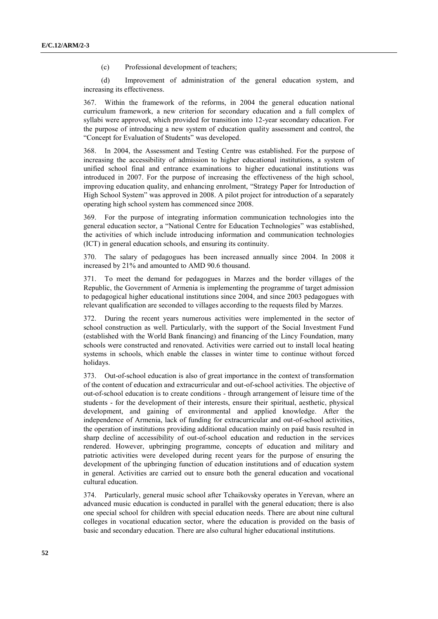(c) Professional development of teachers;

(d) Improvement of administration of the general education system, and increasing its effectiveness.

367. Within the framework of the reforms, in 2004 the general education national curriculum framework, a new criterion for secondary education and a full complex of syllabi were approved, which provided for transition into 12-year secondary education. For the purpose of introducing a new system of education quality assessment and control, the "Concept for Evaluation of Students" was developed.

368. In 2004, the Assessment and Testing Centre was established. For the purpose of increasing the accessibility of admission to higher educational institutions, a system of unified school final and entrance examinations to higher educational institutions was introduced in 2007. For the purpose of increasing the effectiveness of the high school, improving education quality, and enhancing enrolment, "Strategy Paper for Introduction of High School System" was approved in 2008. A pilot project for introduction of a separately operating high school system has commenced since 2008.

369. For the purpose of integrating information communication technologies into the general education sector, a "National Centre for Education Technologies" was established, the activities of which include introducing information and communication technologies (ICT) in general education schools, and ensuring its continuity.

370. The salary of pedagogues has been increased annually since 2004. In 2008 it increased by 21% and amounted to AMD 90.6 thousand.

371. To meet the demand for pedagogues in Marzes and the border villages of the Republic, the Government of Armenia is implementing the programme of target admission to pedagogical higher educational institutions since 2004, and since 2003 pedagogues with relevant qualification are seconded to villages according to the requests filed by Marzes.

372. During the recent years numerous activities were implemented in the sector of school construction as well. Particularly, with the support of the Social Investment Fund (established with the World Bank financing) and financing of the Lincy Foundation, many schools were constructed and renovated. Activities were carried out to install local heating systems in schools, which enable the classes in winter time to continue without forced holidays.

373. Out-of-school education is also of great importance in the context of transformation of the content of education and extracurricular and out-of-school activities. The objective of out-of-school education is to create conditions - through arrangement of leisure time of the students - for the development of their interests, ensure their spiritual, aesthetic, physical development, and gaining of environmental and applied knowledge. After the independence of Armenia, lack of funding for extracurricular and out-of-school activities, the operation of institutions providing additional education mainly on paid basis resulted in sharp decline of accessibility of out-of-school education and reduction in the services rendered. However, upbringing programme, concepts of education and military and patriotic activities were developed during recent years for the purpose of ensuring the development of the upbringing function of education institutions and of education system in general. Activities are carried out to ensure both the general education and vocational cultural education.

374. Particularly, general music school after Tchaikovsky operates in Yerevan, where an advanced music education is conducted in parallel with the general education; there is also one special school for children with special education needs. There are about nine cultural colleges in vocational education sector, where the education is provided on the basis of basic and secondary education. There are also cultural higher educational institutions.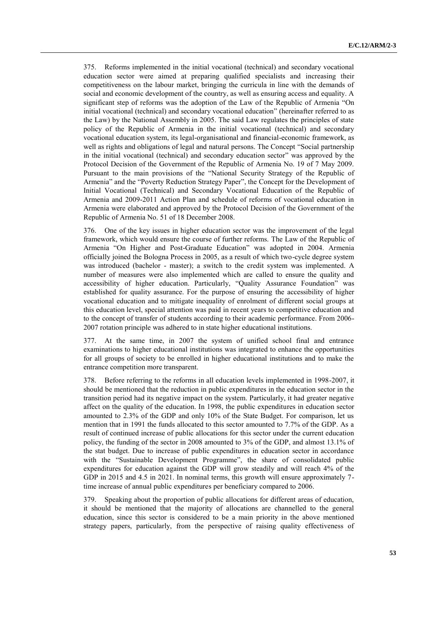375. Reforms implemented in the initial vocational (technical) and secondary vocational education sector were aimed at preparing qualified specialists and increasing their competitiveness on the labour market, bringing the curricula in line with the demands of social and economic development of the country, as well as ensuring access and equality. A significant step of reforms was the adoption of the Law of the Republic of Armenia "On initial vocational (technical) and secondary vocational education" (hereinafter referred to as the Law) by the National Assembly in 2005. The said Law regulates the principles of state policy of the Republic of Armenia in the initial vocational (technical) and secondary vocational education system, its legal-organisational and financial-economic framework, as well as rights and obligations of legal and natural persons. The Concept "Social partnership in the initial vocational (technical) and secondary education sector" was approved by the Protocol Decision of the Government of the Republic of Armenia No. 19 of 7 May 2009. Pursuant to the main provisions of the "National Security Strategy of the Republic of Armenia" and the "Poverty Reduction Strategy Paper", the Concept for the Development of Initial Vocational (Technical) and Secondary Vocational Education of the Republic of Armenia and 2009-2011 Action Plan and schedule of reforms of vocational education in Armenia were elaborated and approved by the Protocol Decision of the Government of the Republic of Armenia No. 51 of 18 December 2008.

376. One of the key issues in higher education sector was the improvement of the legal framework, which would ensure the course of further reforms. The Law of the Republic of Armenia "On Higher and Post-Graduate Education" was adopted in 2004. Armenia officially joined the Bologna Process in 2005, as a result of which two-cycle degree system was introduced (bachelor - master); a switch to the credit system was implemented. A number of measures were also implemented which are called to ensure the quality and accessibility of higher education. Particularly, "Quality Assurance Foundation" was established for quality assurance. For the purpose of ensuring the accessibility of higher vocational education and to mitigate inequality of enrolment of different social groups at this education level, special attention was paid in recent years to competitive education and to the concept of transfer of students according to their academic performance. From 2006- 2007 rotation principle was adhered to in state higher educational institutions.

377. At the same time, in 2007 the system of unified school final and entrance examinations to higher educational institutions was integrated to enhance the opportunities for all groups of society to be enrolled in higher educational institutions and to make the entrance competition more transparent.

378. Before referring to the reforms in all education levels implemented in 1998-2007, it should be mentioned that the reduction in public expenditures in the education sector in the transition period had its negative impact on the system. Particularly, it had greater negative affect on the quality of the education. In 1998, the public expenditures in education sector amounted to 2.3% of the GDP and only 10% of the State Budget. For comparison, let us mention that in 1991 the funds allocated to this sector amounted to 7.7% of the GDP. As a result of continued increase of public allocations for this sector under the current education policy, the funding of the sector in 2008 amounted to 3% of the GDP, and almost 13.1% of the stat budget. Due to increase of public expenditures in education sector in accordance with the "Sustainable Development Programme", the share of consolidated public expenditures for education against the GDP will grow steadily and will reach 4% of the GDP in 2015 and 4.5 in 2021. In nominal terms, this growth will ensure approximately 7 time increase of annual public expenditures per beneficiary compared to 2006.

379. Speaking about the proportion of public allocations for different areas of education, it should be mentioned that the majority of allocations are channelled to the general education, since this sector is considered to be a main priority in the above mentioned strategy papers, particularly, from the perspective of raising quality effectiveness of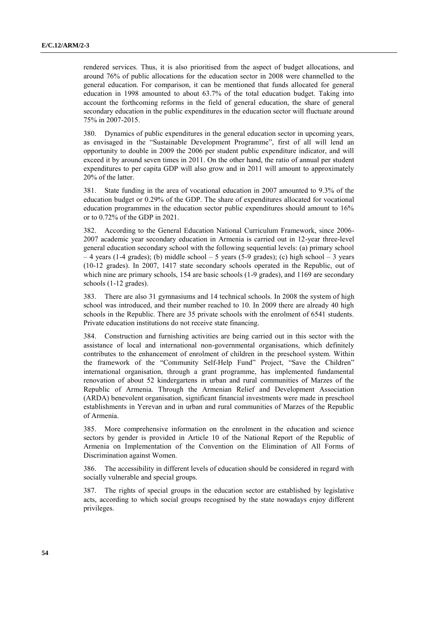rendered services. Thus, it is also prioritised from the aspect of budget allocations, and around 76% of public allocations for the education sector in 2008 were channelled to the general education. For comparison, it can be mentioned that funds allocated for general education in 1998 amounted to about 63.7% of the total education budget. Taking into account the forthcoming reforms in the field of general education, the share of general secondary education in the public expenditures in the education sector will fluctuate around 75% in 2007-2015.

380. Dynamics of public expenditures in the general education sector in upcoming years, as envisaged in the "Sustainable Development Programme", first of all will lend an opportunity to double in 2009 the 2006 per student public expenditure indicator, and will exceed it by around seven times in 2011. On the other hand, the ratio of annual per student expenditures to per capita GDP will also grow and in 2011 will amount to approximately 20% of the latter.

381. State funding in the area of vocational education in 2007 amounted to 9.3% of the education budget or 0.29% of the GDP. The share of expenditures allocated for vocational education programmes in the education sector public expenditures should amount to 16% or to 0.72% of the GDP in 2021.

382. According to the General Education National Curriculum Framework, since 2006- 2007 academic year secondary education in Armenia is carried out in 12-year three-level general education secondary school with the following sequential levels: (a) primary school  $-4$  years (1-4 grades); (b) middle school  $-5$  years (5-9 grades); (c) high school  $-3$  years (10-12 grades). In 2007, 1417 state secondary schools operated in the Republic, out of which nine are primary schools, 154 are basic schools (1-9 grades), and 1169 are secondary schools (1-12 grades).

383. There are also 31 gymnasiums and 14 technical schools. In 2008 the system of high school was introduced, and their number reached to 10. In 2009 there are already 40 high schools in the Republic. There are 35 private schools with the enrolment of 6541 students. Private education institutions do not receive state financing.

384. Construction and furnishing activities are being carried out in this sector with the assistance of local and international non-governmental organisations, which definitely contributes to the enhancement of enrolment of children in the preschool system. Within the framework of the "Community Self-Help Fund" Project, "Save the Children" international organisation, through a grant programme, has implemented fundamental renovation of about 52 kindergartens in urban and rural communities of Marzes of the Republic of Armenia. Through the Armenian Relief and Development Association (ARDA) benevolent organisation, significant financial investments were made in preschool establishments in Yerevan and in urban and rural communities of Marzes of the Republic of Armenia.

385. More comprehensive information on the enrolment in the education and science sectors by gender is provided in Article 10 of the National Report of the Republic of Armenia on Implementation of the Convention on the Elimination of All Forms of Discrimination against Women.

386. The accessibility in different levels of education should be considered in regard with socially vulnerable and special groups.

387. The rights of special groups in the education sector are established by legislative acts, according to which social groups recognised by the state nowadays enjoy different privileges.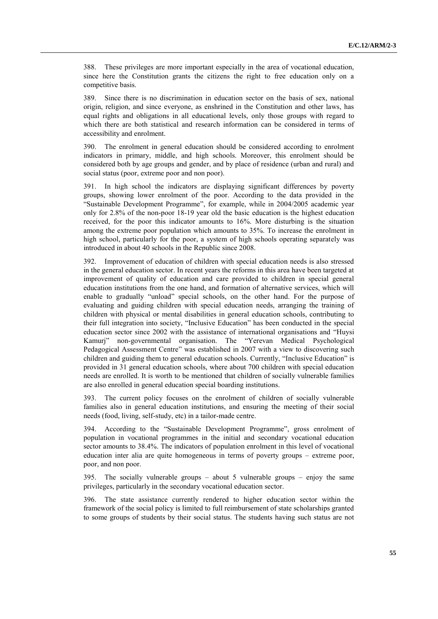388. These privileges are more important especially in the area of vocational education, since here the Constitution grants the citizens the right to free education only on a competitive basis.

389. Since there is no discrimination in education sector on the basis of sex, national origin, religion, and since everyone, as enshrined in the Constitution and other laws, has equal rights and obligations in all educational levels, only those groups with regard to which there are both statistical and research information can be considered in terms of accessibility and enrolment.

390. The enrolment in general education should be considered according to enrolment indicators in primary, middle, and high schools. Moreover, this enrolment should be considered both by age groups and gender, and by place of residence (urban and rural) and social status (poor, extreme poor and non poor).

391. In high school the indicators are displaying significant differences by poverty groups, showing lower enrolment of the poor. According to the data provided in the "Sustainable Development Programme", for example, while in 2004/2005 academic year only for 2.8% of the non-poor 18-19 year old the basic education is the highest education received, for the poor this indicator amounts to 16%. More disturbing is the situation among the extreme poor population which amounts to 35%. To increase the enrolment in high school, particularly for the poor, a system of high schools operating separately was introduced in about 40 schools in the Republic since 2008.

392. Improvement of education of children with special education needs is also stressed in the general education sector. In recent years the reforms in this area have been targeted at improvement of quality of education and care provided to children in special general education institutions from the one hand, and formation of alternative services, which will enable to gradually "unload" special schools, on the other hand. For the purpose of evaluating and guiding children with special education needs, arranging the training of children with physical or mental disabilities in general education schools, contributing to their full integration into society, "Inclusive Education" has been conducted in the special education sector since 2002 with the assistance of international organisations and "Huysi Kamurj" non-governmental organisation. The "Yerevan Medical Psychological Pedagogical Assessment Centre" was established in 2007 with a view to discovering such children and guiding them to general education schools. Currently, "Inclusive Education" is provided in 31 general education schools, where about 700 children with special education needs are enrolled. It is worth to be mentioned that children of socially vulnerable families are also enrolled in general education special boarding institutions.

393. The current policy focuses on the enrolment of children of socially vulnerable families also in general education institutions, and ensuring the meeting of their social needs (food, living, self-study, etc) in a tailor-made centre.

394. According to the "Sustainable Development Programme", gross enrolment of population in vocational programmes in the initial and secondary vocational education sector amounts to 38.4%. The indicators of population enrolment in this level of vocational education inter alia are quite homogeneous in terms of poverty groups – extreme poor, poor, and non poor.

395. The socially vulnerable groups – about 5 vulnerable groups – enjoy the same privileges, particularly in the secondary vocational education sector.

396. The state assistance currently rendered to higher education sector within the framework of the social policy is limited to full reimbursement of state scholarships granted to some groups of students by their social status. The students having such status are not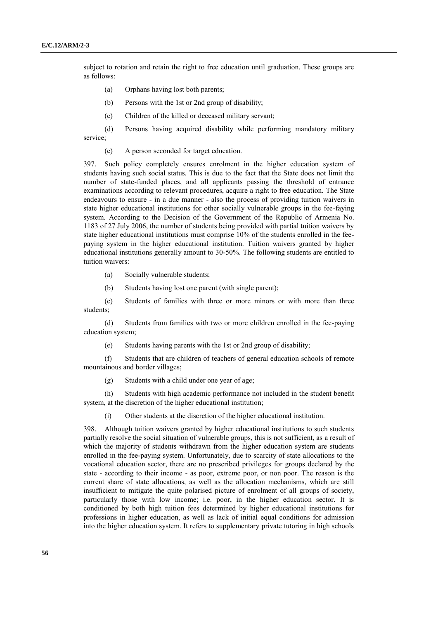subject to rotation and retain the right to free education until graduation. These groups are as follows:

- (a) Orphans having lost both parents;
- (b) Persons with the 1st or 2nd group of disability;
- (c) Children of the killed or deceased military servant;
- (d) Persons having acquired disability while performing mandatory military service;
	- (e) A person seconded for target education.

397. Such policy completely ensures enrolment in the higher education system of students having such social status. This is due to the fact that the State does not limit the number of state-funded places, and all applicants passing the threshold of entrance examinations according to relevant procedures, acquire a right to free education. The State endeavours to ensure - in a due manner - also the process of providing tuition waivers in state higher educational institutions for other socially vulnerable groups in the fee-faying system. According to the Decision of the Government of the Republic of Armenia No. 1183 of 27 July 2006, the number of students being provided with partial tuition waivers by state higher educational institutions must comprise 10% of the students enrolled in the feepaying system in the higher educational institution. Tuition waivers granted by higher educational institutions generally amount to 30-50%. The following students are entitled to tuition waivers:

- (a) Socially vulnerable students;
- (b) Students having lost one parent (with single parent);

(c) Students of families with three or more minors or with more than three students;

(d) Students from families with two or more children enrolled in the fee-paying education system;

(e) Students having parents with the 1st or 2nd group of disability;

(f) Students that are children of teachers of general education schools of remote mountainous and border villages;

(g) Students with a child under one year of age;

(h) Students with high academic performance not included in the student benefit system, at the discretion of the higher educational institution;

(i) Other students at the discretion of the higher educational institution.

398. Although tuition waivers granted by higher educational institutions to such students partially resolve the social situation of vulnerable groups, this is not sufficient, as a result of which the majority of students withdrawn from the higher education system are students enrolled in the fee-paying system. Unfortunately, due to scarcity of state allocations to the vocational education sector, there are no prescribed privileges for groups declared by the state - according to their income - as poor, extreme poor, or non poor. The reason is the current share of state allocations, as well as the allocation mechanisms, which are still insufficient to mitigate the quite polarised picture of enrolment of all groups of society, particularly those with low income; i.e. poor, in the higher education sector. It is conditioned by both high tuition fees determined by higher educational institutions for professions in higher education, as well as lack of initial equal conditions for admission into the higher education system. It refers to supplementary private tutoring in high schools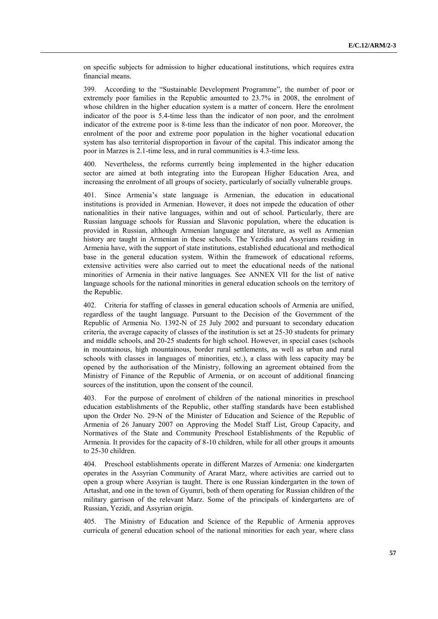on specific subjects for admission to higher educational institutions, which requires extra financial means.

399. According to the "Sustainable Development Programme", the number of poor or extremely poor families in the Republic amounted to 23.7% in 2008, the enrolment of whose children in the higher education system is a matter of concern. Here the enrolment indicator of the poor is 5.4-time less than the indicator of non poor, and the enrolment indicator of the extreme poor is 8-time less than the indicator of non poor. Moreover, the enrolment of the poor and extreme poor population in the higher vocational education system has also territorial disproportion in favour of the capital. This indicator among the poor in Marzes is 2.1-time less, and in rural communities is 4.3-time less.

400. Nevertheless, the reforms currently being implemented in the higher education sector are aimed at both integrating into the European Higher Education Area, and increasing the enrolment of all groups of society, particularly of socially vulnerable groups.

401. Since Armenia's state language is Armenian, the education in educational institutions is provided in Armenian. However, it does not impede the education of other nationalities in their native languages, within and out of school. Particularly, there are Russian language schools for Russian and Slavonic population, where the education is provided in Russian, although Armenian language and literature, as well as Armenian history are taught in Armenian in these schools. The Yezidis and Assyrians residing in Armenia have, with the support of state institutions, established educational and methodical base in the general education system. Within the framework of educational reforms, extensive activities were also carried out to meet the educational needs of the national minorities of Armenia in their native languages. See ANNEX VII for the list of native language schools for the national minorities in general education schools on the territory of the Republic.

402. Criteria for staffing of classes in general education schools of Armenia are unified, regardless of the taught language. Pursuant to the Decision of the Government of the Republic of Armenia No. 1392-N of 25 July 2002 and pursuant to secondary education criteria, the average capacity of classes of the institution is set at 25-30 students for primary and middle schools, and 20-25 students for high school. However, in special cases (schools in mountainous, high mountainous, border rural settlements, as well as urban and rural schools with classes in languages of minorities, etc.), a class with less capacity may be opened by the authorisation of the Ministry, following an agreement obtained from the Ministry of Finance of the Republic of Armenia, or on account of additional financing sources of the institution, upon the consent of the council.

403. For the purpose of enrolment of children of the national minorities in preschool education establishments of the Republic, other staffing standards have been established upon the Order No. 29-N of the Minister of Education and Science of the Republic of Armenia of 26 January 2007 on Approving the Model Staff List, Group Capacity, and Normatives of the State and Community Preschool Establishments of the Republic of Armenia. It provides for the capacity of 8-10 children, while for all other groups it amounts to 25-30 children.

404. Preschool establishments operate in different Marzes of Armenia: one kindergarten operates in the Assyrian Community of Ararat Marz, where activities are carried out to open a group where Assyrian is taught. There is one Russian kindergarten in the town of Artashat, and one in the town of Gyumri, both of them operating for Russian children of the military garrison of the relevant Marz. Some of the principals of kindergartens are of Russian, Yezidi, and Assyrian origin.

405. The Ministry of Education and Science of the Republic of Armenia approves curricula of general education school of the national minorities for each year, where class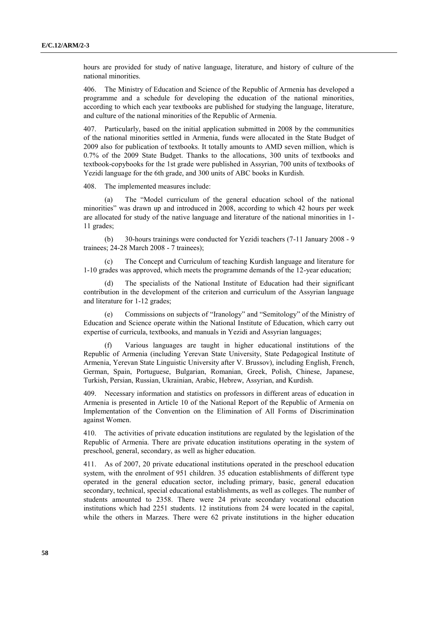hours are provided for study of native language, literature, and history of culture of the national minorities.

406. The Ministry of Education and Science of the Republic of Armenia has developed a programme and a schedule for developing the education of the national minorities, according to which each year textbooks are published for studying the language, literature, and culture of the national minorities of the Republic of Armenia.

407. Particularly, based on the initial application submitted in 2008 by the communities of the national minorities settled in Armenia, funds were allocated in the State Budget of 2009 also for publication of textbooks. It totally amounts to AMD seven million, which is 0.7% of the 2009 State Budget. Thanks to the allocations, 300 units of textbooks and textbook-copybooks for the 1st grade were published in Assyrian, 700 units of textbooks of Yezidi language for the 6th grade, and 300 units of ABC books in Kurdish.

408. The implemented measures include:

(a) The "Model curriculum of the general education school of the national minorities" was drawn up and introduced in 2008, according to which 42 hours per week are allocated for study of the native language and literature of the national minorities in 1- 11 grades;

(b) 30-hours trainings were conducted for Yezidi teachers (7-11 January 2008 - 9 trainees; 24-28 March 2008 - 7 trainees);

The Concept and Curriculum of teaching Kurdish language and literature for 1-10 grades was approved, which meets the programme demands of the 12-year education;

(d) The specialists of the National Institute of Education had their significant contribution in the development of the criterion and curriculum of the Assyrian language and literature for 1-12 grades;

(e) Commissions on subjects of "Iranology" and "Semitology" of the Ministry of Education and Science operate within the National Institute of Education, which carry out expertise of curricula, textbooks, and manuals in Yezidi and Assyrian languages;

(f) Various languages are taught in higher educational institutions of the Republic of Armenia (including Yerevan State University, State Pedagogical Institute of Armenia, Yerevan State Linguistic University after V. Brussov), including English, French, German, Spain, Portuguese, Bulgarian, Romanian, Greek, Polish, Chinese, Japanese, Turkish, Persian, Russian, Ukrainian, Arabic, Hebrew, Assyrian, and Kurdish.

409. Necessary information and statistics on professors in different areas of education in Armenia is presented in Article 10 of the National Report of the Republic of Armenia on Implementation of the Convention on the Elimination of All Forms of Discrimination against Women.

410. The activities of private education institutions are regulated by the legislation of the Republic of Armenia. There are private education institutions operating in the system of preschool, general, secondary, as well as higher education.

411. As of 2007, 20 private educational institutions operated in the preschool education system, with the enrolment of 951 children. 35 education establishments of different type operated in the general education sector, including primary, basic, general education secondary, technical, special educational establishments, as well as colleges. The number of students amounted to 2358. There were 24 private secondary vocational education institutions which had 2251 students. 12 institutions from 24 were located in the capital, while the others in Marzes. There were 62 private institutions in the higher education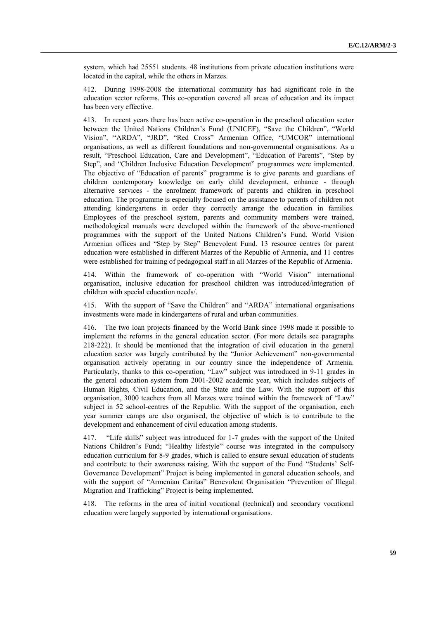system, which had 25551 students. 48 institutions from private education institutions were located in the capital, while the others in Marzes.

412. During 1998-2008 the international community has had significant role in the education sector reforms. This co-operation covered all areas of education and its impact has been very effective.

413. In recent years there has been active co-operation in the preschool education sector between the United Nations Children's Fund (UNICEF), "Save the Children", "World Vision", "ARDA", "JRD", "Red Cross" Armenian Office, "UMCOR" international organisations, as well as different foundations and non-governmental organisations. As a result, "Preschool Education, Care and Development", "Education of Parents", "Step by Step", and "Children Inclusive Education Development" programmes were implemented. The objective of "Education of parents" programme is to give parents and guardians of children contemporary knowledge on early child development, enhance - through alternative services - the enrolment framework of parents and children in preschool education. The programme is especially focused on the assistance to parents of children not attending kindergartens in order they correctly arrange the education in families. Employees of the preschool system, parents and community members were trained, methodological manuals were developed within the framework of the above-mentioned programmes with the support of the United Nations Children's Fund, World Vision Armenian offices and "Step by Step" Benevolent Fund. 13 resource centres for parent education were established in different Marzes of the Republic of Armenia, and 11 centres were established for training of pedagogical staff in all Marzes of the Republic of Armenia.

414. Within the framework of co-operation with "World Vision" international organisation, inclusive education for preschool children was introduced/integration of children with special education needs/.

415. With the support of "Save the Children" and "ARDA" international organisations investments were made in kindergartens of rural and urban communities.

416. The two loan projects financed by the World Bank since 1998 made it possible to implement the reforms in the general education sector. (For more details see paragraphs 218-222). It should be mentioned that the integration of civil education in the general education sector was largely contributed by the "Junior Achievement" non-governmental organisation actively operating in our country since the independence of Armenia. Particularly, thanks to this co-operation, "Law" subject was introduced in 9-11 grades in the general education system from 2001-2002 academic year, which includes subjects of Human Rights, Civil Education, and the State and the Law. With the support of this organisation, 3000 teachers from all Marzes were trained within the framework of "Law" subject in 52 school-centres of the Republic. With the support of the organisation, each year summer camps are also organised, the objective of which is to contribute to the development and enhancement of civil education among students.

417. "Life skills" subject was introduced for 1-7 grades with the support of the United Nations Children's Fund; "Healthy lifestyle" course was integrated in the compulsory education curriculum for 8-9 grades, which is called to ensure sexual education of students and contribute to their awareness raising. With the support of the Fund "Students' Self-Governance Development" Project is being implemented in general education schools, and with the support of "Armenian Caritas" Benevolent Organisation "Prevention of Illegal Migration and Trafficking" Project is being implemented.

418. The reforms in the area of initial vocational (technical) and secondary vocational education were largely supported by international organisations.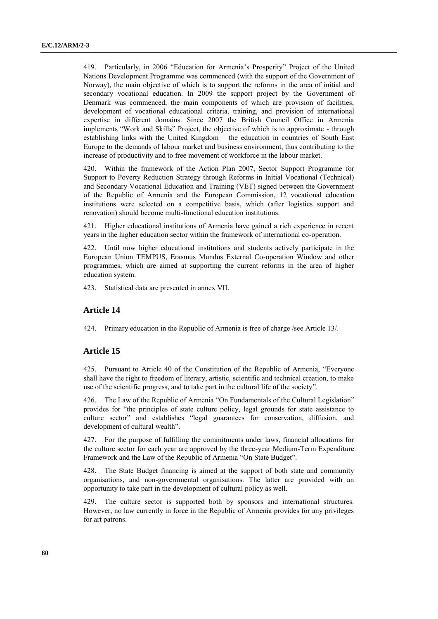419. Particularly, in 2006 "Education for Armenia's Prosperity" Project of the United Nations Development Programme was commenced (with the support of the Government of Norway), the main objective of which is to support the reforms in the area of initial and secondary vocational education. In 2009 the support project by the Government of Denmark was commenced, the main components of which are provision of facilities, development of vocational educational criteria, training, and provision of international expertise in different domains. Since 2007 the British Council Office in Armenia implements "Work and Skills" Project, the objective of which is to approximate - through establishing links with the United Kingdom – the education in countries of South East Europe to the demands of labour market and business environment, thus contributing to the increase of productivity and to free movement of workforce in the labour market.

420. Within the framework of the Action Plan 2007, Sector Support Programme for Support to Poverty Reduction Strategy through Reforms in Initial Vocational (Technical) and Secondary Vocational Education and Training (VET) signed between the Government of the Republic of Armenia and the European Commission, 12 vocational education institutions were selected on a competitive basis, which (after logistics support and renovation) should become multi-functional education institutions.

421. Higher educational institutions of Armenia have gained a rich experience in recent years in the higher education sector within the framework of international co-operation.

422. Until now higher educational institutions and students actively participate in the European Union TEMPUS, Erasmus Mundus External Co-operation Window and other programmes, which are aimed at supporting the current reforms in the area of higher education system.

423. Statistical data are presented in annex VII.

### **Article 14**

424. Primary education in the Republic of Armenia is free of charge /see Article 13/.

### **Article 15**

425. Pursuant to Article 40 of the Constitution of the Republic of Armenia, "Everyone shall have the right to freedom of literary, artistic, scientific and technical creation, to make use of the scientific progress, and to take part in the cultural life of the society".

426. The Law of the Republic of Armenia "On Fundamentals of the Cultural Legislation" provides for "the principles of state culture policy, legal grounds for state assistance to culture sector" and establishes "legal guarantees for conservation, diffusion, and development of cultural wealth".

427. For the purpose of fulfilling the commitments under laws, financial allocations for the culture sector for each year are approved by the three-year Medium-Term Expenditure Framework and the Law of the Republic of Armenia "On State Budget".

428. The State Budget financing is aimed at the support of both state and community organisations, and non-governmental organisations. The latter are provided with an opportunity to take part in the development of cultural policy as well.

429. The culture sector is supported both by sponsors and international structures. However, no law currently in force in the Republic of Armenia provides for any privileges for art patrons.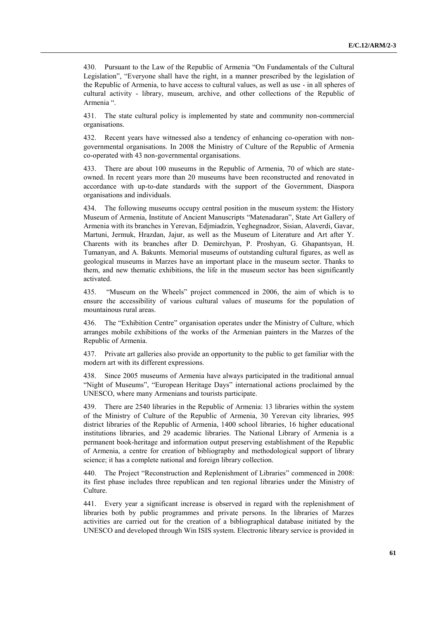430. Pursuant to the Law of the Republic of Armenia "On Fundamentals of the Cultural Legislation", "Everyone shall have the right, in a manner prescribed by the legislation of the Republic of Armenia, to have access to cultural values, as well as use - in all spheres of cultural activity - library, museum, archive, and other collections of the Republic of Armenia ".

431. The state cultural policy is implemented by state and community non-commercial organisations.

432. Recent years have witnessed also a tendency of enhancing co-operation with nongovernmental organisations. In 2008 the Ministry of Culture of the Republic of Armenia co-operated with 43 non-governmental organisations.

433. There are about 100 museums in the Republic of Armenia, 70 of which are stateowned. In recent years more than 20 museums have been reconstructed and renovated in accordance with up-to-date standards with the support of the Government, Diaspora organisations and individuals.

434. The following museums occupy central position in the museum system: the History Museum of Armenia, Institute of Ancient Manuscripts "Matenadaran", State Art Gallery of Armenia with its branches in Yerevan, Edjmiadzin, Yeghegnadzor, Sisian, Alaverdi, Gavar, Martuni, Jermuk, Hrazdan, Jajur, as well as the Museum of Literature and Art after Y. Charents with its branches after D. Demirchyan, P. Proshyan, G. Ghapantsyan, H. Tumanyan, and A. Bakunts. Memorial museums of outstanding cultural figures, as well as geological museums in Marzes have an important place in the museum sector. Thanks to them, and new thematic exhibitions, the life in the museum sector has been significantly activated.

435. "Museum on the Wheels" project commenced in 2006, the aim of which is to ensure the accessibility of various cultural values of museums for the population of mountainous rural areas.

436. The "Exhibition Centre" organisation operates under the Ministry of Culture, which arranges mobile exhibitions of the works of the Armenian painters in the Marzes of the Republic of Armenia.

437. Private art galleries also provide an opportunity to the public to get familiar with the modern art with its different expressions.

438. Since 2005 museums of Armenia have always participated in the traditional annual "Night of Museums", "European Heritage Days" international actions proclaimed by the UNESCO, where many Armenians and tourists participate.

439. There are 2540 libraries in the Republic of Armenia: 13 libraries within the system of the Ministry of Culture of the Republic of Armenia, 30 Yerevan city libraries, 995 district libraries of the Republic of Armenia, 1400 school libraries, 16 higher educational institutions libraries, and 29 academic libraries. The National Library of Armenia is a permanent book-heritage and information output preserving establishment of the Republic of Armenia, a centre for creation of bibliography and methodological support of library science; it has a complete national and foreign library collection.

440. The Project "Reconstruction and Replenishment of Libraries" commenced in 2008: its first phase includes three republican and ten regional libraries under the Ministry of Culture.

441. Every year a significant increase is observed in regard with the replenishment of libraries both by public programmes and private persons. In the libraries of Marzes activities are carried out for the creation of a bibliographical database initiated by the UNESCO and developed through Win ISIS system. Electronic library service is provided in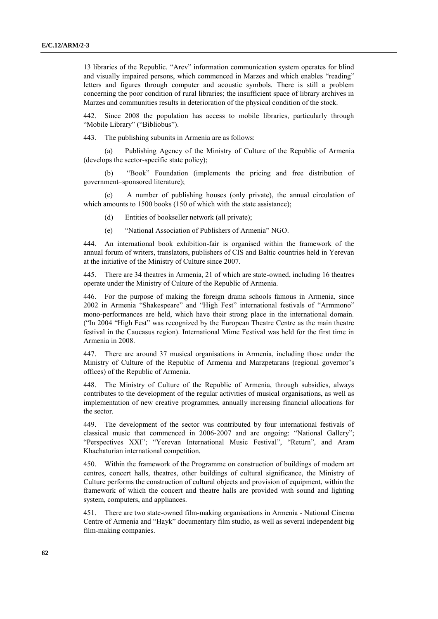13 libraries of the Republic. "Arev" information communication system operates for blind and visually impaired persons, which commenced in Marzes and which enables "reading" letters and figures through computer and acoustic symbols. There is still a problem concerning the poor condition of rural libraries; the insufficient space of library archives in Marzes and communities results in deterioration of the physical condition of the stock.

442. Since 2008 the population has access to mobile libraries, particularly through "Mobile Library" ("Bibliobus").

443. The publishing subunits in Armenia are as follows:

(a) Publishing Agency of the Ministry of Culture of the Republic of Armenia (develops the sector-specific state policy);

(b) "Book" Foundation (implements the pricing and free distribution of government–sponsored literature);

(c) A number of publishing houses (only private), the annual circulation of which amounts to 1500 books (150 of which with the state assistance);

- (d) Entities of bookseller network (all private);
- (e) "National Association of Publishers of Armenia" NGO.

444. An international book exhibition-fair is organised within the framework of the annual forum of writers, translators, publishers of CIS and Baltic countries held in Yerevan at the initiative of the Ministry of Culture since 2007.

445. There are 34 theatres in Armenia, 21 of which are state-owned, including 16 theatres operate under the Ministry of Culture of the Republic of Armenia.

446. For the purpose of making the foreign drama schools famous in Armenia, since 2002 in Armenia "Shakespeare" and "High Fest" international festivals of "Armmono" mono-performances are held, which have their strong place in the international domain. ("In 2004 "High Fest" was recognized by the European Theatre Centre as the main theatre festival in the Caucasus region). International Mime Festival was held for the first time in Armenia in 2008.

447. There are around 37 musical organisations in Armenia, including those under the Ministry of Culture of the Republic of Armenia and Marzpetarans (regional governor's offices) of the Republic of Armenia.

448. The Ministry of Culture of the Republic of Armenia, through subsidies, always contributes to the development of the regular activities of musical organisations, as well as implementation of new creative programmes, annually increasing financial allocations for the sector.

449. The development of the sector was contributed by four international festivals of classical music that commenced in 2006-2007 and are ongoing: "National Gallery"; "Perspectives XXI"; "Yerevan International Music Festival", "Return", and Aram Khachaturian international competition.

450. Within the framework of the Programme on construction of buildings of modern art centres, concert halls, theatres, other buildings of cultural significance, the Ministry of Culture performs the construction of cultural objects and provision of equipment, within the framework of which the concert and theatre halls are provided with sound and lighting system, computers, and appliances.

451. There are two state-owned film-making organisations in Armenia - National Cinema Centre of Armenia and "Hayk" documentary film studio, as well as several independent big film-making companies.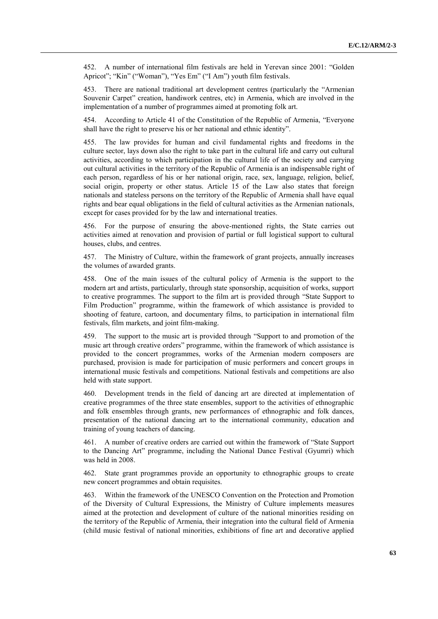452. A number of international film festivals are held in Yerevan since 2001: "Golden Apricot"; "Kin" ("Woman"), "Yes Em" ("I Am") youth film festivals.

453. There are national traditional art development centres (particularly the "Armenian Souvenir Carpet" creation, handiwork centres, etc) in Armenia, which are involved in the implementation of a number of programmes aimed at promoting folk art.

454. According to Article 41 of the Constitution of the Republic of Armenia, "Everyone shall have the right to preserve his or her national and ethnic identity".

455. The law provides for human and civil fundamental rights and freedoms in the culture sector, lays down also the right to take part in the cultural life and carry out cultural activities, according to which participation in the cultural life of the society and carrying out cultural activities in the territory of the Republic of Armenia is an indispensable right of each person, regardless of his or her national origin, race, sex, language, religion, belief, social origin, property or other status. Article 15 of the Law also states that foreign nationals and stateless persons on the territory of the Republic of Armenia shall have equal rights and bear equal obligations in the field of cultural activities as the Armenian nationals, except for cases provided for by the law and international treaties.

456. For the purpose of ensuring the above-mentioned rights, the State carries out activities aimed at renovation and provision of partial or full logistical support to cultural houses, clubs, and centres.

457. The Ministry of Culture, within the framework of grant projects, annually increases the volumes of awarded grants.

458. One of the main issues of the cultural policy of Armenia is the support to the modern art and artists, particularly, through state sponsorship, acquisition of works, support to creative programmes. The support to the film art is provided through "State Support to Film Production" programme, within the framework of which assistance is provided to shooting of feature, cartoon, and documentary films, to participation in international film festivals, film markets, and joint film-making.

459. The support to the music art is provided through "Support to and promotion of the music art through creative orders" programme, within the framework of which assistance is provided to the concert programmes, works of the Armenian modern composers are purchased, provision is made for participation of music performers and concert groups in international music festivals and competitions. National festivals and competitions are also held with state support.

460. Development trends in the field of dancing art are directed at implementation of creative programmes of the three state ensembles, support to the activities of ethnographic and folk ensembles through grants, new performances of ethnographic and folk dances, presentation of the national dancing art to the international community, education and training of young teachers of dancing.

461. A number of creative orders are carried out within the framework of "State Support to the Dancing Art" programme, including the National Dance Festival (Gyumri) which was held in 2008.

462. State grant programmes provide an opportunity to ethnographic groups to create new concert programmes and obtain requisites.

463. Within the framework of the UNESCO Convention on the Protection and Promotion of the Diversity of Cultural Expressions, the Ministry of Culture implements measures aimed at the protection and development of culture of the national minorities residing on the territory of the Republic of Armenia, their integration into the cultural field of Armenia (child music festival of national minorities, exhibitions of fine art and decorative applied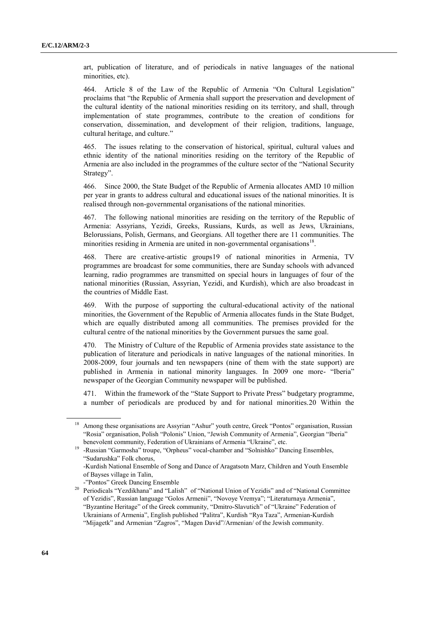art, publication of literature, and of periodicals in native languages of the national minorities, etc).

464. Article 8 of the Law of the Republic of Armenia "On Cultural Legislation" proclaims that "the Republic of Armenia shall support the preservation and development of the cultural identity of the national minorities residing on its territory, and shall, through implementation of state programmes, contribute to the creation of conditions for conservation, dissemination, and development of their religion, traditions, language, cultural heritage, and culture."

465. The issues relating to the conservation of historical, spiritual, cultural values and ethnic identity of the national minorities residing on the territory of the Republic of Armenia are also included in the programmes of the culture sector of the "National Security Strategy".

466. Since 2000, the State Budget of the Republic of Armenia allocates AMD 10 million per year in grants to address cultural and educational issues of the national minorities. It is realised through non-governmental organisations of the national minorities.

467. The following national minorities are residing on the territory of the Republic of Armenia: Assyrians, Yezidi, Greeks, Russians, Kurds, as well as Jews, Ukrainians, Belorussians, Polish, Germans, and Georgians. All together there are 11 communities. The minorities residing in Armenia are united in non-governmental organisations<sup>18</sup>.

468. There are creative-artistic groups19 of national minorities in Armenia, TV programmes are broadcast for some communities, there are Sunday schools with advanced learning, radio programmes are transmitted on special hours in languages of four of the national minorities (Russian, Assyrian, Yezidi, and Kurdish), which are also broadcast in the countries of Middle East.

469. With the purpose of supporting the cultural-educational activity of the national minorities, the Government of the Republic of Armenia allocates funds in the State Budget, which are equally distributed among all communities. The premises provided for the cultural centre of the national minorities by the Government pursues the same goal.

470. The Ministry of Culture of the Republic of Armenia provides state assistance to the publication of literature and periodicals in native languages of the national minorities. In 2008-2009, four journals and ten newspapers (nine of them with the state support) are published in Armenia in national minority languages. In 2009 one more- "Iberia" newspaper of the Georgian Community newspaper will be published.

471. Within the framework of the "State Support to Private Press" budgetary programme, a number of periodicals are produced by and for national minorities.20 Within the

-"Pontos" Greek Dancing Ensemble

<sup>18</sup> Among these organisations are Assyrian "Ashur" youth centre, Greek "Pontos" organisation, Russian "Rosia" organisation, Polish "Polonis" Union, "Jewish Community of Armenia", Georgian "Iberia" benevolent community, Federation of Ukrainians of Armenia "Ukraine", etc.

<sup>&</sup>lt;sup>19</sup> -Russian "Garmosha" troupe, "Orpheus" vocal-chamber and "Solnishko" Dancing Ensembles, "Sudarushka" Folk chorus,

<sup>-</sup>Kurdish National Ensemble of Song and Dance of Aragatsotn Marz, Children and Youth Ensemble of Bayses village in Talin,

<sup>&</sup>lt;sup>20</sup> Periodicals "Yezdikhana" and "Lalish" of "National Union of Yezidis" and of "National Committee of Yezidis", Russian language "Golos Armenii", "Novoye Vremya"; "Literaturnaya Armenia", "Byzantine Heritage" of the Greek community, "Dmitro-Slavutich" of "Ukraine" Federation of Ukrainians of Armenia", English published "Palitra", Kurdish "Rya Taza", Armenian-Kurdish "Mijagetk" and Armenian "Zagros", "Magen David"/Armenian/ of the Jewish community.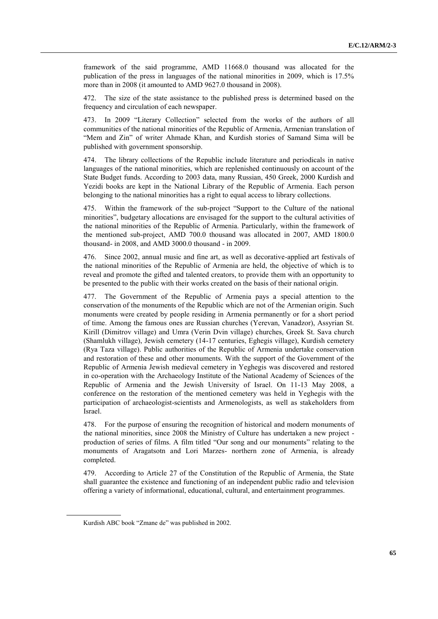framework of the said programme, AMD 11668.0 thousand was allocated for the publication of the press in languages of the national minorities in 2009, which is 17.5% more than in 2008 (it amounted to AMD 9627.0 thousand in 2008).

472. The size of the state assistance to the published press is determined based on the frequency and circulation of each newspaper.

473. In 2009 "Literary Collection" selected from the works of the authors of all communities of the national minorities of the Republic of Armenia, Armenian translation of "Mem and Zin" of writer Ahmade Khan, and Kurdish stories of Samand Sima will be published with government sponsorship.

474. The library collections of the Republic include literature and periodicals in native languages of the national minorities, which are replenished continuously on account of the State Budget funds. According to 2003 data, many Russian, 450 Greek, 2000 Kurdish and Yezidi books are kept in the National Library of the Republic of Armenia. Each person belonging to the national minorities has a right to equal access to library collections.

475. Within the framework of the sub-project "Support to the Culture of the national minorities", budgetary allocations are envisaged for the support to the cultural activities of the national minorities of the Republic of Armenia. Particularly, within the framework of the mentioned sub-project, AMD 700.0 thousand was allocated in 2007, AMD 1800.0 thousand- in 2008, and AMD 3000.0 thousand - in 2009.

476. Since 2002, annual music and fine art, as well as decorative-applied art festivals of the national minorities of the Republic of Armenia are held, the objective of which is to reveal and promote the gifted and talented creators, to provide them with an opportunity to be presented to the public with their works created on the basis of their national origin.

477. The Government of the Republic of Armenia pays a special attention to the conservation of the monuments of the Republic which are not of the Armenian origin. Such monuments were created by people residing in Armenia permanently or for a short period of time. Among the famous ones are Russian churches (Yerevan, Vanadzor), Assyrian St. Kirill (Dimitrov village) and Umra (Verin Dvin village) churches, Greek St. Sava church (Shamlukh village), Jewish cemetery (14-17 centuries, Eghegis village), Kurdish cemetery (Rya Taza village). Public authorities of the Republic of Armenia undertake conservation and restoration of these and other monuments. With the support of the Government of the Republic of Armenia Jewish medieval cemetery in Yeghegis was discovered and restored in co-operation with the Archaeology Institute of the National Academy of Sciences of the Republic of Armenia and the Jewish University of Israel. On 11-13 May 2008, a conference on the restoration of the mentioned cemetery was held in Yeghegis with the participation of archaeologist-scientists and Armenologists, as well as stakeholders from Israel.

478. For the purpose of ensuring the recognition of historical and modern monuments of the national minorities, since 2008 the Ministry of Culture has undertaken a new project production of series of films. A film titled "Our song and our monuments" relating to the monuments of Aragatsotn and Lori Marzes- northern zone of Armenia, is already completed.

479. According to Article 27 of the Constitution of the Republic of Armenia, the State shall guarantee the existence and functioning of an independent public radio and television offering a variety of informational, educational, cultural, and entertainment programmes.

Kurdish ABC book "Zmane de" was published in 2002.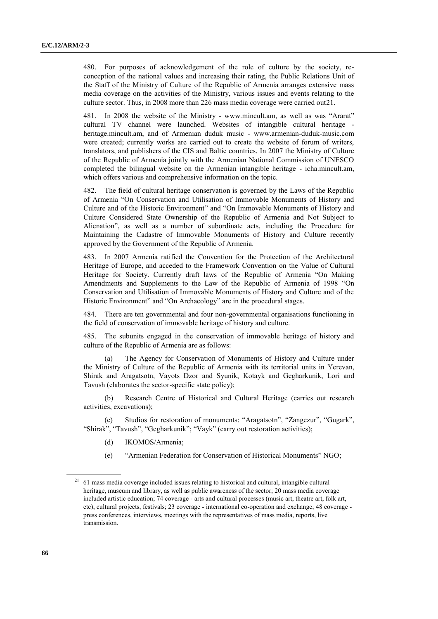480. For purposes of acknowledgement of the role of culture by the society, reconception of the national values and increasing their rating, the Public Relations Unit of the Staff of the Ministry of Culture of the Republic of Armenia arranges extensive mass media coverage on the activities of the Ministry, various issues and events relating to the culture sector. Thus, in 2008 more than 226 mass media coverage were carried out21.

481. In 2008 the website of the Ministry - [www.mincult.am,](http://www.mincult.am/) as well as was "Ararat" cultural TV channel were launched. Websites of intangible cultural heritage [heritage.mincult.am,](http://heritage.mincult.am/) and of Armenian duduk music - [www.armenian-duduk-music.com](http://www.armenian-duduk-music.com/) were created; currently works are carried out to create the website of forum of writers, translators, and publishers of the CIS and Baltic countries. In 2007 the Ministry of Culture of the Republic of Armenia jointly with the Armenian National Commission of UNESCO completed the bilingual website on the Armenian intangible heritage - icha.mincult.am, which offers various and comprehensive information on the topic.

482. The field of cultural heritage conservation is governed by the Laws of the Republic of Armenia "On Conservation and Utilisation of Immovable Monuments of History and Culture and of the Historic Environment" and "On Immovable Monuments of History and Culture Considered State Ownership of the Republic of Armenia and Not Subject to Alienation", as well as a number of subordinate acts, including the Procedure for Maintaining the Cadastre of Immovable Monuments of History and Culture recently approved by the Government of the Republic of Armenia.

483. In 2007 Armenia ratified the Convention for the Protection of the Architectural Heritage of Europe, and acceded to the Framework Convention on the Value of Cultural Heritage for Society. Currently draft laws of the Republic of Armenia "On Making Amendments and Supplements to the Law of the Republic of Armenia of 1998 "On Conservation and Utilisation of Immovable Monuments of History and Culture and of the Historic Environment" and "On Archaeology" are in the procedural stages.

484. There are ten governmental and four non-governmental organisations functioning in the field of conservation of immovable heritage of history and culture.

485. The subunits engaged in the conservation of immovable heritage of history and culture of the Republic of Armenia are as follows:

(a) The Agency for Conservation of Monuments of History and Culture under the Ministry of Culture of the Republic of Armenia with its territorial units in Yerevan, Shirak and Aragatsotn, Vayots Dzor and Syunik, Kotayk and Gegharkunik, Lori and Tavush (elaborates the sector-specific state policy);

(b) Research Centre of Historical and Cultural Heritage (carries out research activities, excavations);

(c) Studios for restoration of monuments: "Aragatsotn", "Zangezur", "Gugark", "Shirak", "Tavush", "Gegharkunik"; "Vayk" (carry out restoration activities);

- (d) IKOMOS/Armenia;
- (e) "Armenian Federation for Conservation of Historical Monuments" NGO;

<sup>21</sup> 61 mass media coverage included issues relating to historical and cultural, intangible cultural heritage, museum and library, as well as public awareness of the sector; 20 mass media coverage included artistic education; 74 coverage - arts and cultural processes (music art, theatre art, folk art, etc), cultural projects, festivals; 23 coverage - international co-operation and exchange; 48 coverage press conferences, interviews, meetings with the representatives of mass media, reports, live transmission.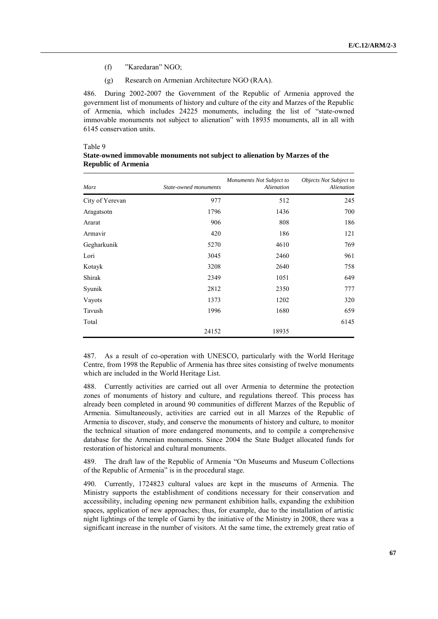- (f) "Karedaran" NGO;
- (g) Research on Armenian Architecture NGO (RAA).

486. During 2002-2007 the Government of the Republic of Armenia approved the government list of monuments of history and culture of the city and Marzes of the Republic of Armenia, which includes 24225 monuments, including the list of "state-owned immovable monuments not subject to alienation" with 18935 monuments, all in all with 6145 conservation units.

#### Table 9

| <b>Marz</b>     | State-owned monuments | Monuments Not Subject to<br>Alienation | Objects Not Subject to<br>Alienation |
|-----------------|-----------------------|----------------------------------------|--------------------------------------|
| City of Yerevan | 977                   | 512                                    | 245                                  |
| Aragatsotn      | 1796                  | 1436                                   | 700                                  |
| Ararat          | 906                   | 808                                    | 186                                  |
| Armavir         | 420                   | 186                                    | 121                                  |
| Gegharkunik     | 5270                  | 4610                                   | 769                                  |
| Lori            | 3045                  | 2460                                   | 961                                  |
| Kotayk          | 3208                  | 2640                                   | 758                                  |
| Shirak          | 2349                  | 1051                                   | 649                                  |
| Syunik          | 2812                  | 2350                                   | 777                                  |
| Vayots          | 1373                  | 1202                                   | 320                                  |
| Tavush          | 1996                  | 1680                                   | 659                                  |
| Total           |                       |                                        | 6145                                 |
|                 | 24152                 | 18935                                  |                                      |

### **State-owned immovable monuments not subject to alienation by Marzes of the Republic of Armenia**

487. As a result of co-operation with UNESCO, particularly with the World Heritage Centre, from 1998 the Republic of Armenia has three sites consisting of twelve monuments which are included in the World Heritage List.

488. Currently activities are carried out all over Armenia to determine the protection zones of monuments of history and culture, and regulations thereof. This process has already been completed in around 90 communities of different Marzes of the Republic of Armenia. Simultaneously, activities are carried out in all Marzes of the Republic of Armenia to discover, study, and conserve the monuments of history and culture, to monitor the technical situation of more endangered monuments, and to compile a comprehensive database for the Armenian monuments. Since 2004 the State Budget allocated funds for restoration of historical and cultural monuments.

489. The draft law of the Republic of Armenia "On Museums and Museum Collections of the Republic of Armenia" is in the procedural stage.

490. Currently, 1724823 cultural values are kept in the museums of Armenia. The Ministry supports the establishment of conditions necessary for their conservation and accessibility, including opening new permanent exhibition halls, expanding the exhibition spaces, application of new approaches; thus, for example, due to the installation of artistic night lightings of the temple of Garni by the initiative of the Ministry in 2008, there was a significant increase in the number of visitors. At the same time, the extremely great ratio of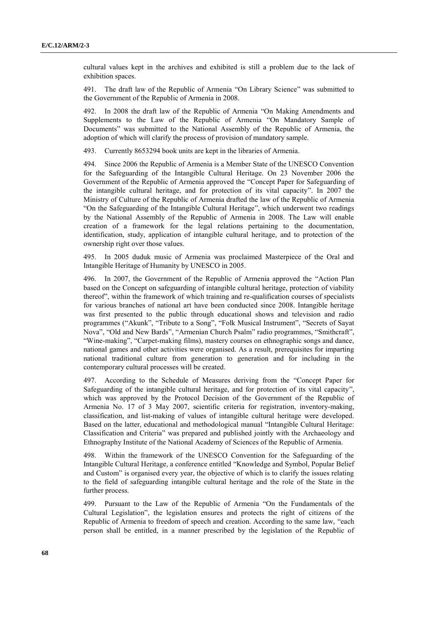cultural values kept in the archives and exhibited is still a problem due to the lack of exhibition spaces.

491. The draft law of the Republic of Armenia "On Library Science" was submitted to the Government of the Republic of Armenia in 2008.

492. In 2008 the draft law of the Republic of Armenia "On Making Amendments and Supplements to the Law of the Republic of Armenia "On Mandatory Sample of Documents" was submitted to the National Assembly of the Republic of Armenia, the adoption of which will clarify the process of provision of mandatory sample.

493. Currently 8653294 book units are kept in the libraries of Armenia.

494. Since 2006 the Republic of Armenia is a Member State of the UNESCO Convention for the Safeguarding of the Intangible Cultural Heritage. On 23 November 2006 the Government of the Republic of Armenia approved the "Concept Paper for Safeguarding of the intangible cultural heritage, and for protection of its vital capacity". In 2007 the Ministry of Culture of the Republic of Armenia drafted the law of the Republic of Armenia "On the Safeguarding of the Intangible Cultural Heritage", which underwent two readings by the National Assembly of the Republic of Armenia in 2008. The Law will enable creation of a framework for the legal relations pertaining to the documentation, identification, study, application of intangible cultural heritage, and to protection of the ownership right over those values.

495. In 2005 duduk music of Armenia was proclaimed Masterpiece of the Oral and Intangible Heritage of Humanity by UNESCO in 2005.

496. In 2007, the Government of the Republic of Armenia approved the "Action Plan based on the Concept on safeguarding of intangible cultural heritage, protection of viability thereof", within the framework of which training and re-qualification courses of specialists for various branches of national art have been conducted since 2008. Intangible heritage was first presented to the public through educational shows and television and radio programmes ("Akunk", "Tribute to a Song", "Folk Musical Instrument", "Secrets of Sayat Nova", "Old and New Bards", "Armenian Church Psalm" radio programmes, "Smithcraft", "Wine-making", "Carpet-making films), mastery courses on ethnographic songs and dance, national games and other activities were organised. As a result, prerequisites for imparting national traditional culture from generation to generation and for including in the contemporary cultural processes will be created.

497. According to the Schedule of Measures deriving from the "Concept Paper for Safeguarding of the intangible cultural heritage, and for protection of its vital capacity", which was approved by the Protocol Decision of the Government of the Republic of Armenia No. 17 of 3 May 2007, scientific criteria for registration, inventory-making, classification, and list-making of values of intangible cultural heritage were developed. Based on the latter, educational and methodological manual "Intangible Cultural Heritage: Classification and Criteria" was prepared and published jointly with the Archaeology and Ethnography Institute of the National Academy of Sciences of the Republic of Armenia.

498. Within the framework of the UNESCO Convention for the Safeguarding of the Intangible Cultural Heritage, a conference entitled "Knowledge and Symbol, Popular Belief and Custom" is organised every year, the objective of which is to clarify the issues relating to the field of safeguarding intangible cultural heritage and the role of the State in the further process.

499. Pursuant to the Law of the Republic of Armenia "On the Fundamentals of the Cultural Legislation", the legislation ensures and protects the right of citizens of the Republic of Armenia to freedom of speech and creation. According to the same law, "each person shall be entitled, in a manner prescribed by the legislation of the Republic of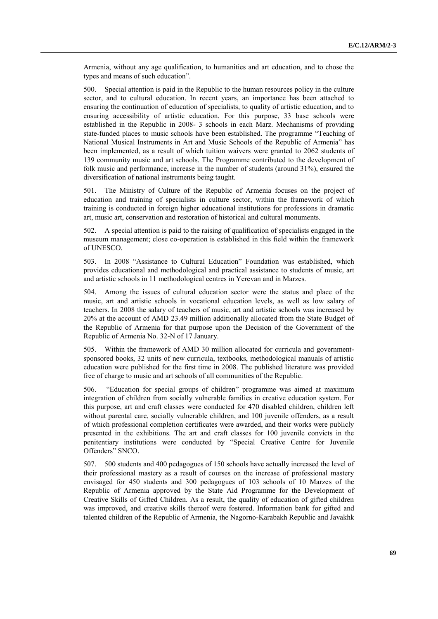Armenia, without any age qualification, to humanities and art education, and to chose the types and means of such education".

500. Special attention is paid in the Republic to the human resources policy in the culture sector, and to cultural education. In recent years, an importance has been attached to ensuring the continuation of education of specialists, to quality of artistic education, and to ensuring accessibility of artistic education. For this purpose, 33 base schools were established in the Republic in 2008- 3 schools in each Marz. Mechanisms of providing state-funded places to music schools have been established. The programme "Teaching of National Musical Instruments in Art and Music Schools of the Republic of Armenia" has been implemented, as a result of which tuition waivers were granted to 2062 students of 139 community music and art schools. The Programme contributed to the development of folk music and performance, increase in the number of students (around 31%), ensured the diversification of national instruments being taught.

501. The Ministry of Culture of the Republic of Armenia focuses on the project of education and training of specialists in culture sector, within the framework of which training is conducted in foreign higher educational institutions for professions in dramatic art, music art, conservation and restoration of historical and cultural monuments.

502. A special attention is paid to the raising of qualification of specialists engaged in the museum management; close co-operation is established in this field within the framework of UNESCO.

503. In 2008 "Assistance to Cultural Education" Foundation was established, which provides educational and methodological and practical assistance to students of music, art and artistic schools in 11 methodological centres in Yerevan and in Marzes.

504. Among the issues of cultural education sector were the status and place of the music, art and artistic schools in vocational education levels, as well as low salary of teachers. In 2008 the salary of teachers of music, art and artistic schools was increased by 20% at the account of AMD 23.49 million additionally allocated from the State Budget of the Republic of Armenia for that purpose upon the Decision of the Government of the Republic of Armenia No. 32-N of 17 January.

505. Within the framework of AMD 30 million allocated for curricula and governmentsponsored books, 32 units of new curricula, textbooks, methodological manuals of artistic education were published for the first time in 2008. The published literature was provided free of charge to music and art schools of all communities of the Republic.

506. "Education for special groups of children" programme was aimed at maximum integration of children from socially vulnerable families in creative education system. For this purpose, art and craft classes were conducted for 470 disabled children, children left without parental care, socially vulnerable children, and 100 juvenile offenders, as a result of which professional completion certificates were awarded, and their works were publicly presented in the exhibitions. The art and craft classes for 100 juvenile convicts in the penitentiary institutions were conducted by "Special Creative Centre for Juvenile Offenders" SNCO.

507. 500 students and 400 pedagogues of 150 schools have actually increased the level of their professional mastery as a result of courses on the increase of professional mastery envisaged for 450 students and 300 pedagogues of 103 schools of 10 Marzes of the Republic of Armenia approved by the State Aid Programme for the Development of Creative Skills of Gifted Children. As a result, the quality of education of gifted children was improved, and creative skills thereof were fostered. Information bank for gifted and talented children of the Republic of Armenia, the Nagorno-Karabakh Republic and Javakhk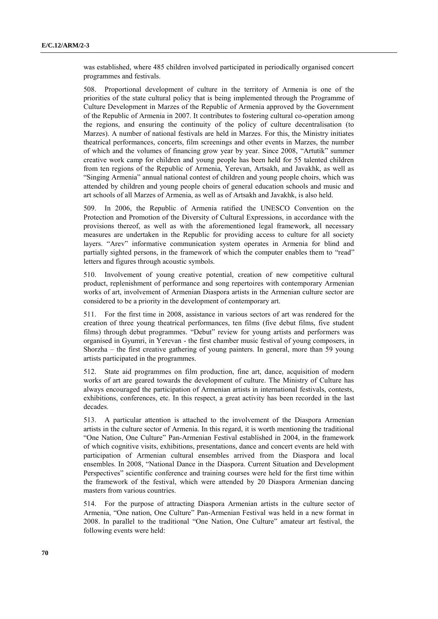was established, where 485 children involved participated in periodically organised concert programmes and festivals.

508. Proportional development of culture in the territory of Armenia is one of the priorities of the state cultural policy that is being implemented through the Programme of Culture Development in Marzes of the Republic of Armenia approved by the Government of the Republic of Armenia in 2007. It contributes to fostering cultural co-operation among the regions, and ensuring the continuity of the policy of culture decentralisation (to Marzes). A number of national festivals are held in Marzes. For this, the Ministry initiates theatrical performances, concerts, film screenings and other events in Marzes, the number of which and the volumes of financing grow year by year. Since 2008, "Artutik" summer creative work camp for children and young people has been held for 55 talented children from ten regions of the Republic of Armenia, Yerevan, Artsakh, and Javakhk, as well as "Singing Armenia" annual national contest of children and young people choirs, which was attended by children and young people choirs of general education schools and music and art schools of all Marzes of Armenia, as well as of Artsakh and Javakhk, is also held.

509. In 2006, the Republic of Armenia ratified the UNESCO Convention on the Protection and Promotion of the Diversity of Cultural Expressions, in accordance with the provisions thereof, as well as with the aforementioned legal framework, all necessary measures are undertaken in the Republic for providing access to culture for all society layers. "Arev" informative communication system operates in Armenia for blind and partially sighted persons, in the framework of which the computer enables them to "read" letters and figures through acoustic symbols.

510. Involvement of young creative potential, creation of new competitive cultural product, replenishment of performance and song repertoires with contemporary Armenian works of art, involvement of Armenian Diaspora artists in the Armenian culture sector are considered to be a priority in the development of contemporary art.

511. For the first time in 2008, assistance in various sectors of art was rendered for the creation of three young theatrical performances, ten films (five debut films, five student films) through debut programmes. "Debut" review for young artists and performers was organised in Gyumri, in Yerevan - the first chamber music festival of young composers, in Shorzha – the first creative gathering of young painters. In general, more than 59 young artists participated in the programmes.

512. State aid programmes on film production, fine art, dance, acquisition of modern works of art are geared towards the development of culture. The Ministry of Culture has always encouraged the participation of Armenian artists in international festivals, contests, exhibitions, conferences, etc. In this respect, a great activity has been recorded in the last decades.

513. A particular attention is attached to the involvement of the Diaspora Armenian artists in the culture sector of Armenia. In this regard, it is worth mentioning the traditional "One Nation, One Culture" Pan-Armenian Festival established in 2004, in the framework of which cognitive visits, exhibitions, presentations, dance and concert events are held with participation of Armenian cultural ensembles arrived from the Diaspora and local ensembles. In 2008, "National Dance in the Diaspora. Current Situation and Development Perspectives" scientific conference and training courses were held for the first time within the framework of the festival, which were attended by 20 Diaspora Armenian dancing masters from various countries.

514. For the purpose of attracting Diaspora Armenian artists in the culture sector of Armenia, "One nation, One Culture" Pan-Armenian Festival was held in a new format in 2008. In parallel to the traditional "One Nation, One Culture" amateur art festival, the following events were held: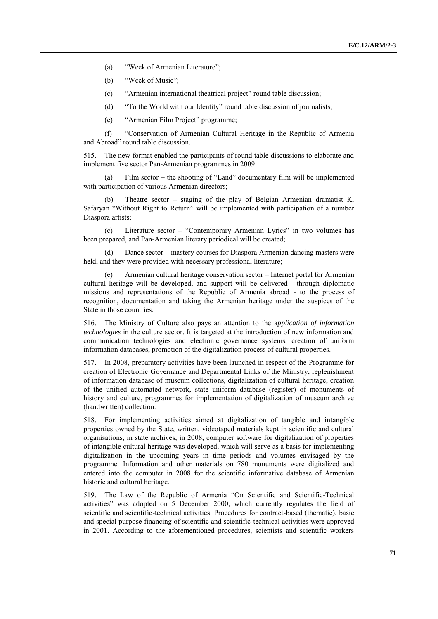- (a) "Week of Armenian Literature";
- (b) "Week of Music";
- (c) "Armenian international theatrical project" round table discussion;
- (d) "To the World with our Identity" round table discussion of journalists;
- (e) "Armenian Film Project" programme;

(f) "Conservation of Armenian Cultural Heritage in the Republic of Armenia and Abroad" round table discussion.

515. The new format enabled the participants of round table discussions to elaborate and implement five sector Pan-Armenian programmes in 2009:

Film sector – the shooting of "Land" documentary film will be implemented with participation of various Armenian directors;

(b) Theatre sector – staging of the play of Belgian Armenian dramatist K. Safaryan "Without Right to Return" will be implemented with participation of a number Diaspora artists;

(c) Literature sector – "Contemporary Armenian Lyrics" in two volumes has been prepared, and Pan-Armenian literary periodical will be created;

(d) Dance sector *–* mastery courses for Diaspora Armenian dancing masters were held, and they were provided with necessary professional literature;

Armenian cultural heritage conservation sector – Internet portal for Armenian cultural heritage will be developed, and support will be delivered - through diplomatic missions and representations of the Republic of Armenia abroad - to the process of recognition, documentation and taking the Armenian heritage under the auspices of the State in those countries.

516. The Ministry of Culture also pays an attention to the a*pplication of information technologies* in the culture sector. It is targeted at the introduction of new information and communication technologies and electronic governance systems, creation of uniform information databases, promotion of the digitalization process of cultural properties.

517. In 2008, preparatory activities have been launched in respect of the Programme for creation of Electronic Governance and Departmental Links of the Ministry, replenishment of information database of museum collections, digitalization of cultural heritage, creation of the unified automated network, state uniform database (register) of monuments of history and culture, programmes for implementation of digitalization of museum archive (handwritten) collection.

518. For implementing activities aimed at digitalization of tangible and intangible properties owned by the State, written, videotaped materials kept in scientific and cultural organisations, in state archives, in 2008, computer software for digitalization of properties of intangible cultural heritage was developed, which will serve as a basis for implementing digitalization in the upcoming years in time periods and volumes envisaged by the programme. Information and other materials on 780 monuments were digitalized and entered into the computer in 2008 for the scientific informative database of Armenian historic and cultural heritage.

519. The Law of the Republic of Armenia "On Scientific and Scientific-Technical activities" was adopted on 5 December 2000, which currently regulates the field of scientific and scientific-technical activities. Procedures for contract-based (thematic), basic and special purpose financing of scientific and scientific-technical activities were approved in 2001. According to the aforementioned procedures, scientists and scientific workers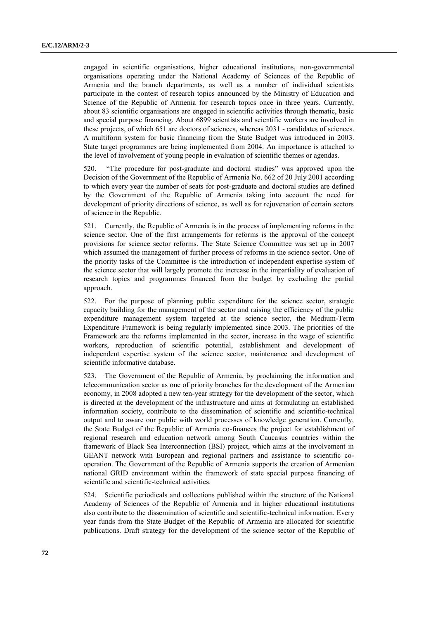engaged in scientific organisations, higher educational institutions, non-governmental organisations operating under the National Academy of Sciences of the Republic of Armenia and the branch departments, as well as a number of individual scientists participate in the contest of research topics announced by the Ministry of Education and Science of the Republic of Armenia for research topics once in three years. Currently, about 83 scientific organisations are engaged in scientific activities through thematic, basic and special purpose financing. About 6899 scientists and scientific workers are involved in these projects, of which 651 are doctors of sciences, whereas 2031 - candidates of sciences. A multiform system for basic financing from the State Budget was introduced in 2003. State target programmes are being implemented from 2004. An importance is attached to the level of involvement of young people in evaluation of scientific themes or agendas.

520. "The procedure for post-graduate and doctoral studies" was approved upon the Decision of the Government of the Republic of Armenia No. 662 of 20 July 2001 according to which every year the number of seats for post-graduate and doctoral studies are defined by the Government of the Republic of Armenia taking into account the need for development of priority directions of science, as well as for rejuvenation of certain sectors of science in the Republic.

521. Currently, the Republic of Armenia is in the process of implementing reforms in the science sector. One of the first arrangements for reforms is the approval of the concept provisions for science sector reforms. The State Science Committee was set up in 2007 which assumed the management of further process of reforms in the science sector. One of the priority tasks of the Committee is the introduction of independent expertise system of the science sector that will largely promote the increase in the impartiality of evaluation of research topics and programmes financed from the budget by excluding the partial approach.

522. For the purpose of planning public expenditure for the science sector, strategic capacity building for the management of the sector and raising the efficiency of the public expenditure management system targeted at the science sector, the Medium-Term Expenditure Framework is being regularly implemented since 2003. The priorities of the Framework are the reforms implemented in the sector, increase in the wage of scientific workers, reproduction of scientific potential, establishment and development of independent expertise system of the science sector, maintenance and development of scientific informative database.

523. The Government of the Republic of Armenia, by proclaiming the information and telecommunication sector as one of priority branches for the development of the Armenian economy, in 2008 adopted a new ten-year strategy for the development of the sector, which is directed at the development of the infrastructure and aims at formulating an established information society, contribute to the dissemination of scientific and scientific-technical output and to aware our public with world processes of knowledge generation. Currently, the State Budget of the Republic of Armenia co-finances the project for establishment of regional research and education network among South Caucasus countries within the framework of Black Sea Interconnection (BSI) project, which aims at the involvement in GEANT network with European and regional partners and assistance to scientific cooperation. The Government of the Republic of Armenia supports the creation of Armenian national GRID environment within the framework of state special purpose financing of scientific and scientific-technical activities.

524. Scientific periodicals and collections published within the structure of the National Academy of Sciences of the Republic of Armenia and in higher educational institutions also contribute to the dissemination of scientific and scientific-technical information. Every year funds from the State Budget of the Republic of Armenia are allocated for scientific publications. Draft strategy for the development of the science sector of the Republic of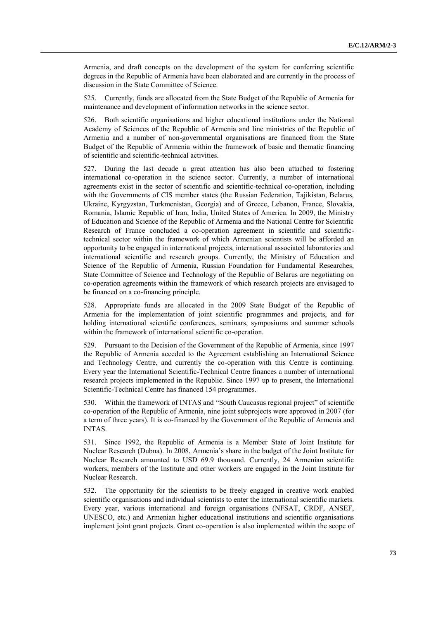Armenia, and draft concepts on the development of the system for conferring scientific degrees in the Republic of Armenia have been elaborated and are currently in the process of discussion in the State Committee of Science.

525. Currently, funds are allocated from the State Budget of the Republic of Armenia for maintenance and development of information networks in the science sector.

526. Both scientific organisations and higher educational institutions under the National Academy of Sciences of the Republic of Armenia and line ministries of the Republic of Armenia and a number of non-governmental organisations are financed from the State Budget of the Republic of Armenia within the framework of basic and thematic financing of scientific and scientific-technical activities.

527. During the last decade a great attention has also been attached to fostering international co-operation in the science sector. Currently, a number of international agreements exist in the sector of scientific and scientific-technical co-operation, including with the Governments of CIS member states (the Russian Federation, Tajikistan, Belarus, Ukraine, Kyrgyzstan, Turkmenistan, Georgia) and of Greece, Lebanon, France, Slovakia, Romania, Islamic Republic of Iran, India, United States of America. In 2009, the Ministry of Education and Science of the Republic of Armenia and the National Centre for Scientific Research of France concluded a co-operation agreement in scientific and scientifictechnical sector within the framework of which Armenian scientists will be afforded an opportunity to be engaged in international projects, international associated laboratories and international scientific and research groups. Currently, the Ministry of Education and Science of the Republic of Armenia, Russian Foundation for Fundamental Researches, State Committee of Science and Technology of the Republic of Belarus are negotiating on co-operation agreements within the framework of which research projects are envisaged to be financed on a co-financing principle.

528. Appropriate funds are allocated in the 2009 State Budget of the Republic of Armenia for the implementation of joint scientific programmes and projects, and for holding international scientific conferences, seminars, symposiums and summer schools within the framework of international scientific co-operation.

529. Pursuant to the Decision of the Government of the Republic of Armenia, since 1997 the Republic of Armenia acceded to the Agreement establishing an International Science and Technology Centre, and currently the co-operation with this Centre is continuing. Every year the International Scientific-Technical Centre finances a number of international research projects implemented in the Republic. Since 1997 up to present, the International Scientific-Technical Centre has financed 154 programmes.

530. Within the framework of INTAS and "South Caucasus regional project" of scientific co-operation of the Republic of Armenia, nine joint subprojects were approved in 2007 (for a term of three years). It is co-financed by the Government of the Republic of Armenia and INTAS.

531. Since 1992, the Republic of Armenia is a Member State of Joint Institute for Nuclear Research (Dubna). In 2008, Armenia's share in the budget of the Joint Institute for Nuclear Research amounted to USD 69.9 thousand. Currently, 24 Armenian scientific workers, members of the Institute and other workers are engaged in the Joint Institute for Nuclear Research.

532. The opportunity for the scientists to be freely engaged in creative work enabled scientific organisations and individual scientists to enter the international scientific markets. Every year, various international and foreign organisations (NFSAT, CRDF, ANSEF, UNESCO, etc.) and Armenian higher educational institutions and scientific organisations implement joint grant projects. Grant co-operation is also implemented within the scope of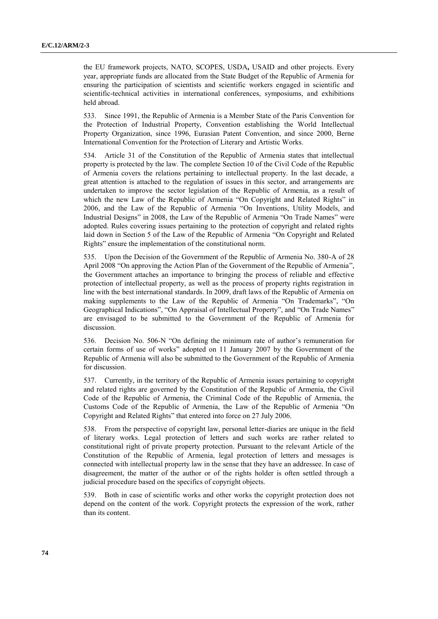the EU framework projects, NATO, SCOPES, USDA**,** USAID and other projects. Every year, appropriate funds are allocated from the State Budget of the Republic of Armenia for ensuring the participation of scientists and scientific workers engaged in scientific and scientific-technical activities in international conferences, symposiums, and exhibitions held abroad.

533. Since 1991, the Republic of Armenia is a Member State of the Paris Convention for the Protection of Industrial Property, Convention establishing the World Intellectual Property Organization, since 1996, Eurasian Patent Convention, and since 2000, Berne International Convention for the Protection of Literary and Artistic Works.

534. Article 31 of the Constitution of the Republic of Armenia states that intellectual property is protected by the law. The complete Section 10 of the Civil Code of the Republic of Armenia covers the relations pertaining to intellectual property. In the last decade, a great attention is attached to the regulation of issues in this sector, and arrangements are undertaken to improve the sector legislation of the Republic of Armenia, as a result of which the new Law of the Republic of Armenia "On Copyright and Related Rights" in 2006, and the Law of the Republic of Armenia "On Inventions, Utility Models, and Industrial Designs" in 2008, the Law of the Republic of Armenia "On Trade Names" were adopted. Rules covering issues pertaining to the protection of copyright and related rights laid down in Section 5 of the Law of the Republic of Armenia "On Copyright and Related Rights" ensure the implementation of the constitutional norm.

535. Upon the Decision of the Government of the Republic of Armenia No. 380-A of 28 April 2008 "On approving the Action Plan of the Government of the Republic of Armenia", the Government attaches an importance to bringing the process of reliable and effective protection of intellectual property, as well as the process of property rights registration in line with the best international standards. In 2009, draft laws of the Republic of Armenia on making supplements to the Law of the Republic of Armenia "On Trademarks", "On Geographical Indications", "On Appraisal of Intellectual Property", and "On Trade Names" are envisaged to be submitted to the Government of the Republic of Armenia for discussion.

536. Decision No. 506-N "On defining the minimum rate of author's remuneration for certain forms of use of works" adopted on 11 January 2007 by the Government of the Republic of Armenia will also be submitted to the Government of the Republic of Armenia for discussion.

537. Currently, in the territory of the Republic of Armenia issues pertaining to copyright and related rights are governed by the Constitution of the Republic of Armenia, the Civil Code of the Republic of Armenia, the Criminal Code of the Republic of Armenia, the Customs Code of the Republic of Armenia, the Law of the Republic of Armenia "On Copyright and Related Rights" that entered into force on 27 July 2006.

538. From the perspective of copyright law, personal letter-diaries are unique in the field of literary works. Legal protection of letters and such works are rather related to constitutional right of private property protection. Pursuant to the relevant Article of the Constitution of the Republic of Armenia, legal protection of letters and messages is connected with intellectual property law in the sense that they have an addressee. In case of disagreement, the matter of the author or of the rights holder is often settled through a judicial procedure based on the specifics of copyright objects.

539. Both in case of scientific works and other works the copyright protection does not depend on the content of the work. Copyright protects the expression of the work, rather than its content.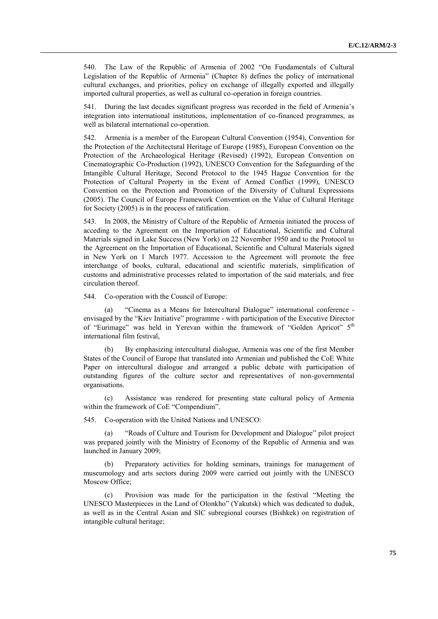540. The Law of the Republic of Armenia of 2002 "On Fundamentals of Cultural Legislation of the Republic of Armenia" (Chapter 8) defines the policy of international cultural exchanges, and priorities, policy on exchange of illegally exported and illegally imported cultural properties, as well as cultural co-operation in foreign countries.

541. During the last decades significant progress was recorded in the field of Armenia's integration into international institutions, implementation of co-financed programmes, as well as bilateral international co-operation.

542. Armenia is a member of the European Cultural Convention (1954), Convention for the Protection of the Architectural Heritage of Europe (1985), European Convention on the Protection of the Archaeological Heritage (Revised) (1992), European Convention on Cinematographic Co-Production (1992), UNESCO Convention for the Safeguarding of the Intangible Cultural Heritage, Second Protocol to the 1945 Hague Convention for the Protection of Cultural Property in the Event of Armed Conflict (1999), UNESCO Convention on the Protection and Promotion of the Diversity of Cultural Expressions (2005). The Council of Europe Framework Convention on the Value of Cultural Heritage for Society (2005) is in the process of ratification.

543. In 2008, the Ministry of Culture of the Republic of Armenia initiated the process of acceding to the Agreement on the Importation of Educational, Scientific and Cultural Materials signed in Lake Success (New York) on 22 November 1950 and to the Protocol to the Agreement on the Importation of Educational, Scientific and Cultural Materials signed in New York on 1 March 1977. Accession to the Agreement will promote the free interchange of books, cultural, educational and scientific materials, simplification of customs and administrative processes related to importation of the said materials, and free circulation thereof.

544. Co-operation with the Council of Europe:

"Cinema as a Means for Intercultural Dialogue" international conference envisaged by the "Kiev Initiative" programme - with participation of the Executive Director of "Eurimage" was held in Yerevan within the framework of "Golden Apricot" 5<sup>th</sup> international film festival,

(b) By emphasizing intercultural dialogue, Armenia was one of the first Member States of the Council of Europe that translated into Armenian and published the CoE White Paper on intercultural dialogue and arranged a public debate with participation of outstanding figures of the culture sector and representatives of non-governmental organisations.

(c) Assistance was rendered for presenting state cultural policy of Armenia within the framework of CoE "Compendium".

545. Co-operation with the United Nations and UNESCO:

(a) "Roads of Culture and Tourism for Development and Dialogue" pilot project was prepared jointly with the Ministry of Economy of the Republic of Armenia and was launched in January 2009;

Preparatory activities for holding seminars, trainings for management of museumology and arts sectors during 2009 were carried out jointly with the UNESCO Moscow Office;

(c) Provision was made for the participation in the festival "Meeting the UNESCO Masterpieces in the Land of Olonkho" (Yakutsk) which was dedicated to duduk, as well as in the Central Asian and SIC subregional courses (Bishkek) on registration of intangible cultural heritage;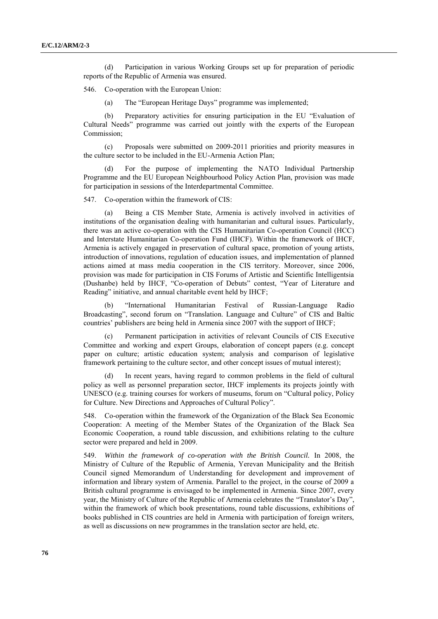(d) Participation in various Working Groups set up for preparation of periodic reports of the Republic of Armenia was ensured.

546. Co-operation with the European Union:

(a) The "European Heritage Days" programme was implemented;

(b) Preparatory activities for ensuring participation in the EU "Evaluation of Cultural Needs" programme was carried out jointly with the experts of the European Commission;

(c) Proposals were submitted on 2009-2011 priorities and priority measures in the culture sector to be included in the EU-Armenia Action Plan;

(d) For the purpose of implementing the NATO Individual Partnership Programme and the EU European Neighbourhood Policy Action Plan, provision was made for participation in sessions of the Interdepartmental Committee.

547. Co-operation within the framework of CIS:

Being a CIS Member State, Armenia is actively involved in activities of institutions of the organisation dealing with humanitarian and cultural issues. Particularly, there was an active co-operation with the CIS Humanitarian Co-operation Council (HCC) and Interstate Humanitarian Co-operation Fund (IHCF). Within the framework of IHCF, Armenia is actively engaged in preservation of cultural space, promotion of young artists, introduction of innovations, regulation of education issues, and implementation of planned actions aimed at mass media cooperation in the CIS territory. Moreover, since 2006, provision was made for participation in CIS Forums of Artistic and Scientific Intelligentsia (Dushanbe) held by IHCF, "Co-operation of Debuts" contest, "Year of Literature and Reading" initiative, and annual charitable event held by IHCF;

(b) "International Humanitarian Festival of Russian-Language Radio Broadcasting", second forum on "Translation. Language and Culture" of CIS and Baltic countries' publishers are being held in Armenia since 2007 with the support of IHCF;

Permanent participation in activities of relevant Councils of CIS Executive Committee and working and expert Groups, elaboration of concept papers (e.g. concept paper on culture; artistic education system; analysis and comparison of legislative framework pertaining to the culture sector, and other concept issues of mutual interest);

(d) In recent years, having regard to common problems in the field of cultural policy as well as personnel preparation sector, IHCF implements its projects jointly with UNESCO (e.g. training courses for workers of museums, forum on "Cultural policy, Policy for Culture. New Directions and Approaches of Cultural Policy".

548. Co-operation within the framework of the Organization of the Black Sea Economic Cooperation: A meeting of the Member States of the Organization of the Black Sea Economic Cooperation, a round table discussion, and exhibitions relating to the culture sector were prepared and held in 2009.

549. *Within the framework of co-operation with the British Council.* In 2008, the Ministry of Culture of the Republic of Armenia, Yerevan Municipality and the British Council signed Memorandum of Understanding for development and improvement of information and library system of Armenia. Parallel to the project, in the course of 2009 a British cultural programme is envisaged to be implemented in Armenia. Since 2007, every year, the Ministry of Culture of the Republic of Armenia celebrates the "Translator's Day", within the framework of which book presentations, round table discussions, exhibitions of books published in CIS countries are held in Armenia with participation of foreign writers, as well as discussions on new programmes in the translation sector are held, etc.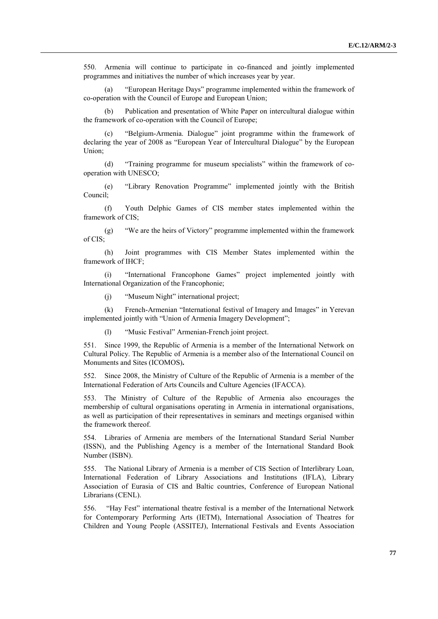550. Armenia will continue to participate in co-financed and jointly implemented programmes and initiatives the number of which increases year by year.

(a) "European Heritage Days" programme implemented within the framework of co-operation with the Council of Europe and European Union;

Publication and presentation of White Paper on intercultural dialogue within the framework of co-operation with the Council of Europe;

(c) "Belgium-Armenia. Dialogue" joint programme within the framework of declaring the year of 2008 as "European Year of Intercultural Dialogue" by the European Union;

(d) "Training programme for museum specialists" within the framework of cooperation with UNESCO;

(e) "Library Renovation Programme" implemented jointly with the British Council;

(f) Youth Delphic Games of CIS member states implemented within the framework of CIS;

(g) "We are the heirs of Victory" programme implemented within the framework of CIS;

(h) Joint programmes with CIS Member States implemented within the framework of IHCF;

(i) "International Francophone Games" project implemented jointly with International Organization of the Francophonie;

(j) "Museum Night" international project;

(k) French-Armenian "International festival of Imagery and Images" in Yerevan implemented jointly with "Union of Armenia Imagery Development";

(l) "Music Festival" Armenian-French joint project.

551. Since 1999, the Republic of Armenia is a member of the International Network on Cultural Policy. The Republic of Armenia is a member also of the International Council on Monuments and Sites (ICOMOS)**.**

552. Since 2008, the Ministry of Culture of the Republic of Armenia is a member of the International Federation of Arts Councils and Culture Agencies (IFACCA).

553. The Ministry of Culture of the Republic of Armenia also encourages the membership of cultural organisations operating in Armenia in international organisations, as well as participation of their representatives in seminars and meetings organised within the framework thereof.

554. Libraries of Armenia are members of the International Standard Serial Number (ISSN), and the Publishing Agency is a member of the International Standard Book Number (ISBN).

555. The National Library of Armenia is a member of CIS Section of Interlibrary Loan, International Federation of Library Associations and Institutions (IFLA), Library Association of Eurasia of CIS and Baltic countries, Conference of European National Librarians (CENL).

556. "Hay Fest" international theatre festival is a member of the International Network for Contemporary Performing Arts (IETM), International Association of Theatres for Children and Young People (ASSITEJ), International Festivals and Events Association